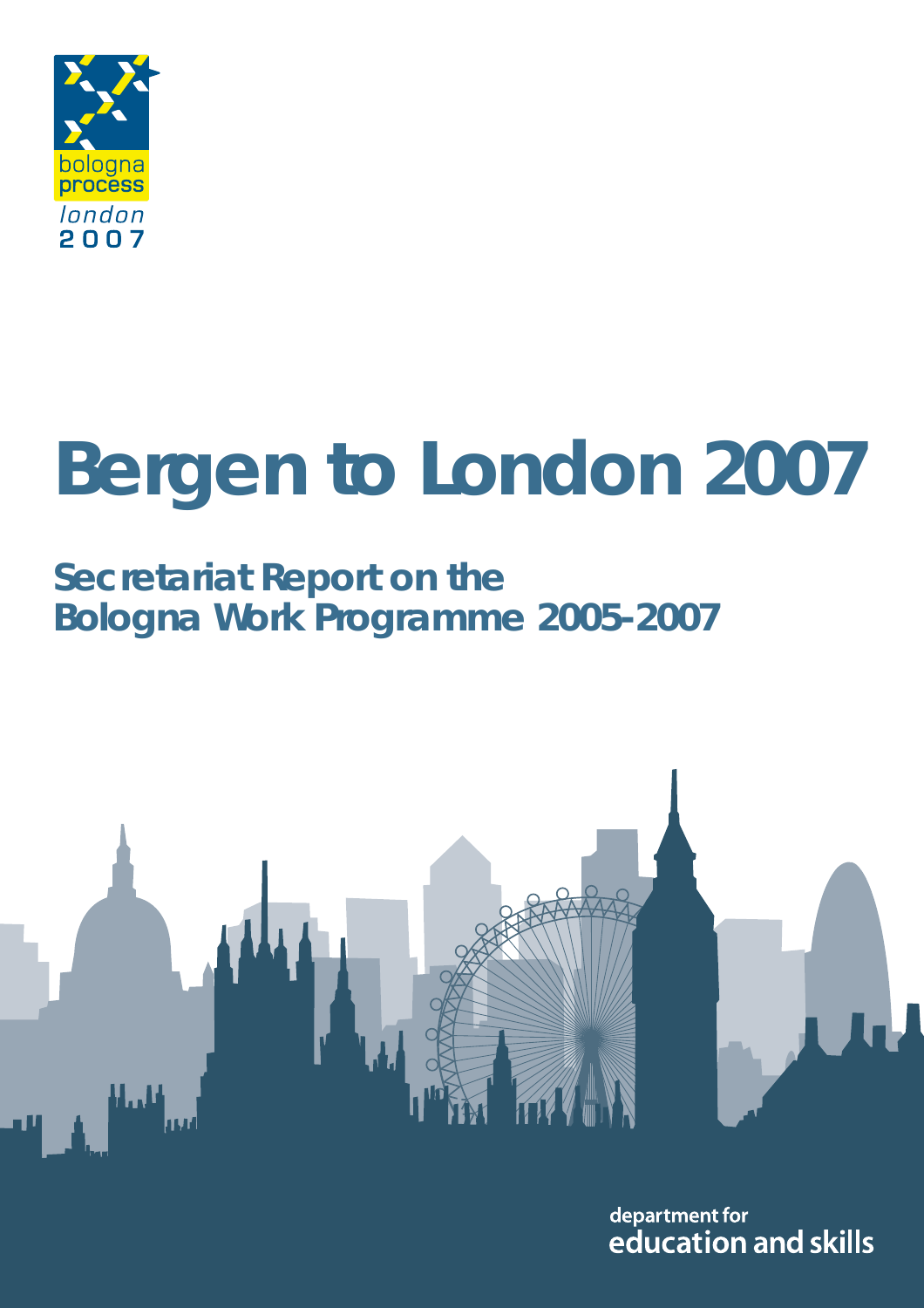

### **Bergen to London 2007**

#### **Secretariat Report on the Bologna Work Programme 2005-2007**



department for education and skills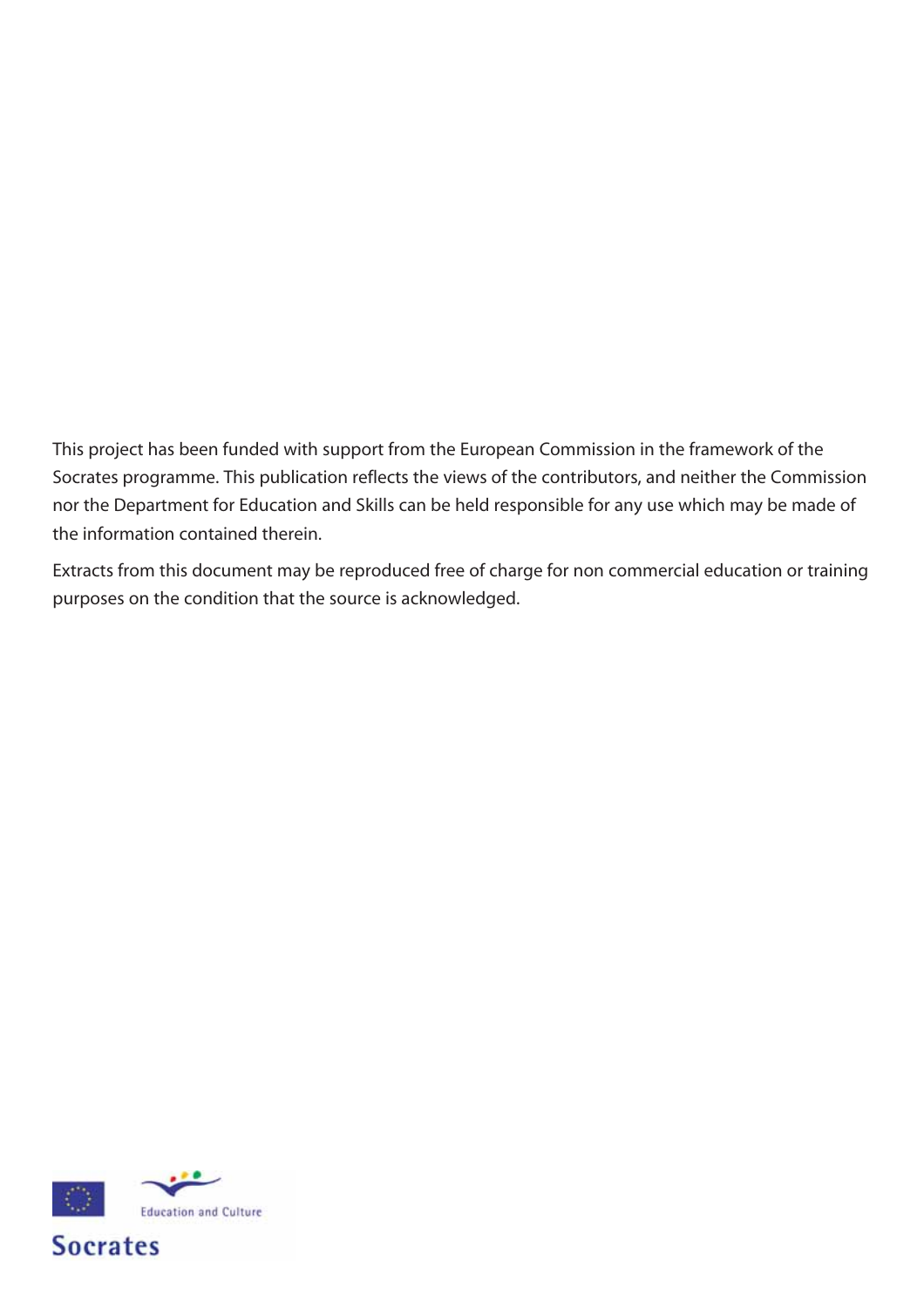This project has been funded with support from the European Commission in the framework of the Socrates programme. This publication reflects the views of the contributors, and neither the Commission nor the Department for Education and Skills can be held responsible for any use which may be made of the information contained therein.

Extracts from this document may be reproduced free of charge for non commercial education or training purposes on the condition that the source is acknowledged.

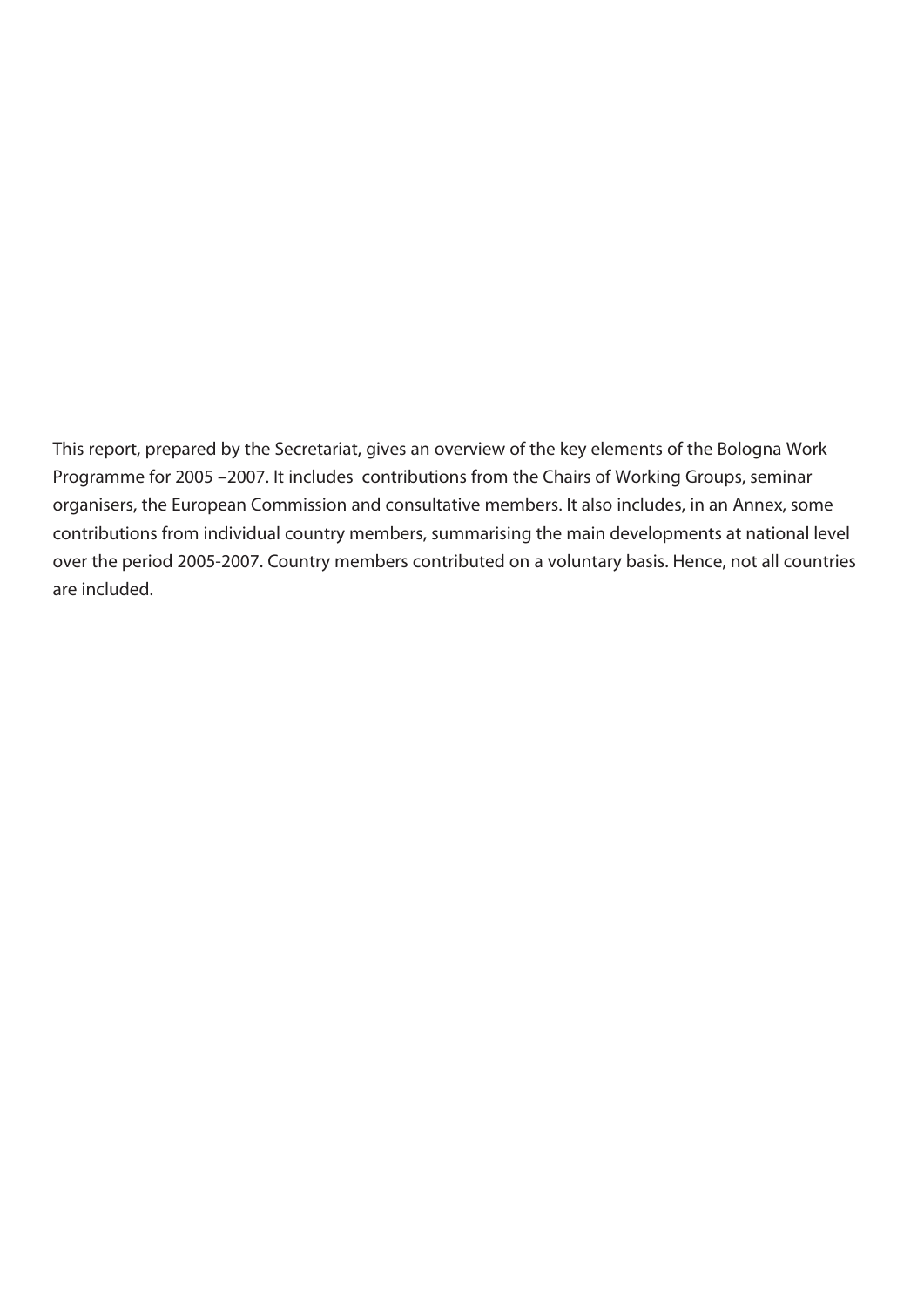This report, prepared by the Secretariat, gives an overview of the key elements of the Bologna Work Programme for 2005 –2007. It includes contributions from the Chairs of Working Groups, seminar organisers, the European Commission and consultative members. It also includes, in an Annex, some contributions from individual country members, summarising the main developments at national level over the period 2005-2007. Country members contributed on a voluntary basis. Hence, not all countries are included.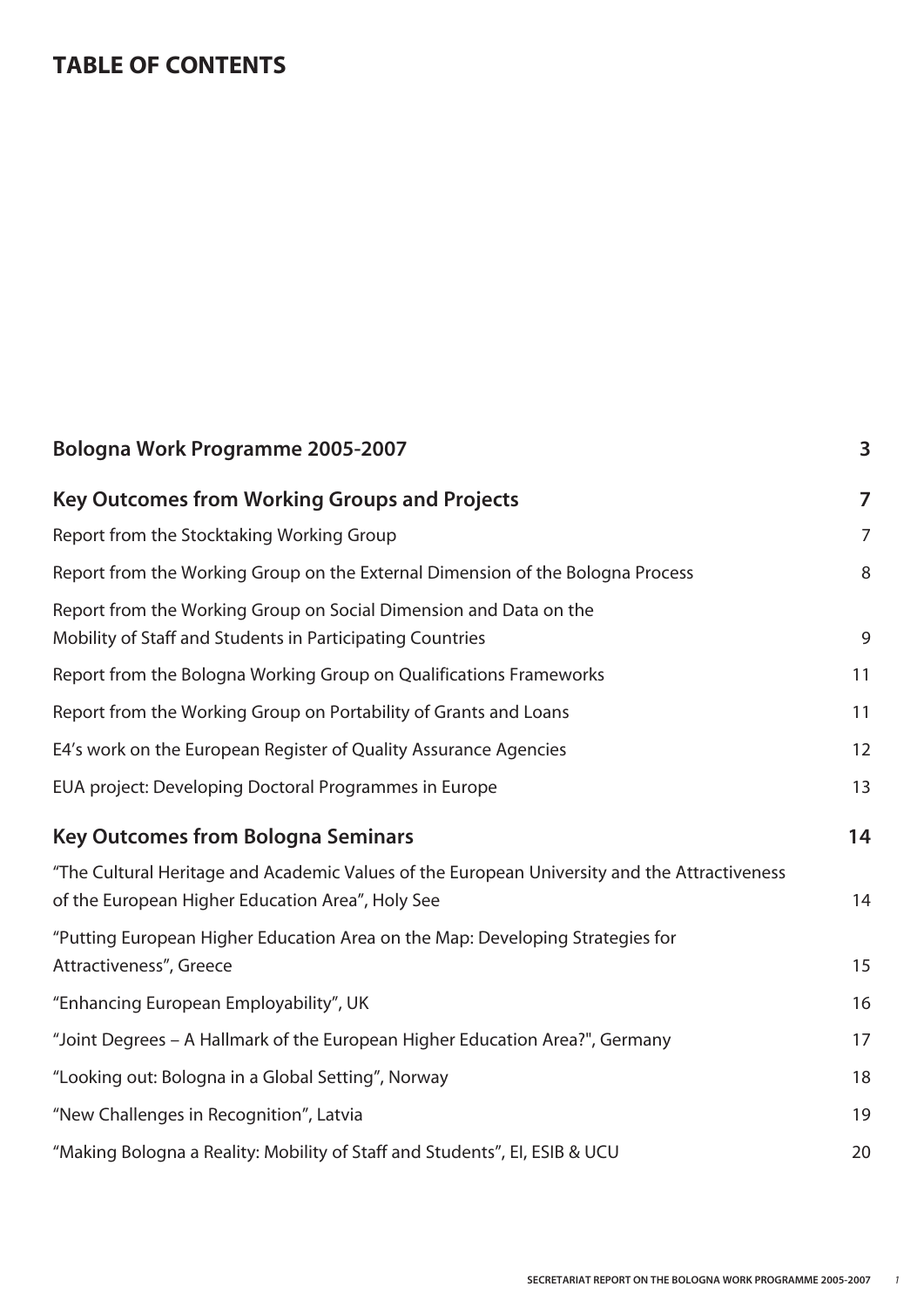#### **TABLE OF CONTENTS**

| Bologna Work Programme 2005-2007                                                                                                                 | 3              |
|--------------------------------------------------------------------------------------------------------------------------------------------------|----------------|
| <b>Key Outcomes from Working Groups and Projects</b>                                                                                             | $\overline{7}$ |
| Report from the Stocktaking Working Group                                                                                                        | $\overline{7}$ |
| Report from the Working Group on the External Dimension of the Bologna Process                                                                   | 8              |
| Report from the Working Group on Social Dimension and Data on the<br>Mobility of Staff and Students in Participating Countries                   | 9              |
| Report from the Bologna Working Group on Qualifications Frameworks                                                                               | 11             |
| Report from the Working Group on Portability of Grants and Loans                                                                                 | 11             |
| E4's work on the European Register of Quality Assurance Agencies                                                                                 | 12             |
| EUA project: Developing Doctoral Programmes in Europe                                                                                            | 13             |
| <b>Key Outcomes from Bologna Seminars</b>                                                                                                        | 14             |
| "The Cultural Heritage and Academic Values of the European University and the Attractiveness<br>of the European Higher Education Area", Holy See | 14             |
| "Putting European Higher Education Area on the Map: Developing Strategies for<br>Attractiveness", Greece                                         | 15             |
| "Enhancing European Employability", UK                                                                                                           | 16             |
| "Joint Degrees - A Hallmark of the European Higher Education Area?", Germany                                                                     | 17             |
| "Looking out: Bologna in a Global Setting", Norway                                                                                               | 18             |
| "New Challenges in Recognition", Latvia                                                                                                          | 19             |
| "Making Bologna a Reality: Mobility of Staff and Students", EI, ESIB & UCU                                                                       | 20             |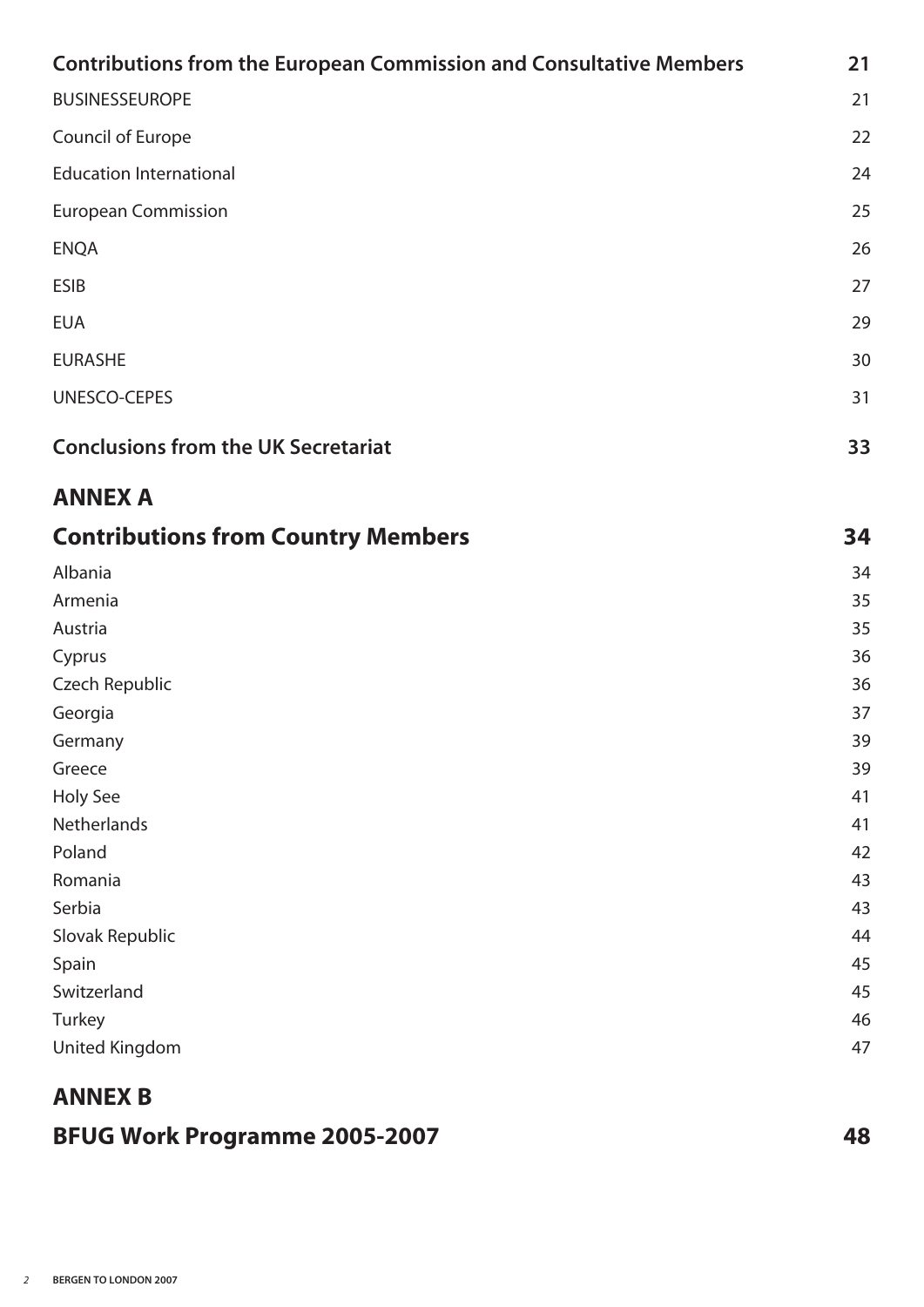| <b>Contributions from the European Commission and Consultative Members</b> | 21 |
|----------------------------------------------------------------------------|----|
| <b>BUSINESSEUROPE</b>                                                      | 21 |
| Council of Europe                                                          | 22 |
| <b>Education International</b>                                             | 24 |
| <b>European Commission</b>                                                 | 25 |
| <b>ENQA</b>                                                                | 26 |
| <b>ESIB</b>                                                                | 27 |
| <b>EUA</b>                                                                 | 29 |
| <b>EURASHE</b>                                                             | 30 |
| UNESCO-CEPES                                                               | 31 |
| <b>Conclusions from the UK Secretariat</b>                                 | 33 |
| <b>ANNEX A</b>                                                             |    |
| <b>Contributions from Country Members</b>                                  | 34 |
| Albania                                                                    | 34 |
| Armenia                                                                    | 35 |
| Austria                                                                    | 35 |
| Cyprus                                                                     | 36 |
| <b>Czech Republic</b>                                                      | 36 |
| Georgia                                                                    | 37 |
| Germany                                                                    | 39 |
| Greece                                                                     | 39 |
| Holy See                                                                   | 41 |
| Netherlands                                                                | 41 |
| Poland                                                                     | 42 |
| Romania                                                                    | 43 |
| Serbia                                                                     | 43 |
| Slovak Republic                                                            | 44 |
| Spain                                                                      | 45 |
| Switzerland                                                                | 45 |
| Turkey                                                                     | 46 |
| United Kingdom                                                             | 47 |

#### **ANNEX B**

#### **BFUG Work Programme 2005-2007 48**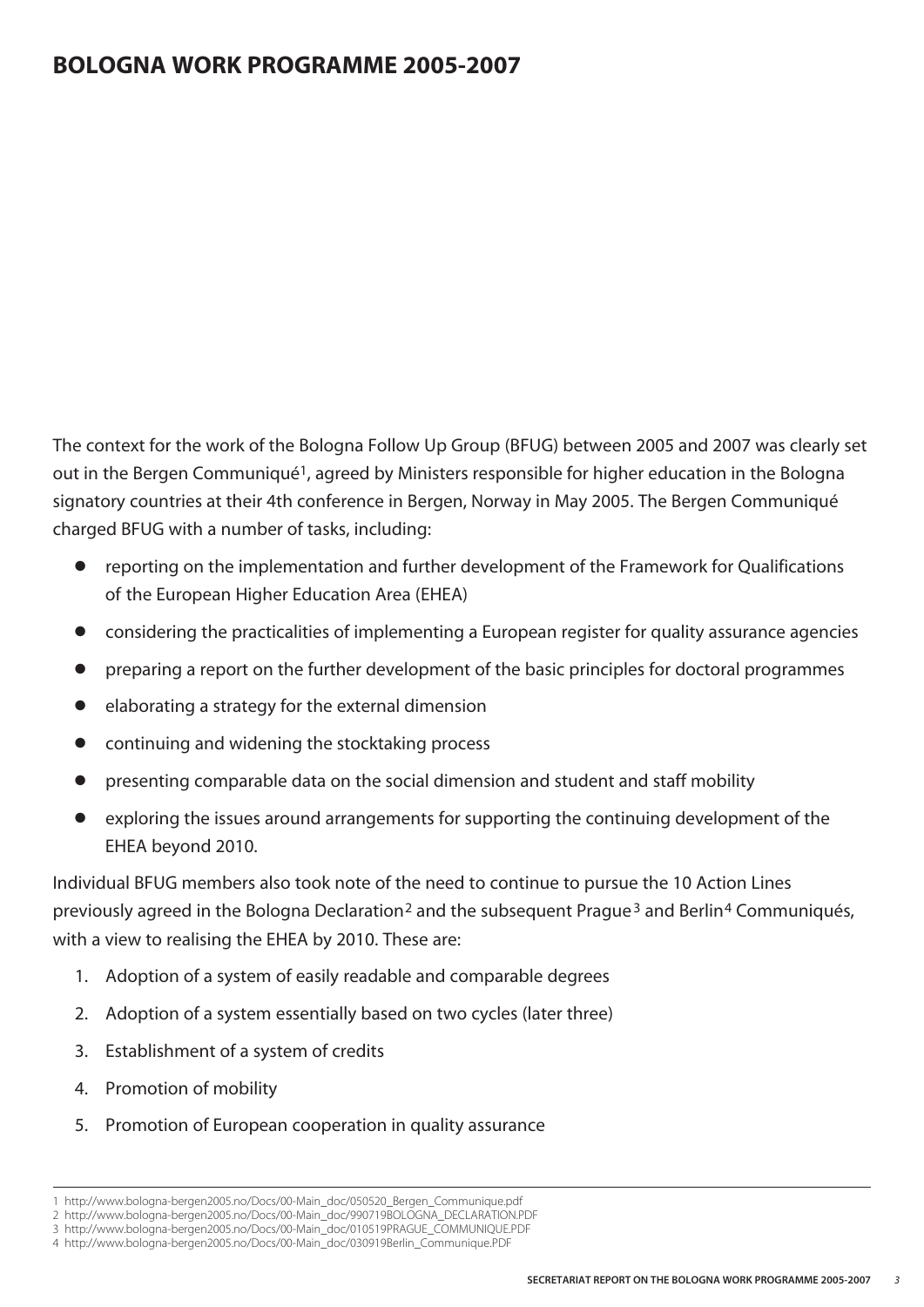The context for the work of the Bologna Follow Up Group (BFUG) between 2005 and 2007 was clearly set out in the Bergen Communiqué<sup>1</sup>, agreed by Ministers responsible for higher education in the Bologna signatory countries at their 4th conference in Bergen, Norway in May 2005. The Bergen Communiqué charged BFUG with a number of tasks, including:

- reporting on the implementation and further development of the Framework for Qualifications of the European Higher Education Area (EHEA)
- **●** considering the practicalities of implementing a European register for quality assurance agencies
- **●** preparing a report on the further development of the basic principles for doctoral programmes
- **●** elaborating a strategy for the external dimension
- **●** continuing and widening the stocktaking process
- **●** presenting comparable data on the social dimension and student and staff mobility
- exploring the issues around arrangements for supporting the continuing development of the EHEA beyond 2010.

Individual BFUG members also took note of the need to continue to pursue the 10 Action Lines previously agreed in the Bologna Declaration<sup>2</sup> and the subsequent Prague<sup>3</sup> and Berlin<sup>4</sup> Communiqués, with a view to realising the EHEA by 2010. These are:

- 1. Adoption of a system of easily readable and comparable degrees
- 2. Adoption of a system essentially based on two cycles (later three)
- 3. Establishment of a system of credits
- 4. Promotion of mobility
- 5. Promotion of European cooperation in quality assurance

<sup>1</sup> http://www.bologna-bergen2005.no/Docs/00-Main\_doc/050520\_Bergen\_Communique.pdf

<sup>2</sup> http://www.bologna-bergen2005.no/Docs/00-Main\_doc/990719BOLOGNA\_DECLARATION.PDF 3 http://www.bologna-bergen2005.no/Docs/00-Main\_doc/010519PRAGUE\_COMMUNIQUE.PDF

<sup>4</sup> http://www.bologna-bergen2005.no/Docs/00-Main\_doc/030919Berlin\_Communique.PDF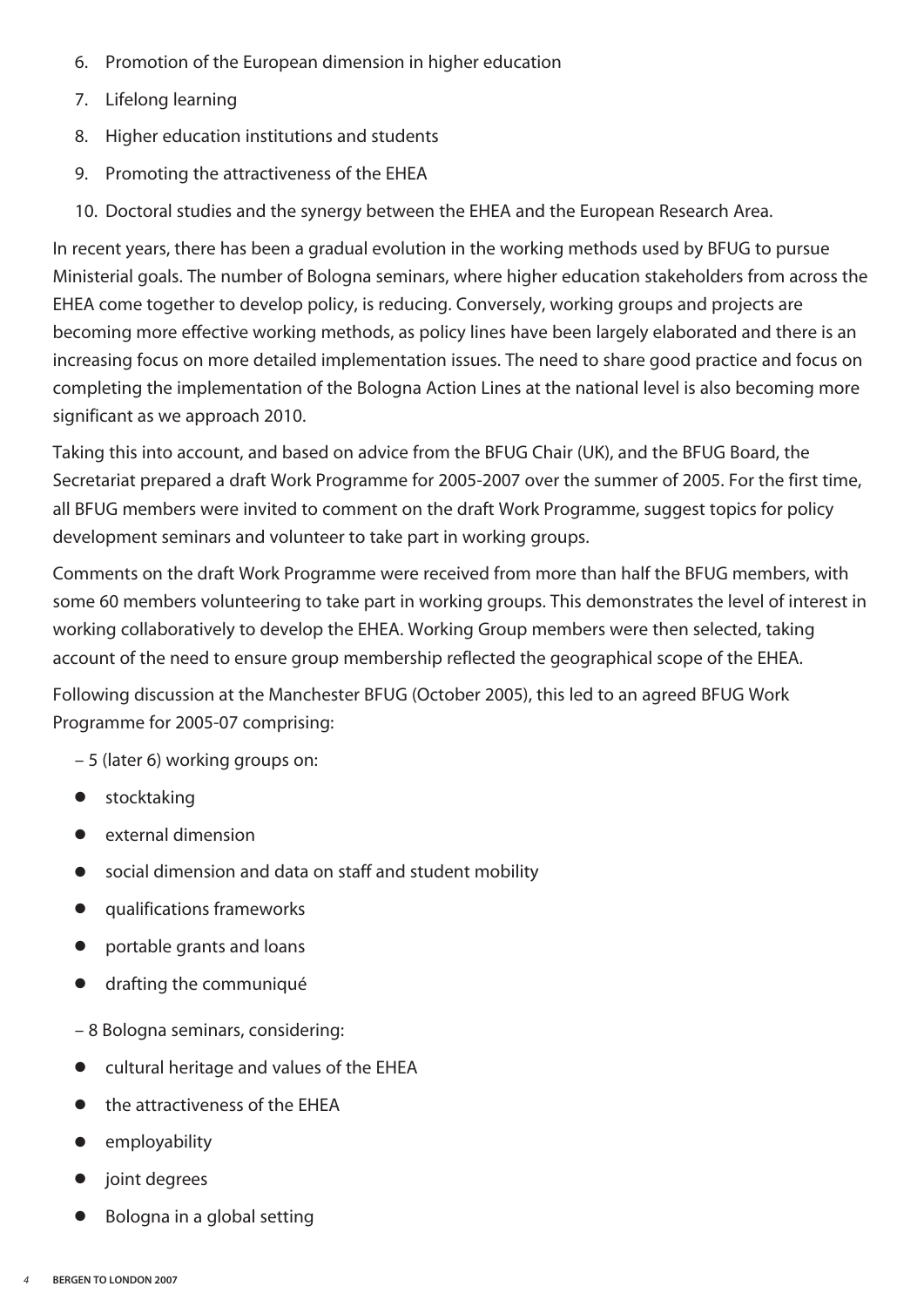- 6. Promotion of the European dimension in higher education
- 7. Lifelong learning
- 8. Higher education institutions and students
- 9. Promoting the attractiveness of the EHEA
- 10. Doctoral studies and the synergy between the EHEA and the European Research Area.

In recent years, there has been a gradual evolution in the working methods used by BFUG to pursue Ministerial goals. The number of Bologna seminars, where higher education stakeholders from across the EHEA come together to develop policy, is reducing. Conversely, working groups and projects are becoming more effective working methods, as policy lines have been largely elaborated and there is an increasing focus on more detailed implementation issues. The need to share good practice and focus on completing the implementation of the Bologna Action Lines at the national level is also becoming more significant as we approach 2010.

Taking this into account, and based on advice from the BFUG Chair (UK), and the BFUG Board, the Secretariat prepared a draft Work Programme for 2005-2007 over the summer of 2005. For the first time, all BFUG members were invited to comment on the draft Work Programme, suggest topics for policy development seminars and volunteer to take part in working groups.

Comments on the draft Work Programme were received from more than half the BFUG members, with some 60 members volunteering to take part in working groups. This demonstrates the level of interest in working collaboratively to develop the EHEA. Working Group members were then selected, taking account of the need to ensure group membership reflected the geographical scope of the EHEA.

Following discussion at the Manchester BFUG (October 2005), this led to an agreed BFUG Work Programme for 2005-07 comprising:

– 5 (later 6) working groups on:

- **●** stocktaking
- **●** external dimension
- **●** social dimension and data on staff and student mobility
- **●** qualifications frameworks
- **●** portable grants and loans
- **●** drafting the communiqué
- 8 Bologna seminars, considering:
- **●** cultural heritage and values of the EHEA
- **●** the attractiveness of the EHEA
- **●** employability
- **●** joint degrees
- **●** Bologna in a global setting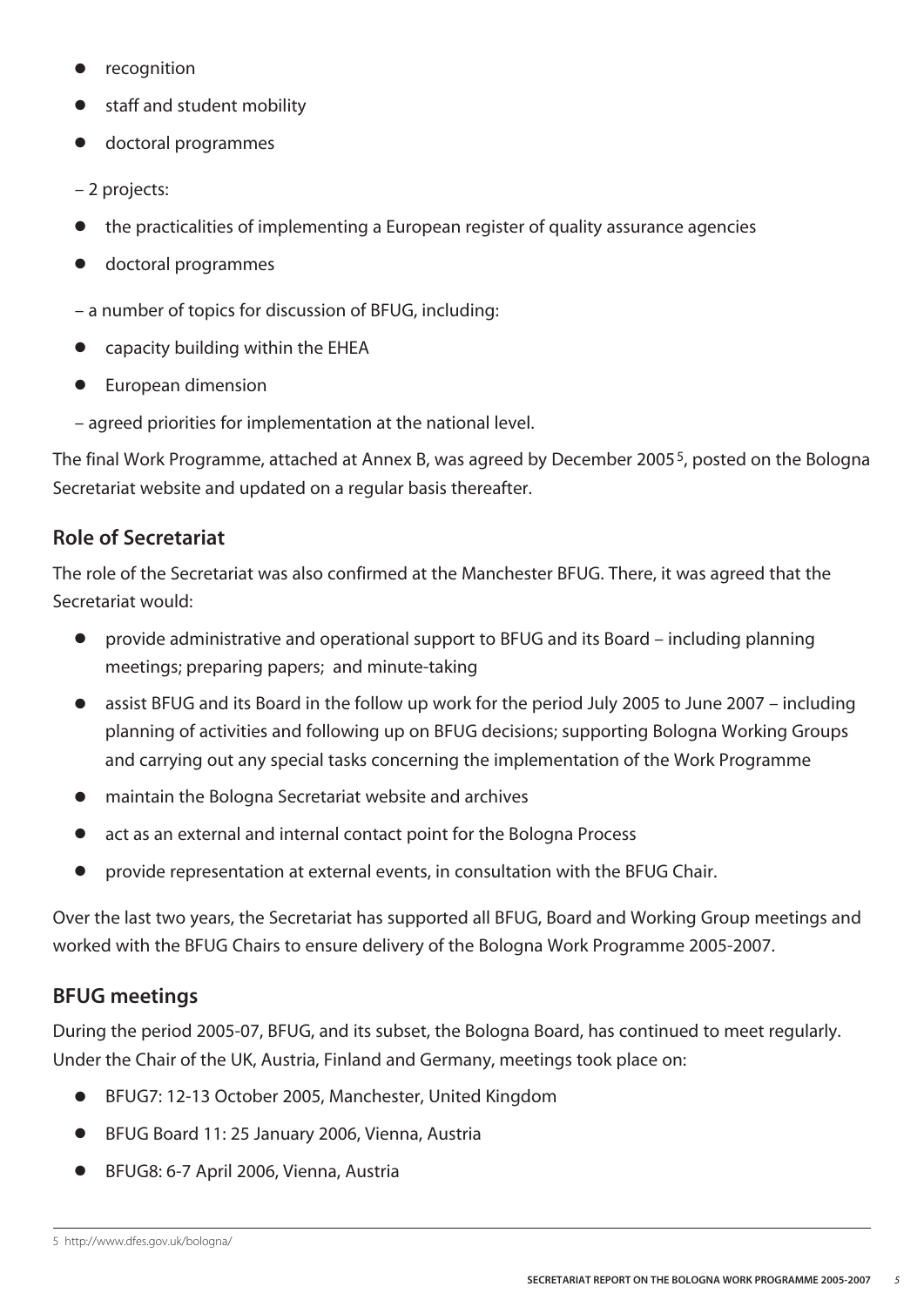- **●** recognition
- **●** staff and student mobility
- **●** doctoral programmes
- 2 projects:
- **●** the practicalities of implementing a European register of quality assurance agencies
- **●** doctoral programmes
- a number of topics for discussion of BFUG, including:
- **●** capacity building within the EHEA
- **●** European dimension
- agreed priorities for implementation at the national level.

The final Work Programme, attached at Annex B, was agreed by December 20055, posted on the Bologna Secretariat website and updated on a regular basis thereafter.

#### **Role of Secretariat**

The role of the Secretariat was also confirmed at the Manchester BFUG. There, it was agreed that the Secretariat would:

- **●** provide administrative and operational support to BFUG and its Board including planning meetings; preparing papers; and minute-taking
- **●** assist BFUG and its Board in the follow up work for the period July 2005 to June 2007 including planning of activities and following up on BFUG decisions; supporting Bologna Working Groups and carrying out any special tasks concerning the implementation of the Work Programme
- **●** maintain the Bologna Secretariat website and archives
- **●** act as an external and internal contact point for the Bologna Process
- **●** provide representation at external events, in consultation with the BFUG Chair.

Over the last two years, the Secretariat has supported all BFUG, Board and Working Group meetings and worked with the BFUG Chairs to ensure delivery of the Bologna Work Programme 2005-2007.

#### **BFUG meetings**

During the period 2005-07, BFUG, and its subset, the Bologna Board, has continued to meet regularly. Under the Chair of the UK, Austria, Finland and Germany, meetings took place on:

- **●** BFUG7: 12-13 October 2005, Manchester, United Kingdom
- **●** BFUG Board 11: 25 January 2006, Vienna, Austria
- **●** BFUG8: 6-7 April 2006, Vienna, Austria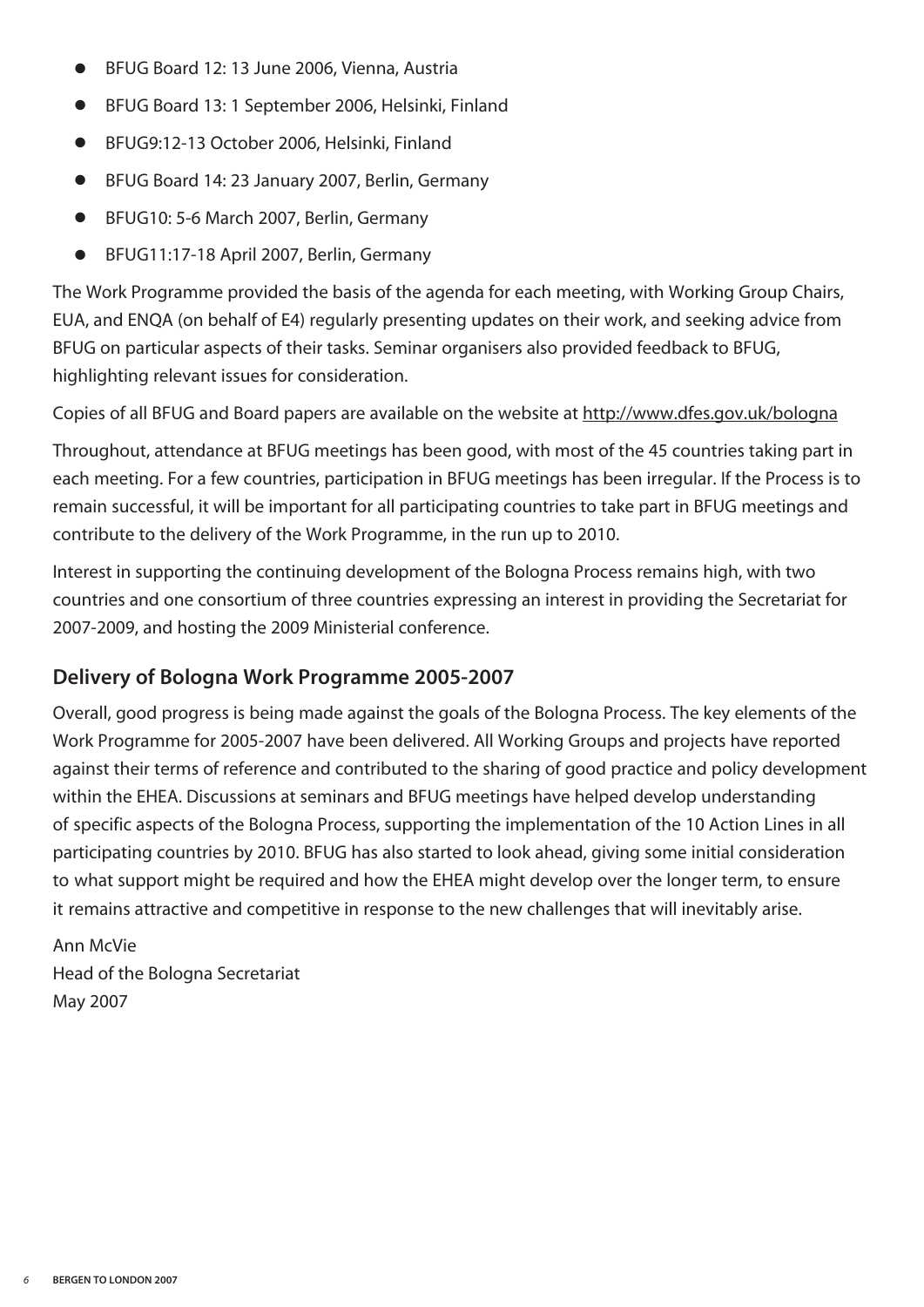- **●** BFUG Board 12: 13 June 2006, Vienna, Austria
- **●** BFUG Board 13: 1 September 2006, Helsinki, Finland
- **●** BFUG9:12-13 October 2006, Helsinki, Finland
- **●** BFUG Board 14: 23 January 2007, Berlin, Germany
- **●** BFUG10: 5-6 March 2007, Berlin, Germany
- **●** BFUG11:17-18 April 2007, Berlin, Germany

The Work Programme provided the basis of the agenda for each meeting, with Working Group Chairs, EUA, and ENQA (on behalf of E4) regularly presenting updates on their work, and seeking advice from BFUG on particular aspects of their tasks. Seminar organisers also provided feedback to BFUG, highlighting relevant issues for consideration.

Copies of all BFUG and Board papers are available on the website at http://www.dfes.gov.uk/bologna

Throughout, attendance at BFUG meetings has been good, with most of the 45 countries taking part in each meeting. For a few countries, participation in BFUG meetings has been irregular. If the Process is to remain successful, it will be important for all participating countries to take part in BFUG meetings and contribute to the delivery of the Work Programme, in the run up to 2010.

Interest in supporting the continuing development of the Bologna Process remains high, with two countries and one consortium of three countries expressing an interest in providing the Secretariat for 2007-2009, and hosting the 2009 Ministerial conference.

#### **Delivery of Bologna Work Programme 2005-2007**

Overall, good progress is being made against the goals of the Bologna Process. The key elements of the Work Programme for 2005-2007 have been delivered. All Working Groups and projects have reported against their terms of reference and contributed to the sharing of good practice and policy development within the EHEA. Discussions at seminars and BFUG meetings have helped develop understanding of specific aspects of the Bologna Process, supporting the implementation of the 10 Action Lines in all participating countries by 2010. BFUG has also started to look ahead, giving some initial consideration to what support might be required and how the EHEA might develop over the longer term, to ensure it remains attractive and competitive in response to the new challenges that will inevitably arise.

Ann McVie Head of the Bologna Secretariat May 2007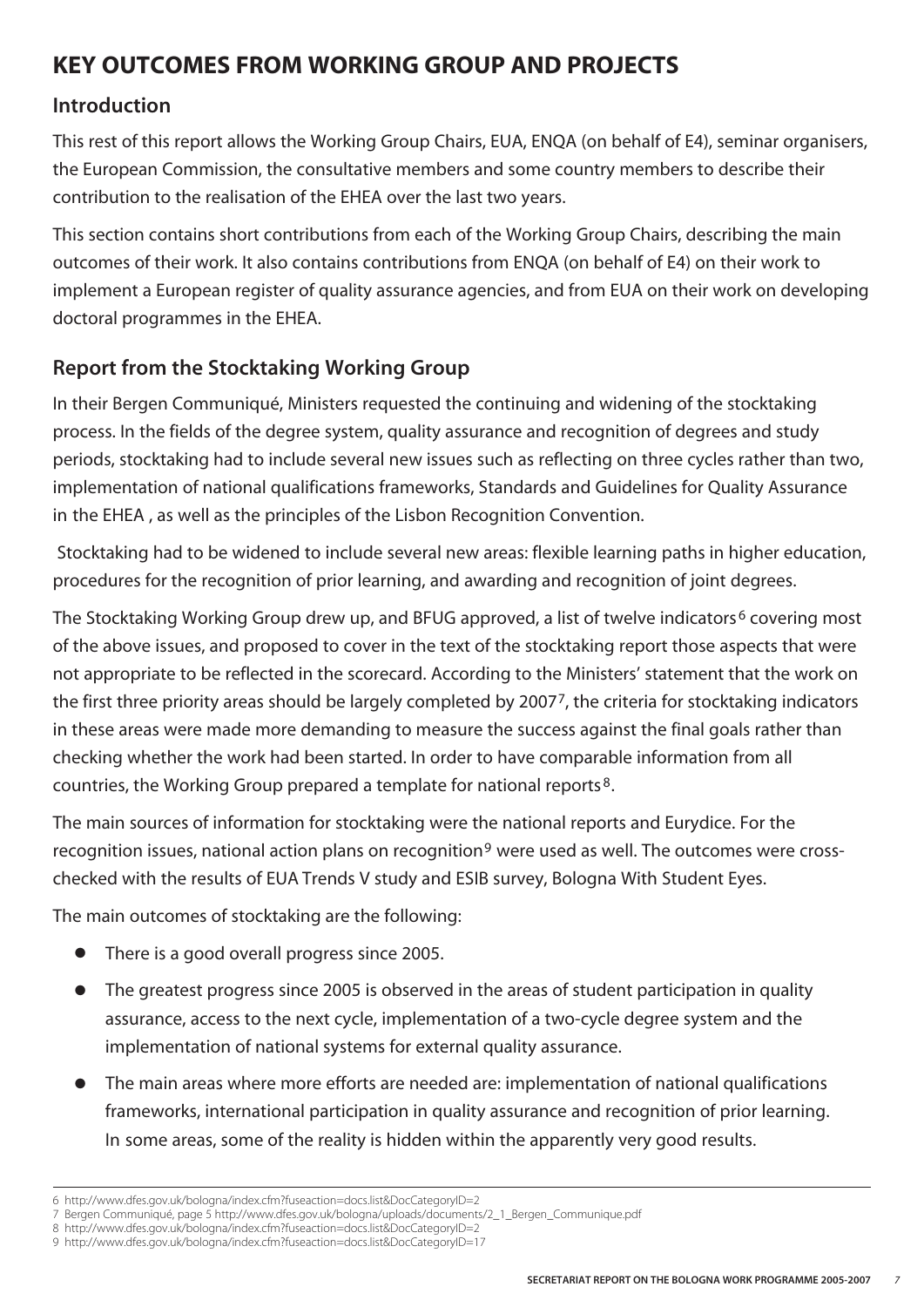#### **KEY OUTCOMES FROM WORKING GROUP AND PROJECTS**

#### **Introduction**

This rest of this report allows the Working Group Chairs, EUA, ENQA (on behalf of E4), seminar organisers, the European Commission, the consultative members and some country members to describe their contribution to the realisation of the EHEA over the last two years.

This section contains short contributions from each of the Working Group Chairs, describing the main outcomes of their work. It also contains contributions from ENQA (on behalf of E4) on their work to implement a European register of quality assurance agencies, and from EUA on their work on developing doctoral programmes in the EHEA.

#### **Report from the Stocktaking Working Group**

In their Bergen Communiqué, Ministers requested the continuing and widening of the stocktaking process. In the fields of the degree system, quality assurance and recognition of degrees and study periods, stocktaking had to include several new issues such as reflecting on three cycles rather than two, implementation of national qualifications frameworks, Standards and Guidelines for Quality Assurance in the EHEA , as well as the principles of the Lisbon Recognition Convention.

Stocktaking had to be widened to include several new areas: flexible learning paths in higher education, procedures for the recognition of prior learning, and awarding and recognition of joint degrees.

The Stocktaking Working Group drew up, and BFUG approved, a list of twelve indicators<sup>6</sup> covering most of the above issues, and proposed to cover in the text of the stocktaking report those aspects that were not appropriate to be reflected in the scorecard. According to the Ministers' statement that the work on the first three priority areas should be largely completed by 20077, the criteria for stocktaking indicators in these areas were made more demanding to measure the success against the final goals rather than checking whether the work had been started. In order to have comparable information from all countries, the Working Group prepared a template for national reports 8.

The main sources of information for stocktaking were the national reports and Eurydice. For the recognition issues, national action plans on recognition<sup>9</sup> were used as well. The outcomes were crosschecked with the results of EUA Trends V study and ESIB survey, Bologna With Student Eyes.

The main outcomes of stocktaking are the following:

- There is a good overall progress since 2005.
- **●** The greatest progress since 2005 is observed in the areas of student participation in quality assurance, access to the next cycle, implementation of a two-cycle degree system and the implementation of national systems for external quality assurance.
- **●** The main areas where more efforts are needed are: implementation of national qualifications frameworks, international participation in quality assurance and recognition of prior learning. In some areas, some of the reality is hidden within the apparently very good results.

<sup>6</sup> http://www.dfes.gov.uk/bologna/index.cfm?fuseaction=docs.list&DocCategoryID=2

<sup>7</sup> Bergen Communiqué, page 5 http://www.dfes.gov.uk/bologna/uploads/documents/2\_1\_Bergen\_Communique.pdf

<sup>8</sup> http://www.dfes.gov.uk/bologna/index.cfm?fuseaction=docs.list&DocCategoryID=2

<sup>9</sup> http://www.dfes.gov.uk/bologna/index.cfm?fuseaction=docs.list&DocCategoryID=17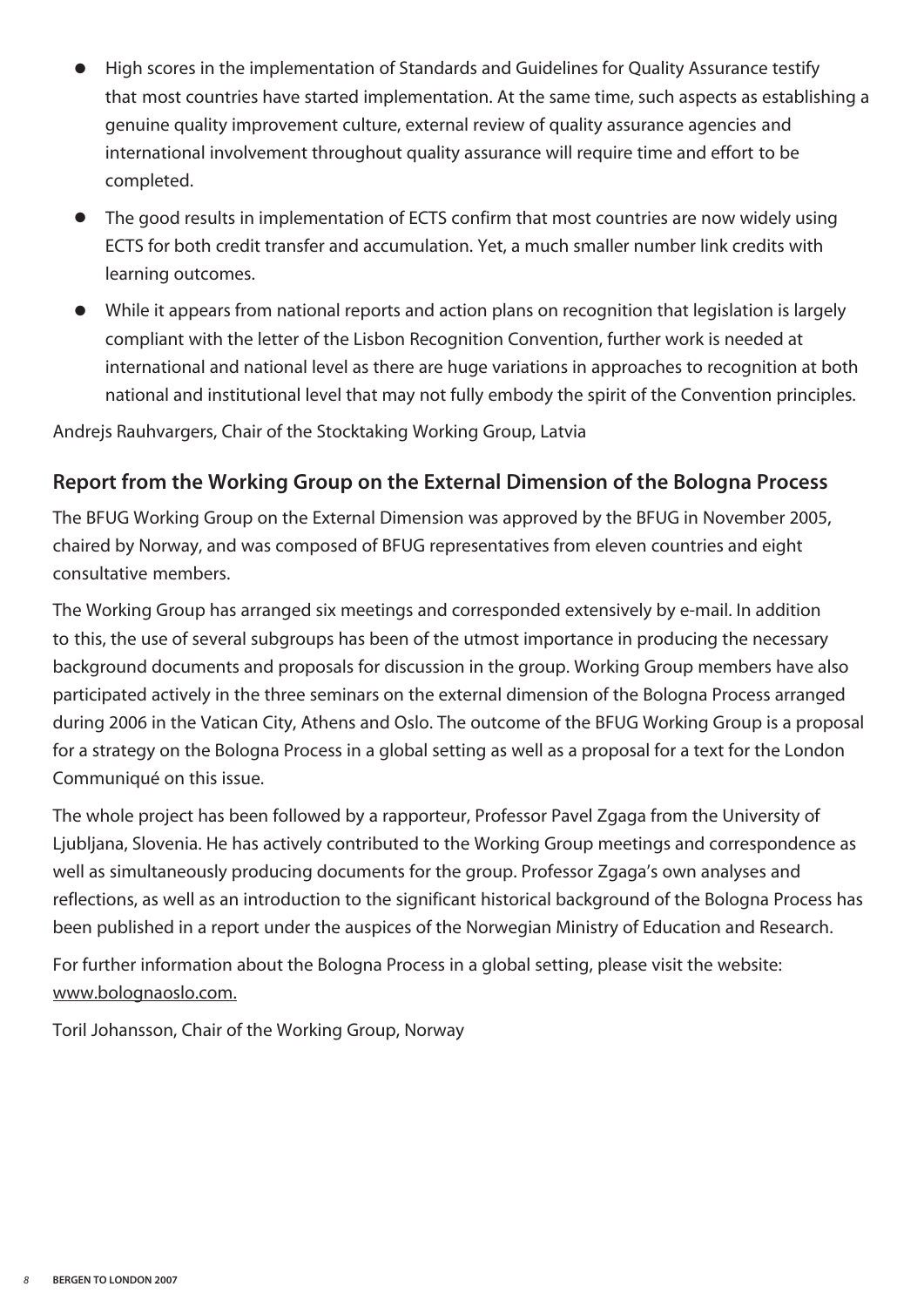- **●** High scores in the implementation of Standards and Guidelines for Quality Assurance testify that most countries have started implementation. At the same time, such aspects as establishing a genuine quality improvement culture, external review of quality assurance agencies and international involvement throughout quality assurance will require time and effort to be completed.
- **●** The good results in implementation of ECTS confirm that most countries are now widely using ECTS for both credit transfer and accumulation. Yet, a much smaller number link credits with learning outcomes.
- **●** While it appears from national reports and action plans on recognition that legislation is largely compliant with the letter of the Lisbon Recognition Convention, further work is needed at international and national level as there are huge variations in approaches to recognition at both national and institutional level that may not fully embody the spirit of the Convention principles.

Andrejs Rauhvargers, Chair of the Stocktaking Working Group, Latvia

#### **Report from the Working Group on the External Dimension of the Bologna Process**

The BFUG Working Group on the External Dimension was approved by the BFUG in November 2005, chaired by Norway, and was composed of BFUG representatives from eleven countries and eight consultative members.

The Working Group has arranged six meetings and corresponded extensively by e-mail. In addition to this, the use of several subgroups has been of the utmost importance in producing the necessary background documents and proposals for discussion in the group. Working Group members have also participated actively in the three seminars on the external dimension of the Bologna Process arranged during 2006 in the Vatican City, Athens and Oslo. The outcome of the BFUG Working Group is a proposal for a strategy on the Bologna Process in a global setting as well as a proposal for a text for the London Communiqué on this issue.

The whole project has been followed by a rapporteur, Professor Pavel Zgaga from the University of Ljubljana, Slovenia. He has actively contributed to the Working Group meetings and correspondence as well as simultaneously producing documents for the group. Professor Zgaga's own analyses and reflections, as well as an introduction to the significant historical background of the Bologna Process has been published in a report under the auspices of the Norwegian Ministry of Education and Research.

For further information about the Bologna Process in a global setting, please visit the website: www.bolognaoslo.com.

Toril Johansson, Chair of the Working Group, Norway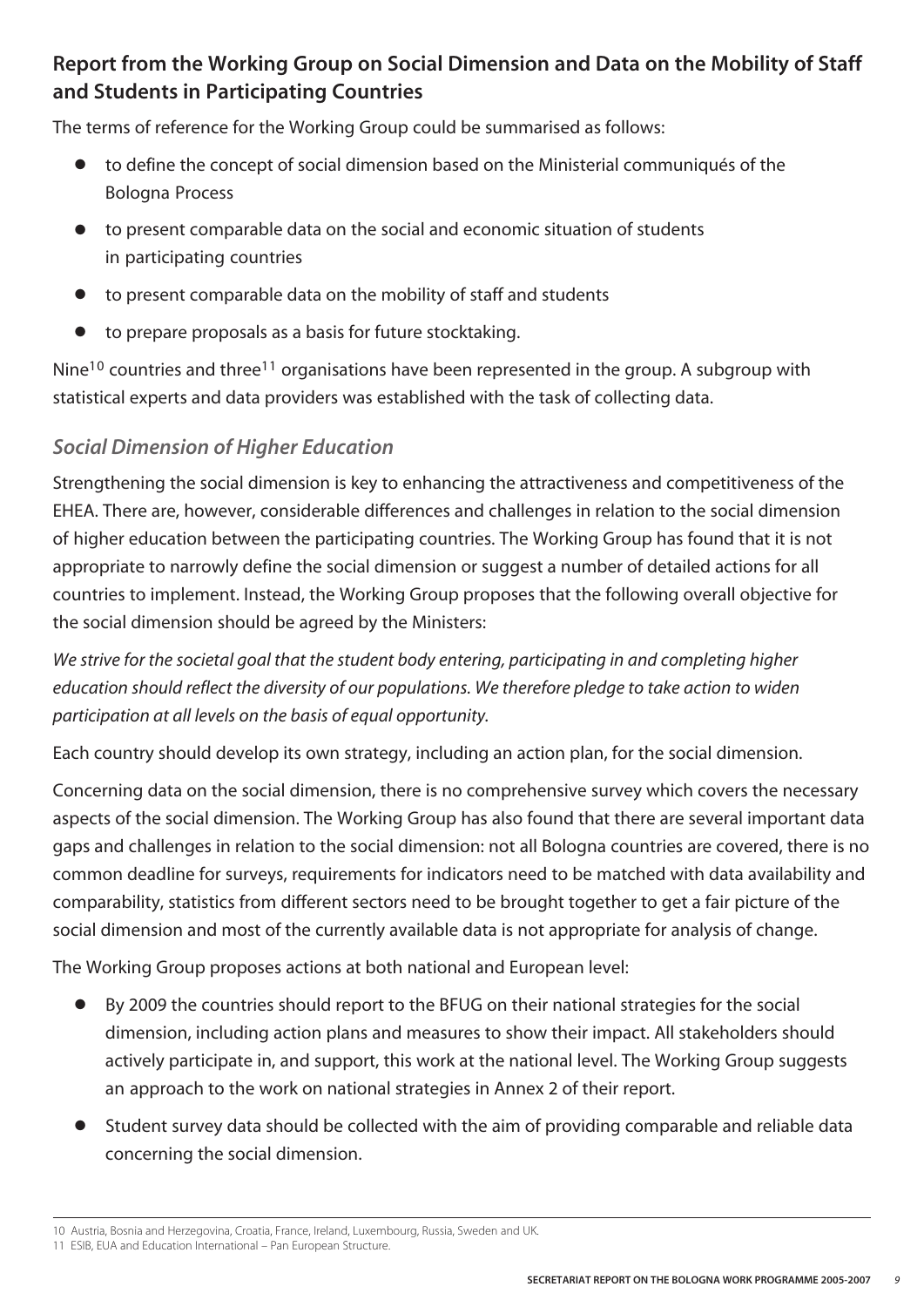#### **Report from the Working Group on Social Dimension and Data on the Mobility of Staff and Students in Participating Countries**

The terms of reference for the Working Group could be summarised as follows:

- **●** to define the concept of social dimension based on the Ministerial communiqués of the Bologna Process
- **●** to present comparable data on the social and economic situation of students in participating countries
- **●** to present comparable data on the mobility of staff and students
- **●** to prepare proposals as a basis for future stocktaking.

Nine<sup>10</sup> countries and three<sup>11</sup> organisations have been represented in the group. A subgroup with statistical experts and data providers was established with the task of collecting data.

#### *Social Dimension of Higher Education*

Strengthening the social dimension is key to enhancing the attractiveness and competitiveness of the EHEA. There are, however, considerable differences and challenges in relation to the social dimension of higher education between the participating countries. The Working Group has found that it is not appropriate to narrowly define the social dimension or suggest a number of detailed actions for all countries to implement. Instead, the Working Group proposes that the following overall objective for the social dimension should be agreed by the Ministers:

*We strive for the societal goal that the student body entering, participating in and completing higher education should reflect the diversity of our populations. We therefore pledge to take action to widen participation at all levels on the basis of equal opportunity.*

Each country should develop its own strategy, including an action plan, for the social dimension.

Concerning data on the social dimension, there is no comprehensive survey which covers the necessary aspects of the social dimension. The Working Group has also found that there are several important data gaps and challenges in relation to the social dimension: not all Bologna countries are covered, there is no common deadline for surveys, requirements for indicators need to be matched with data availability and comparability, statistics from different sectors need to be brought together to get a fair picture of the social dimension and most of the currently available data is not appropriate for analysis of change.

The Working Group proposes actions at both national and European level:

- **●** By 2009 the countries should report to the BFUG on their national strategies for the social dimension, including action plans and measures to show their impact. All stakeholders should actively participate in, and support, this work at the national level. The Working Group suggests an approach to the work on national strategies in Annex 2 of their report.
- **●** Student survey data should be collected with the aim of providing comparable and reliable data concerning the social dimension.

<sup>10</sup> Austria, Bosnia and Herzegovina, Croatia, France, Ireland, Luxembourg, Russia, Sweden and UK.

<sup>11</sup> ESIB, EUA and Education International – Pan European Structure.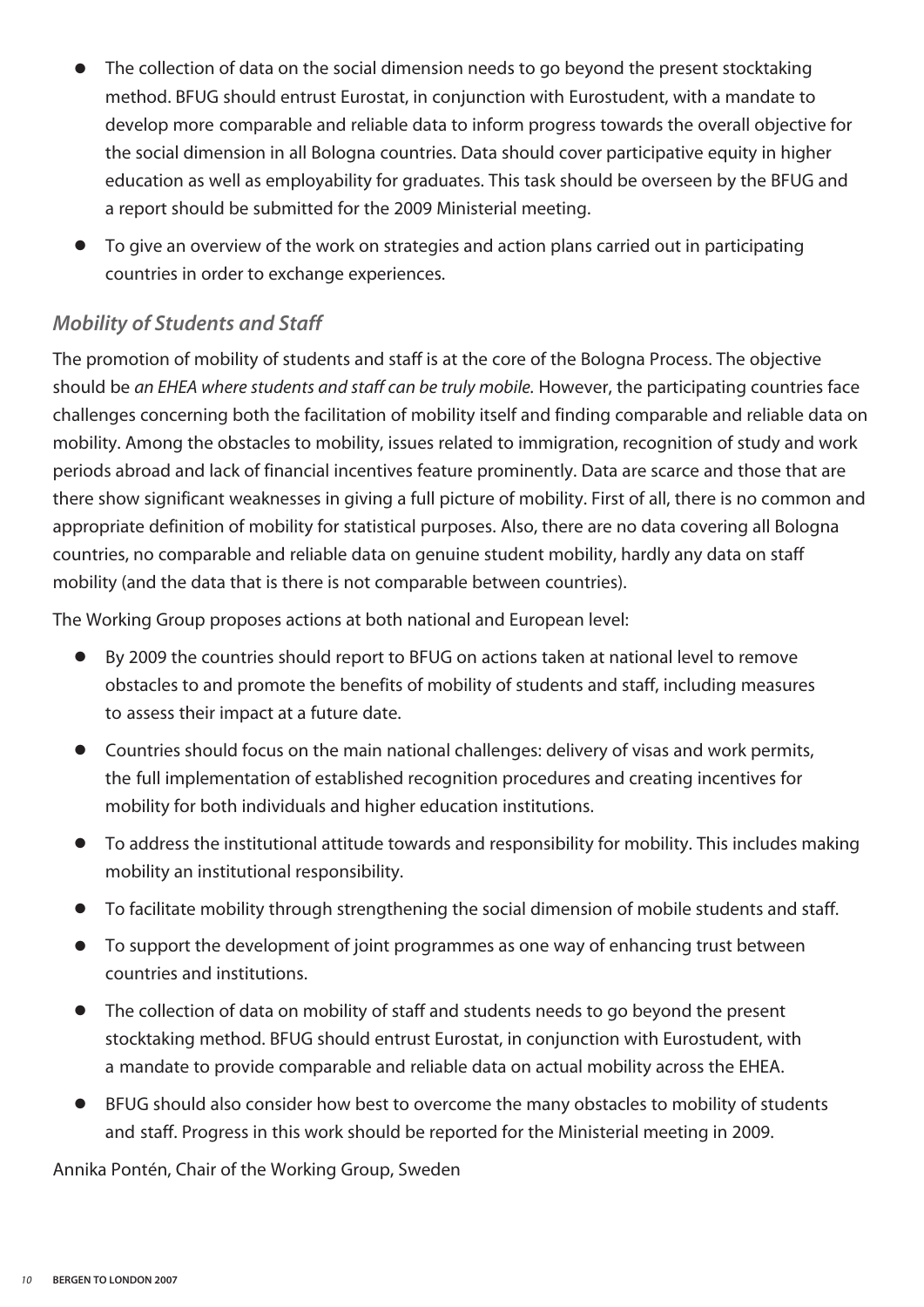- The collection of data on the social dimension needs to go beyond the present stocktaking method. BFUG should entrust Eurostat, in conjunction with Eurostudent, with a mandate to develop more comparable and reliable data to inform progress towards the overall objective for the social dimension in all Bologna countries. Data should cover participative equity in higher education as well as employability for graduates. This task should be overseen by the BFUG and a report should be submitted for the 2009 Ministerial meeting.
- **●** To give an overview of the work on strategies and action plans carried out in participating countries in order to exchange experiences.

#### *Mobility of Students and Staff*

The promotion of mobility of students and staff is at the core of the Bologna Process. The objective should be *an EHEA where students and staff can be truly mobile.* However, the participating countries face challenges concerning both the facilitation of mobility itself and finding comparable and reliable data on mobility. Among the obstacles to mobility, issues related to immigration, recognition of study and work periods abroad and lack of financial incentives feature prominently. Data are scarce and those that are there show significant weaknesses in giving a full picture of mobility. First of all, there is no common and appropriate definition of mobility for statistical purposes. Also, there are no data covering all Bologna countries, no comparable and reliable data on genuine student mobility, hardly any data on staff mobility (and the data that is there is not comparable between countries).

The Working Group proposes actions at both national and European level:

- **●** By 2009 the countries should report to BFUG on actions taken at national level to remove obstacles to and promote the benefits of mobility of students and staff, including measures to assess their impact at a future date.
- **●** Countries should focus on the main national challenges: delivery of visas and work permits, the full implementation of established recognition procedures and creating incentives for mobility for both individuals and higher education institutions.
- **●** To address the institutional attitude towards and responsibility for mobility. This includes making mobility an institutional responsibility.
- **●** To facilitate mobility through strengthening the social dimension of mobile students and staff.
- **●** To support the development of joint programmes as one way of enhancing trust between countries and institutions.
- **●** The collection of data on mobility of staff and students needs to go beyond the present stocktaking method. BFUG should entrust Eurostat, in conjunction with Eurostudent, with a mandate to provide comparable and reliable data on actual mobility across the EHEA.
- **●** BFUG should also consider how best to overcome the many obstacles to mobility of students and staff. Progress in this work should be reported for the Ministerial meeting in 2009.

Annika Pontén, Chair of the Working Group, Sweden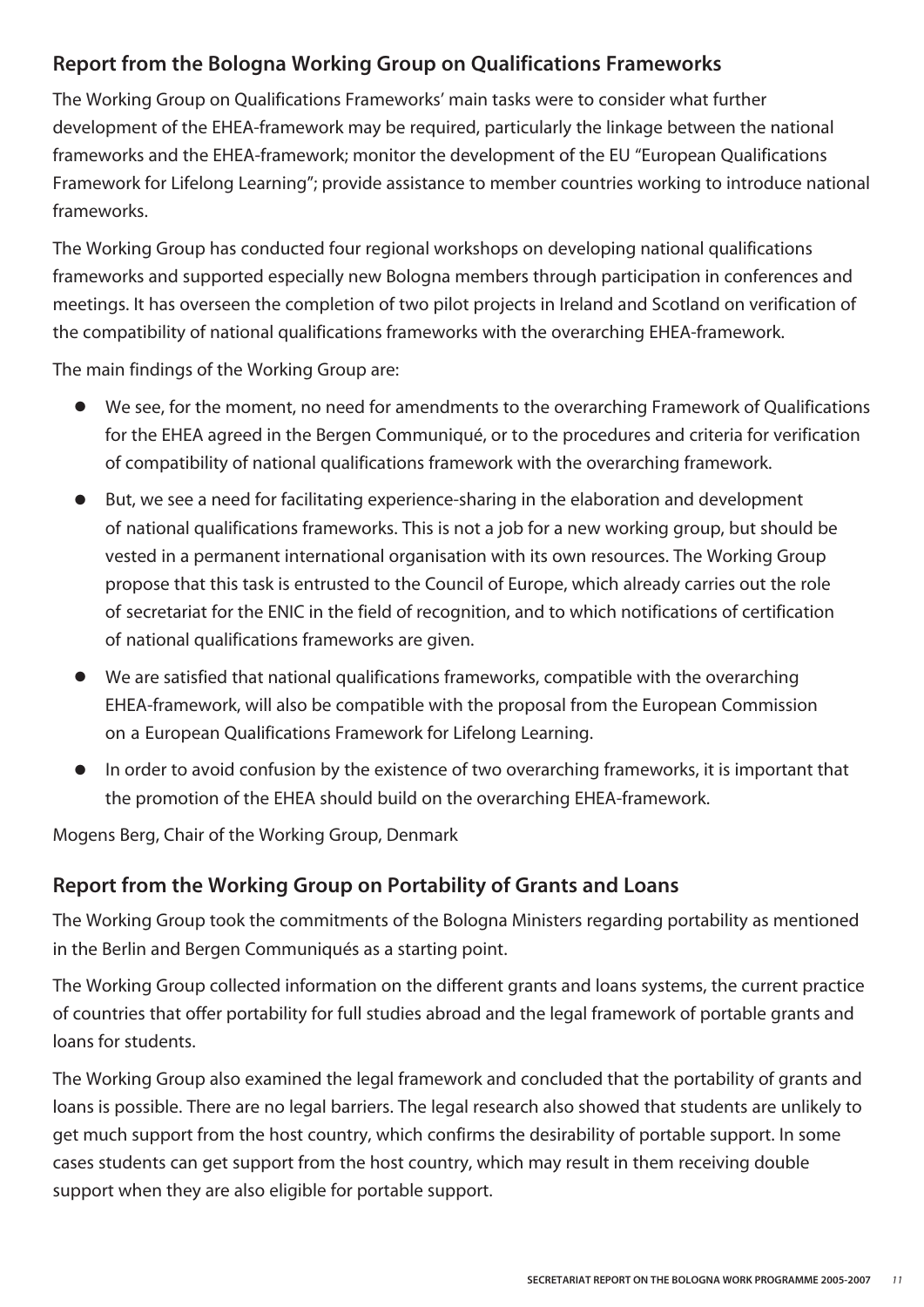#### **Report from the Bologna Working Group on Qualifications Frameworks**

The Working Group on Qualifications Frameworks' main tasks were to consider what further development of the EHEA-framework may be required, particularly the linkage between the national frameworks and the EHEA-framework; monitor the development of the EU "European Qualifications Framework for Lifelong Learning"; provide assistance to member countries working to introduce national frameworks.

The Working Group has conducted four regional workshops on developing national qualifications frameworks and supported especially new Bologna members through participation in conferences and meetings. It has overseen the completion of two pilot projects in Ireland and Scotland on verification of the compatibility of national qualifications frameworks with the overarching EHEA-framework.

The main findings of the Working Group are:

- **●** We see, for the moment, no need for amendments to the overarching Framework of Qualifications for the EHEA agreed in the Bergen Communiqué, or to the procedures and criteria for verification of compatibility of national qualifications framework with the overarching framework.
- But, we see a need for facilitating experience-sharing in the elaboration and development of national qualifications frameworks. This is not a job for a new working group, but should be vested in a permanent international organisation with its own resources. The Working Group propose that this task is entrusted to the Council of Europe, which already carries out the role of secretariat for the ENIC in the field of recognition, and to which notifications of certification of national qualifications frameworks are given.
- We are satisfied that national qualifications frameworks, compatible with the overarching EHEA-framework, will also be compatible with the proposal from the European Commission on a European Qualifications Framework for Lifelong Learning.
- In order to avoid confusion by the existence of two overarching frameworks, it is important that the promotion of the EHEA should build on the overarching EHEA-framework.

Mogens Berg, Chair of the Working Group, Denmark

#### **Report from the Working Group on Portability of Grants and Loans**

The Working Group took the commitments of the Bologna Ministers regarding portability as mentioned in the Berlin and Bergen Communiqués as a starting point.

The Working Group collected information on the different grants and loans systems, the current practice of countries that offer portability for full studies abroad and the legal framework of portable grants and loans for students.

The Working Group also examined the legal framework and concluded that the portability of grants and loans is possible. There are no legal barriers. The legal research also showed that students are unlikely to get much support from the host country, which confirms the desirability of portable support. In some cases students can get support from the host country, which may result in them receiving double support when they are also eligible for portable support.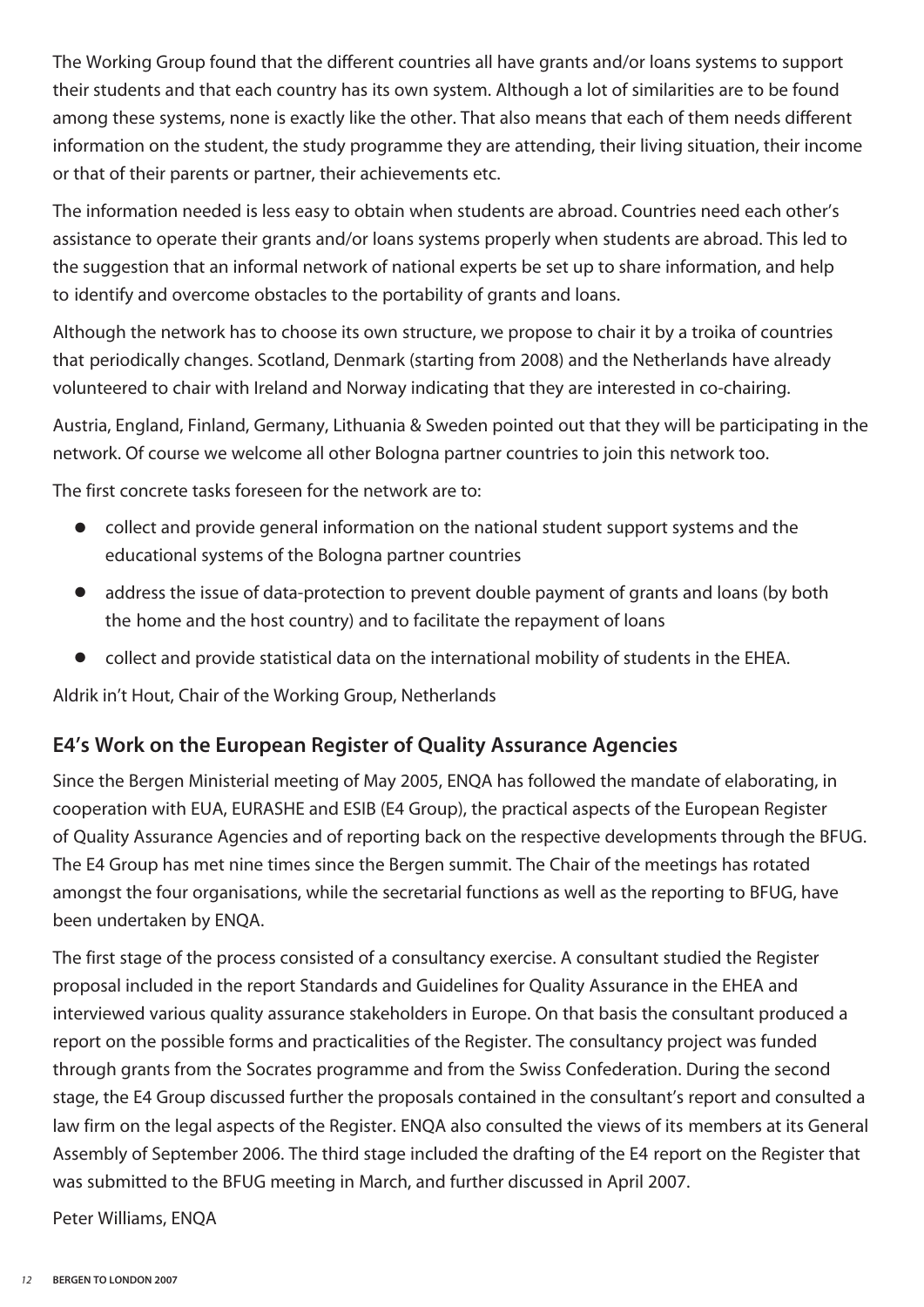The Working Group found that the different countries all have grants and/or loans systems to support their students and that each country has its own system. Although a lot of similarities are to be found among these systems, none is exactly like the other. That also means that each of them needs different information on the student, the study programme they are attending, their living situation, their income or that of their parents or partner, their achievements etc.

The information needed is less easy to obtain when students are abroad. Countries need each other's assistance to operate their grants and/or loans systems properly when students are abroad. This led to the suggestion that an informal network of national experts be set up to share information, and help to identify and overcome obstacles to the portability of grants and loans.

Although the network has to choose its own structure, we propose to chair it by a troika of countries that periodically changes. Scotland, Denmark (starting from 2008) and the Netherlands have already volunteered to chair with Ireland and Norway indicating that they are interested in co-chairing.

Austria, England, Finland, Germany, Lithuania & Sweden pointed out that they will be participating in the network. Of course we welcome all other Bologna partner countries to join this network too.

The first concrete tasks foreseen for the network are to:

- **●** collect and provide general information on the national student support systems and the educational systems of the Bologna partner countries
- **●** address the issue of data-protection to prevent double payment of grants and loans (by both the home and the host country) and to facilitate the repayment of loans
- **●** collect and provide statistical data on the international mobility of students in the EHEA.

Aldrik in't Hout, Chair of the Working Group, Netherlands

#### **E4's Work on the European Register of Quality Assurance Agencies**

Since the Bergen Ministerial meeting of May 2005, ENQA has followed the mandate of elaborating, in cooperation with EUA, EURASHE and ESIB (E4 Group), the practical aspects of the European Register of Quality Assurance Agencies and of reporting back on the respective developments through the BFUG. The E4 Group has met nine times since the Bergen summit. The Chair of the meetings has rotated amongst the four organisations, while the secretarial functions as well as the reporting to BFUG, have been undertaken by ENQA.

The first stage of the process consisted of a consultancy exercise. A consultant studied the Register proposal included in the report Standards and Guidelines for Quality Assurance in the EHEA and interviewed various quality assurance stakeholders in Europe. On that basis the consultant produced a report on the possible forms and practicalities of the Register. The consultancy project was funded through grants from the Socrates programme and from the Swiss Confederation. During the second stage, the E4 Group discussed further the proposals contained in the consultant's report and consulted a law firm on the legal aspects of the Register. ENQA also consulted the views of its members at its General Assembly of September 2006. The third stage included the drafting of the E4 report on the Register that was submitted to the BFUG meeting in March, and further discussed in April 2007.

Peter Williams, ENQA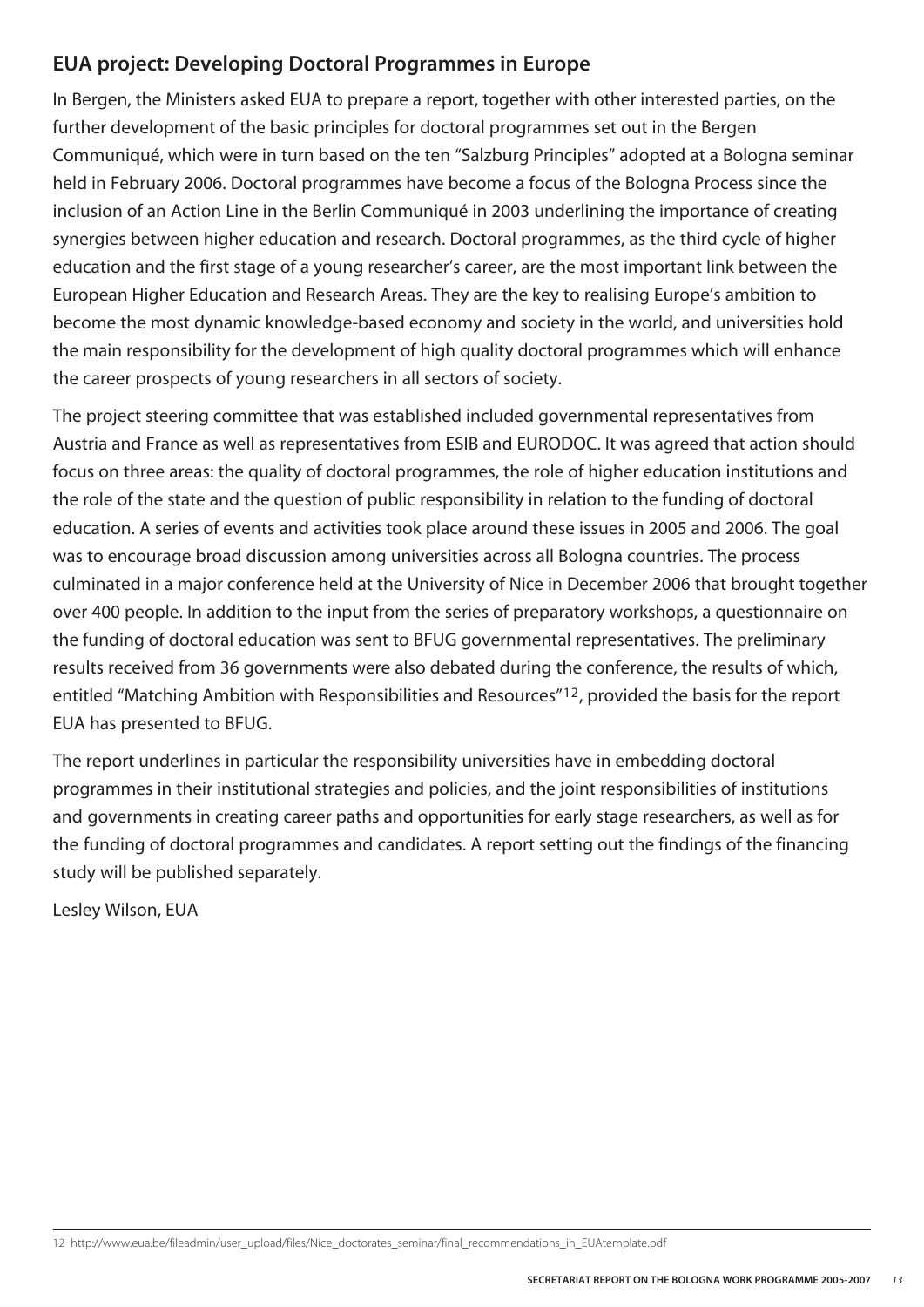#### **EUA project: Developing Doctoral Programmes in Europe**

In Bergen, the Ministers asked EUA to prepare a report, together with other interested parties, on the further development of the basic principles for doctoral programmes set out in the Bergen Communiqué, which were in turn based on the ten "Salzburg Principles" adopted at a Bologna seminar held in February 2006. Doctoral programmes have become a focus of the Bologna Process since the inclusion of an Action Line in the Berlin Communiqué in 2003 underlining the importance of creating synergies between higher education and research. Doctoral programmes, as the third cycle of higher education and the first stage of a young researcher's career, are the most important link between the European Higher Education and Research Areas. They are the key to realising Europe's ambition to become the most dynamic knowledge-based economy and society in the world, and universities hold the main responsibility for the development of high quality doctoral programmes which will enhance the career prospects of young researchers in all sectors of society.

The project steering committee that was established included governmental representatives from Austria and France as well as representatives from ESIB and EURODOC. It was agreed that action should focus on three areas: the quality of doctoral programmes, the role of higher education institutions and the role of the state and the question of public responsibility in relation to the funding of doctoral education. A series of events and activities took place around these issues in 2005 and 2006. The goal was to encourage broad discussion among universities across all Bologna countries. The process culminated in a major conference held at the University of Nice in December 2006 that brought together over 400 people. In addition to the input from the series of preparatory workshops, a questionnaire on the funding of doctoral education was sent to BFUG governmental representatives. The preliminary results received from 36 governments were also debated during the conference, the results of which, entitled "Matching Ambition with Responsibilities and Resources"12, provided the basis for the report EUA has presented to BFUG.

The report underlines in particular the responsibility universities have in embedding doctoral programmes in their institutional strategies and policies, and the joint responsibilities of institutions and governments in creating career paths and opportunities for early stage researchers, as well as for the funding of doctoral programmes and candidates. A report setting out the findings of the financing study will be published separately.

Lesley Wilson, EUA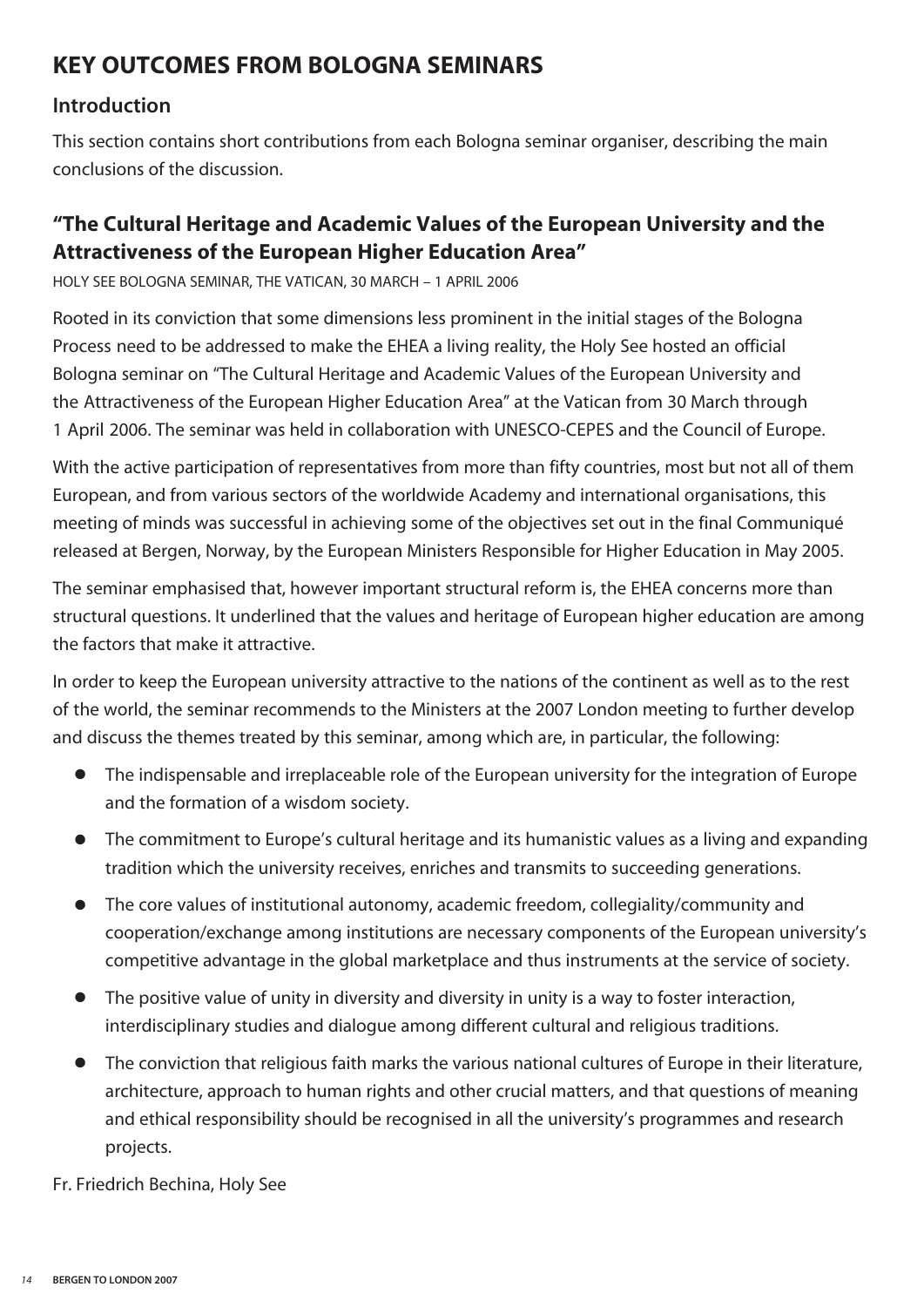#### **KEY OUTCOMES FROM BOLOGNA SEMINARS**

#### **Introduction**

This section contains short contributions from each Bologna seminar organiser, describing the main conclusions of the discussion.

#### **"The Cultural Heritage and Academic Values of the European University and the Attractiveness of the European Higher Education Area"**

HOLY SEE BOLOGNA SEMINAR, THE VATICAN, 30 MARCH – 1 APRIL 2006

Rooted in its conviction that some dimensions less prominent in the initial stages of the Bologna Process need to be addressed to make the EHEA a living reality, the Holy See hosted an official Bologna seminar on "The Cultural Heritage and Academic Values of the European University and the Attractiveness of the European Higher Education Area" at the Vatican from 30 March through 1 April 2006. The seminar was held in collaboration with UNESCO-CEPES and the Council of Europe.

With the active participation of representatives from more than fifty countries, most but not all of them European, and from various sectors of the worldwide Academy and international organisations, this meeting of minds was successful in achieving some of the objectives set out in the final Communiqué released at Bergen, Norway, by the European Ministers Responsible for Higher Education in May 2005.

The seminar emphasised that, however important structural reform is, the EHEA concerns more than structural questions. It underlined that the values and heritage of European higher education are among the factors that make it attractive.

In order to keep the European university attractive to the nations of the continent as well as to the rest of the world, the seminar recommends to the Ministers at the 2007 London meeting to further develop and discuss the themes treated by this seminar, among which are, in particular, the following:

- **●** The indispensable and irreplaceable role of the European university for the integration of Europe and the formation of a wisdom society.
- **●** The commitment to Europe's cultural heritage and its humanistic values as a living and expanding tradition which the university receives, enriches and transmits to succeeding generations.
- **●** The core values of institutional autonomy, academic freedom, collegiality/community and cooperation/exchange among institutions are necessary components of the European university's competitive advantage in the global marketplace and thus instruments at the service of society.
- **●** The positive value of unity in diversity and diversity in unity is a way to foster interaction, interdisciplinary studies and dialogue among different cultural and religious traditions.
- **●** The conviction that religious faith marks the various national cultures of Europe in their literature, architecture, approach to human rights and other crucial matters, and that questions of meaning and ethical responsibility should be recognised in all the university's programmes and research projects.

Fr. Friedrich Bechina, Holy See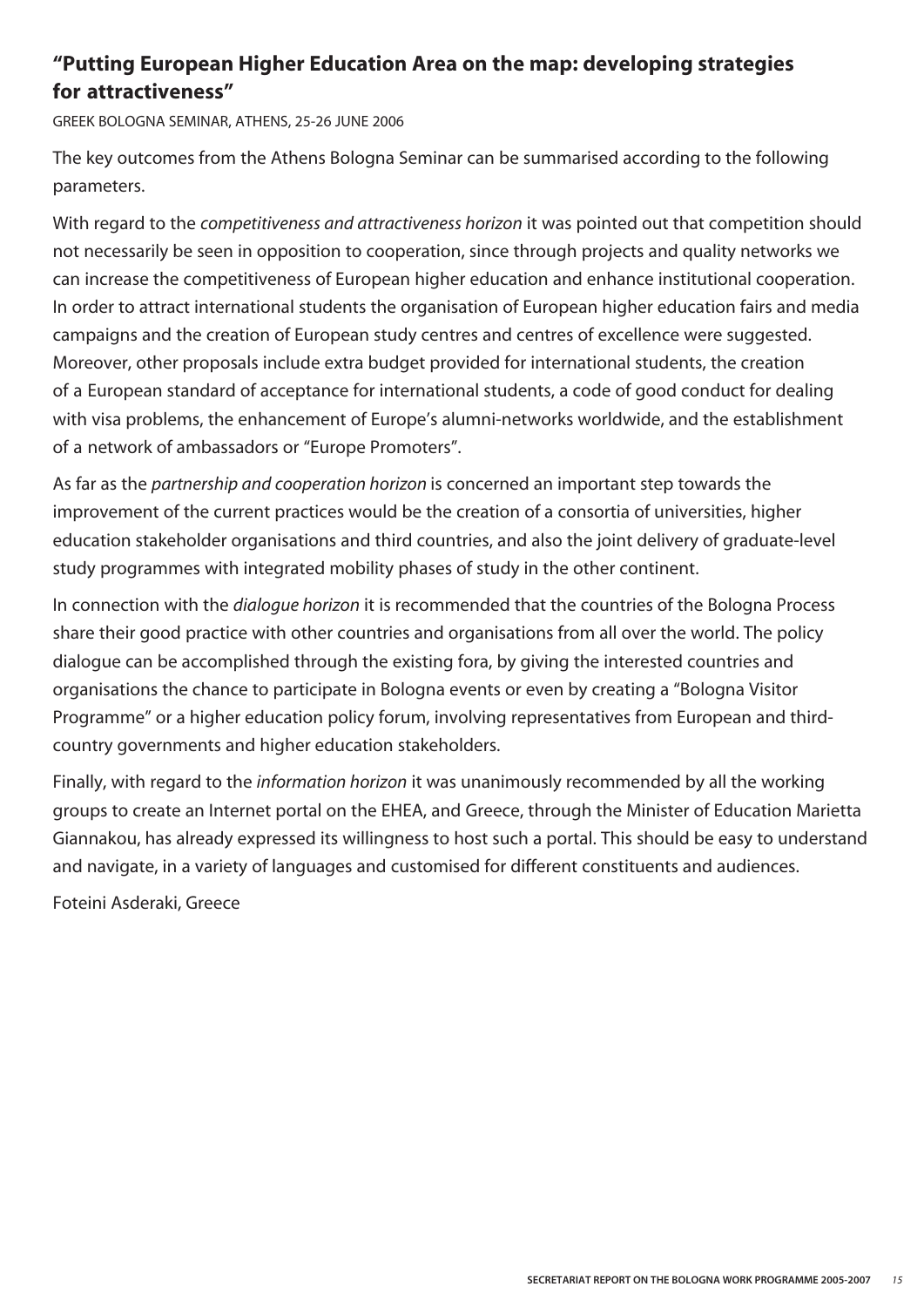#### **"Putting European Higher Education Area on the map: developing strategies for attractiveness"**

GREEK BOLOGNA SEMINAR, ATHENS, 25-26 JUNE 2006

The key outcomes from the Athens Bologna Seminar can be summarised according to the following parameters.

With regard to the *competitiveness and attractiveness horizon* it was pointed out that competition should not necessarily be seen in opposition to cooperation, since through projects and quality networks we can increase the competitiveness of European higher education and enhance institutional cooperation. In order to attract international students the organisation of European higher education fairs and media campaigns and the creation of European study centres and centres of excellence were suggested. Moreover, other proposals include extra budget provided for international students, the creation of a European standard of acceptance for international students, a code of good conduct for dealing with visa problems, the enhancement of Europe's alumni-networks worldwide, and the establishment of a network of ambassadors or "Europe Promoters".

As far as the *partnership and cooperation horizon* is concerned an important step towards the improvement of the current practices would be the creation of a consortia of universities, higher education stakeholder organisations and third countries, and also the joint delivery of graduate-level study programmes with integrated mobility phases of study in the other continent.

In connection with the *dialogue horizon* it is recommended that the countries of the Bologna Process share their good practice with other countries and organisations from all over the world. The policy dialogue can be accomplished through the existing fora, by giving the interested countries and organisations the chance to participate in Bologna events or even by creating a "Bologna Visitor Programme" or a higher education policy forum, involving representatives from European and thirdcountry governments and higher education stakeholders.

Finally, with regard to the *information horizon* it was unanimously recommended by all the working groups to create an Internet portal on the EHEA, and Greece, through the Minister of Education Marietta Giannakou, has already expressed its willingness to host such a portal. This should be easy to understand and navigate, in a variety of languages and customised for different constituents and audiences.

Foteini Asderaki, Greece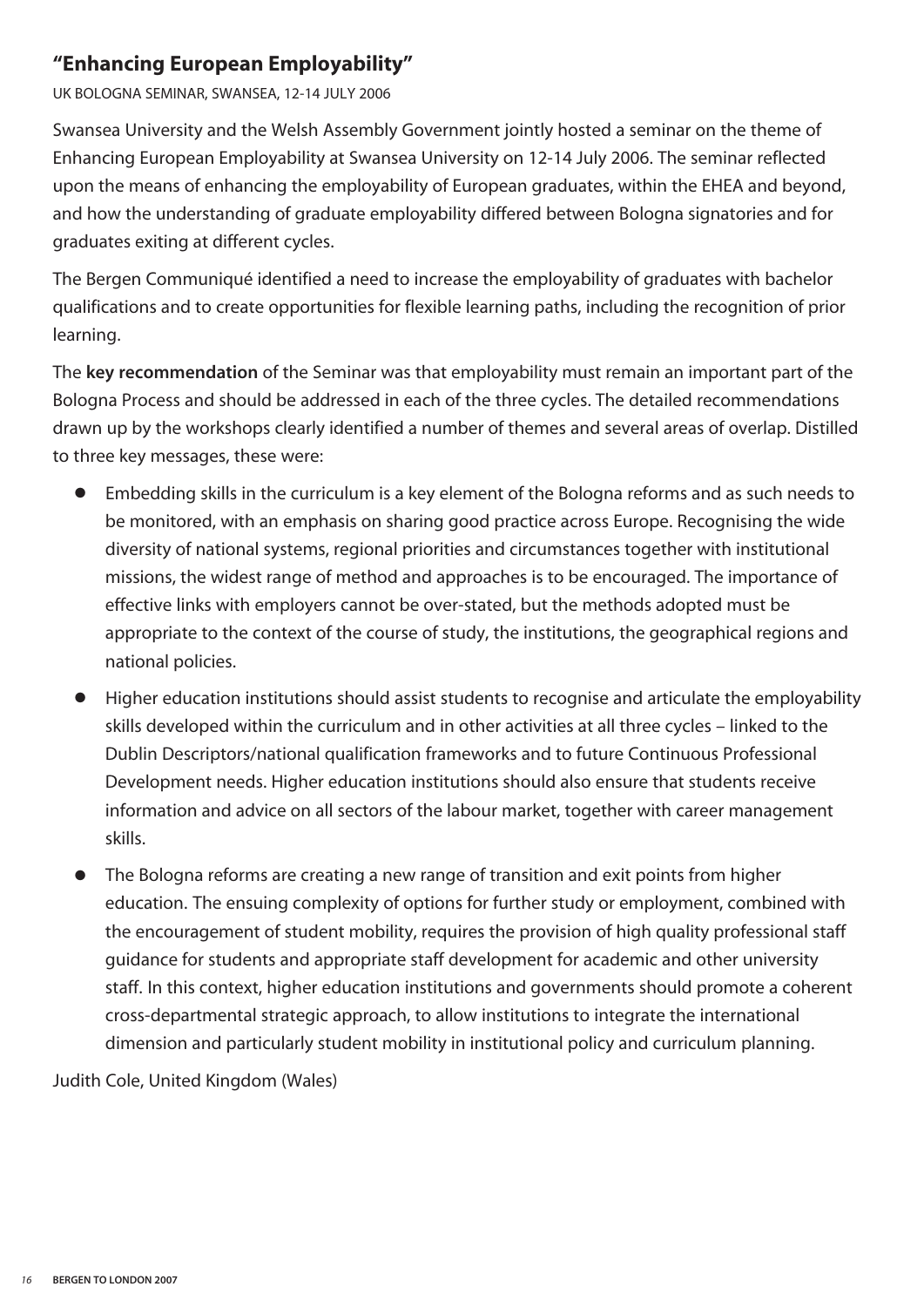#### **"Enhancing European Employability"**

UK BOLOGNA SEMINAR, SWANSEA, 12-14 JULY 2006

Swansea University and the Welsh Assembly Government jointly hosted a seminar on the theme of Enhancing European Employability at Swansea University on 12-14 July 2006. The seminar reflected upon the means of enhancing the employability of European graduates, within the EHEA and beyond, and how the understanding of graduate employability differed between Bologna signatories and for graduates exiting at different cycles.

The Bergen Communiqué identified a need to increase the employability of graduates with bachelor qualifications and to create opportunities for flexible learning paths, including the recognition of prior learning.

The **key recommendation** of the Seminar was that employability must remain an important part of the Bologna Process and should be addressed in each of the three cycles. The detailed recommendations drawn up by the workshops clearly identified a number of themes and several areas of overlap. Distilled to three key messages, these were:

- Embedding skills in the curriculum is a key element of the Bologna reforms and as such needs to be monitored, with an emphasis on sharing good practice across Europe. Recognising the wide diversity of national systems, regional priorities and circumstances together with institutional missions, the widest range of method and approaches is to be encouraged. The importance of effective links with employers cannot be over-stated, but the methods adopted must be appropriate to the context of the course of study, the institutions, the geographical regions and national policies.
- **●** Higher education institutions should assist students to recognise and articulate the employability skills developed within the curriculum and in other activities at all three cycles – linked to the Dublin Descriptors/national qualification frameworks and to future Continuous Professional Development needs. Higher education institutions should also ensure that students receive information and advice on all sectors of the labour market, together with career management skills.
- The Bologna reforms are creating a new range of transition and exit points from higher education. The ensuing complexity of options for further study or employment, combined with the encouragement of student mobility, requires the provision of high quality professional staff guidance for students and appropriate staff development for academic and other university staff. In this context, higher education institutions and governments should promote a coherent cross-departmental strategic approach, to allow institutions to integrate the international dimension and particularly student mobility in institutional policy and curriculum planning.

Judith Cole, United Kingdom (Wales)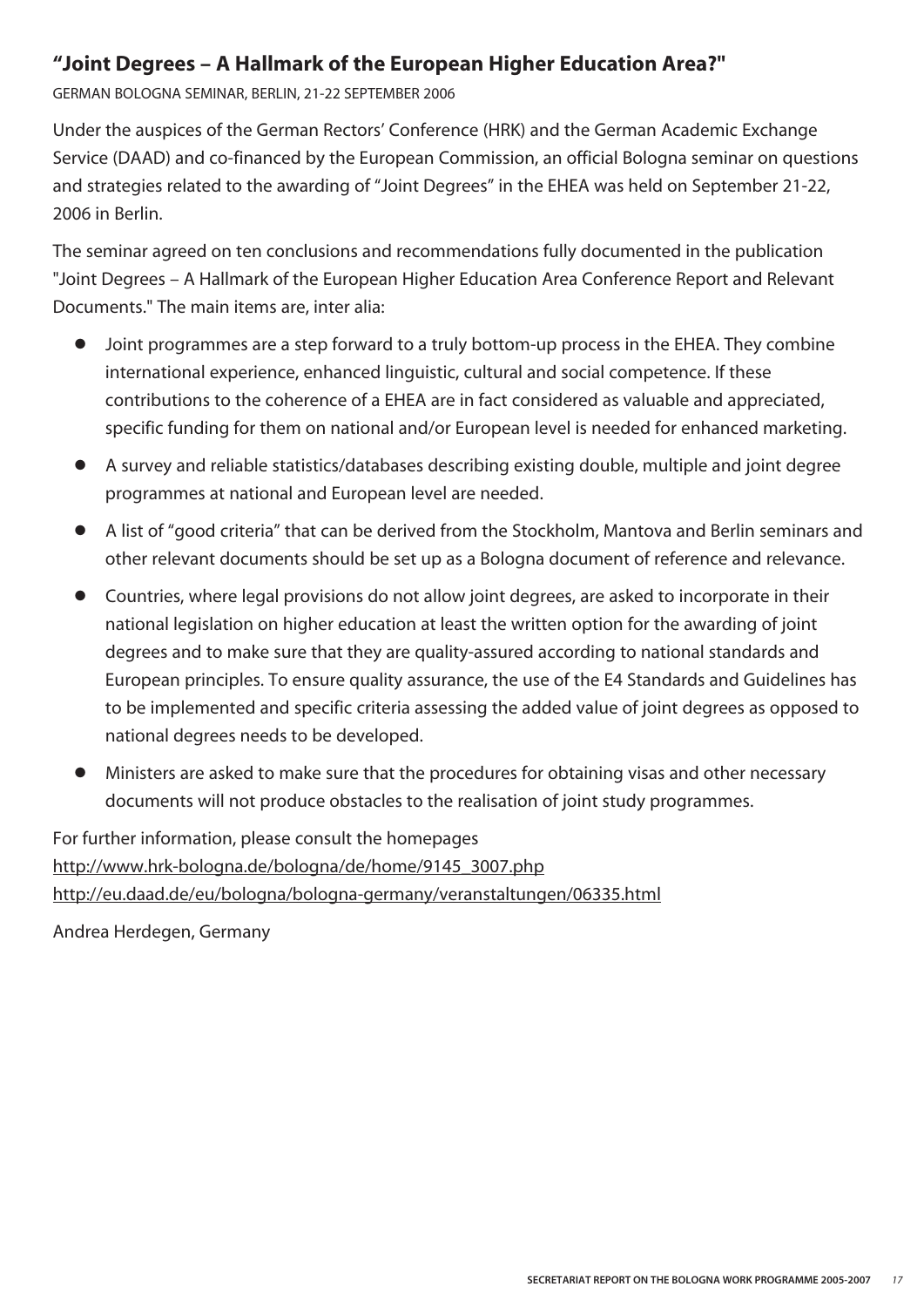#### **"Joint Degrees – A Hallmark of the European Higher Education Area?"**

GERMAN BOLOGNA SEMINAR, BERLIN, 21-22 SEPTEMBER 2006

Under the auspices of the German Rectors' Conference (HRK) and the German Academic Exchange Service (DAAD) and co-financed by the European Commission, an official Bologna seminar on questions and strategies related to the awarding of "Joint Degrees" in the EHEA was held on September 21-22, 2006 in Berlin.

The seminar agreed on ten conclusions and recommendations fully documented in the publication "Joint Degrees – A Hallmark of the European Higher Education Area Conference Report and Relevant Documents." The main items are, inter alia:

- **●** Joint programmes are a step forward to a truly bottom-up process in the EHEA. They combine international experience, enhanced linguistic, cultural and social competence. If these contributions to the coherence of a EHEA are in fact considered as valuable and appreciated, specific funding for them on national and/or European level is needed for enhanced marketing.
- **●** A survey and reliable statistics/databases describing existing double, multiple and joint degree programmes at national and European level are needed.
- **●** A list of "good criteria" that can be derived from the Stockholm, Mantova and Berlin seminars and other relevant documents should be set up as a Bologna document of reference and relevance.
- **●** Countries, where legal provisions do not allow joint degrees, are asked to incorporate in their national legislation on higher education at least the written option for the awarding of joint degrees and to make sure that they are quality-assured according to national standards and European principles. To ensure quality assurance, the use of the E4 Standards and Guidelines has to be implemented and specific criteria assessing the added value of joint degrees as opposed to national degrees needs to be developed.
- Ministers are asked to make sure that the procedures for obtaining visas and other necessary documents will not produce obstacles to the realisation of joint study programmes.

For further information, please consult the homepages http://www.hrk-bologna.de/bologna/de/home/9145\_3007.php http://eu.daad.de/eu/bologna/bologna-germany/veranstaltungen/06335.html

Andrea Herdegen, Germany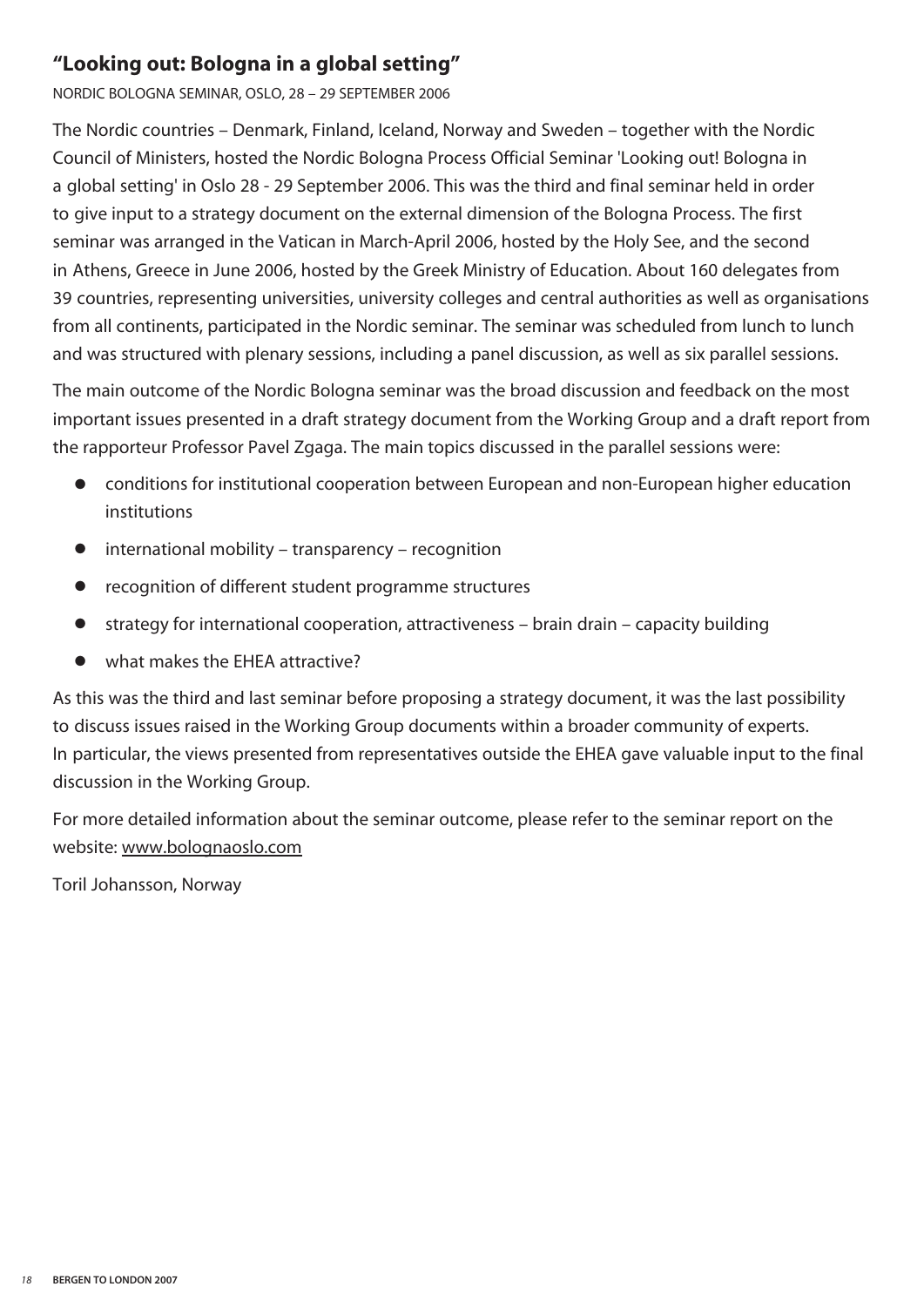#### **"Looking out: Bologna in a global setting"**

NORDIC BOLOGNA SEMINAR, OSLO, 28 – 29 SEPTEMBER 2006

The Nordic countries – Denmark, Finland, Iceland, Norway and Sweden – together with the Nordic Council of Ministers, hosted the Nordic Bologna Process Official Seminar 'Looking out! Bologna in a global setting' in Oslo 28 - 29 September 2006. This was the third and final seminar held in order to give input to a strategy document on the external dimension of the Bologna Process. The first seminar was arranged in the Vatican in March-April 2006, hosted by the Holy See, and the second in Athens, Greece in June 2006, hosted by the Greek Ministry of Education. About 160 delegates from 39 countries, representing universities, university colleges and central authorities as well as organisations from all continents, participated in the Nordic seminar. The seminar was scheduled from lunch to lunch and was structured with plenary sessions, including a panel discussion, as well as six parallel sessions.

The main outcome of the Nordic Bologna seminar was the broad discussion and feedback on the most important issues presented in a draft strategy document from the Working Group and a draft report from the rapporteur Professor Pavel Zgaga. The main topics discussed in the parallel sessions were:

- conditions for institutional cooperation between European and non-European higher education institutions
- **●** international mobility transparency recognition
- **●** recognition of different student programme structures
- **●** strategy for international cooperation, attractiveness brain drain capacity building
- **●** what makes the EHEA attractive?

As this was the third and last seminar before proposing a strategy document, it was the last possibility to discuss issues raised in the Working Group documents within a broader community of experts. In particular, the views presented from representatives outside the EHEA gave valuable input to the final discussion in the Working Group.

For more detailed information about the seminar outcome, please refer to the seminar report on the website: www.bolognaoslo.com

Toril Johansson, Norway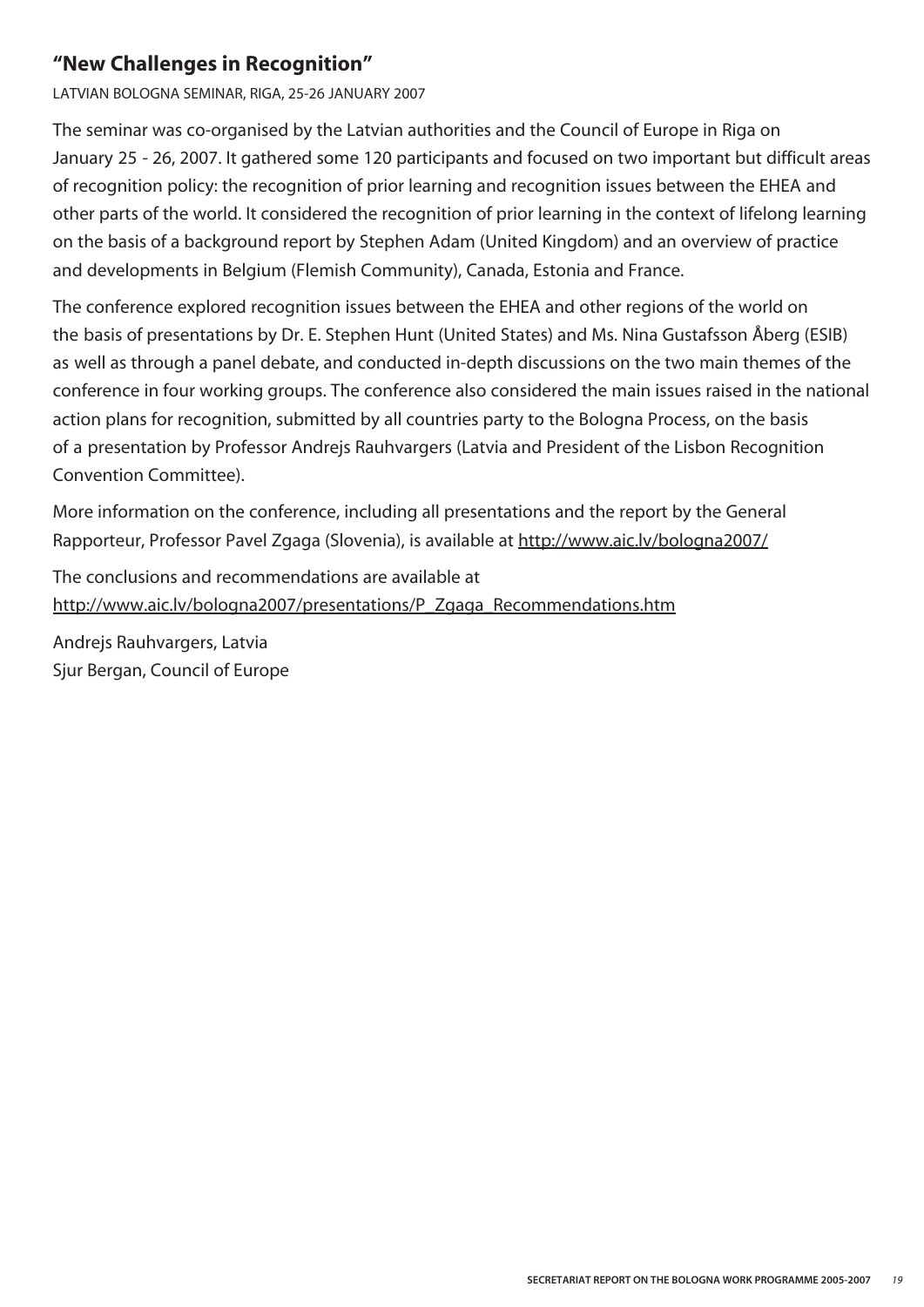#### **"New Challenges in Recognition"**

LATVIAN BOLOGNA SEMINAR, RIGA, 25-26 JANUARY 2007

The seminar was co-organised by the Latvian authorities and the Council of Europe in Riga on January 25 - 26, 2007. It gathered some 120 participants and focused on two important but difficult areas of recognition policy: the recognition of prior learning and recognition issues between the EHEA and other parts of the world. It considered the recognition of prior learning in the context of lifelong learning on the basis of a background report by Stephen Adam (United Kingdom) and an overview of practice and developments in Belgium (Flemish Community), Canada, Estonia and France.

The conference explored recognition issues between the EHEA and other regions of the world on the basis of presentations by Dr. E. Stephen Hunt (United States) and Ms. Nina Gustafsson Åberg (ESIB) as well as through a panel debate, and conducted in-depth discussions on the two main themes of the conference in four working groups. The conference also considered the main issues raised in the national action plans for recognition, submitted by all countries party to the Bologna Process, on the basis of a presentation by Professor Andrejs Rauhvargers (Latvia and President of the Lisbon Recognition Convention Committee).

More information on the conference, including all presentations and the report by the General Rapporteur, Professor Pavel Zgaga (Slovenia), is available at http://www.aic.lv/bologna2007/

The conclusions and recommendations are available at http://www.aic.lv/bologna2007/presentations/P\_Zgaga\_Recommendations.htm

Andrejs Rauhvargers, Latvia Sjur Bergan, Council of Europe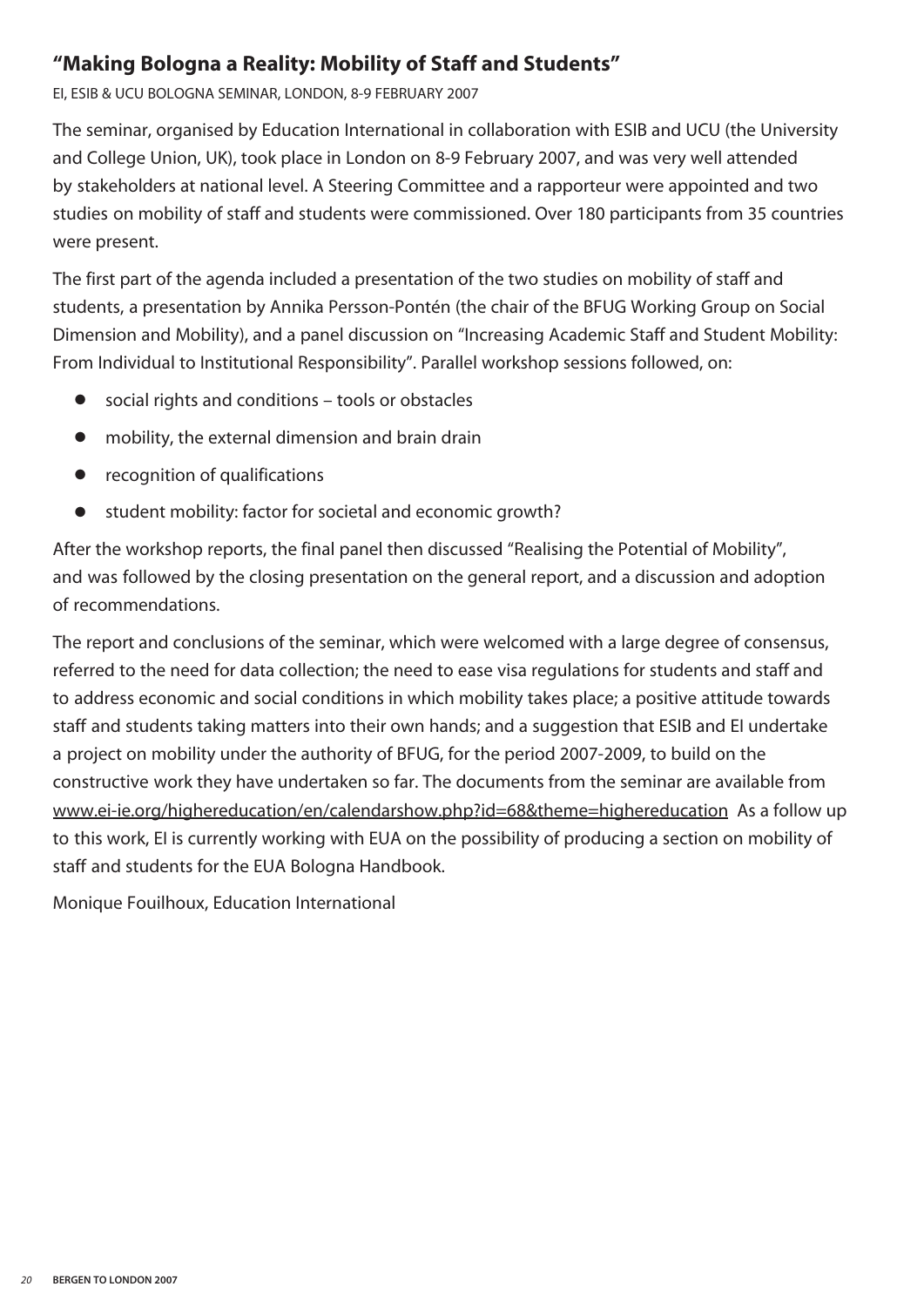#### **"Making Bologna a Reality: Mobility of Staff and Students"**

EI, ESIB & UCU BOLOGNA SEMINAR, LONDON, 8-9 FEBRUARY 2007

The seminar, organised by Education International in collaboration with ESIB and UCU (the University and College Union, UK), took place in London on 8-9 February 2007, and was very well attended by stakeholders at national level. A Steering Committee and a rapporteur were appointed and two studies on mobility of staff and students were commissioned. Over 180 participants from 35 countries were present.

The first part of the agenda included a presentation of the two studies on mobility of staff and students, a presentation by Annika Persson-Pontén (the chair of the BFUG Working Group on Social Dimension and Mobility), and a panel discussion on "Increasing Academic Staff and Student Mobility: From Individual to Institutional Responsibility". Parallel workshop sessions followed, on:

- social rights and conditions tools or obstacles
- **●** mobility, the external dimension and brain drain
- **●** recognition of qualifications
- **●** student mobility: factor for societal and economic growth?

After the workshop reports, the final panel then discussed "Realising the Potential of Mobility", and was followed by the closing presentation on the general report, and a discussion and adoption of recommendations.

The report and conclusions of the seminar, which were welcomed with a large degree of consensus, referred to the need for data collection; the need to ease visa regulations for students and staff and to address economic and social conditions in which mobility takes place; a positive attitude towards staff and students taking matters into their own hands; and a suggestion that ESIB and EI undertake a project on mobility under the authority of BFUG, for the period 2007-2009, to build on the constructive work they have undertaken so far. The documents from the seminar are available from www.ei-ie.org/highereducation/en/calendarshow.php?id=68&theme=highereducation As a follow up to this work, EI is currently working with EUA on the possibility of producing a section on mobility of staff and students for the EUA Bologna Handbook.

Monique Fouilhoux, Education International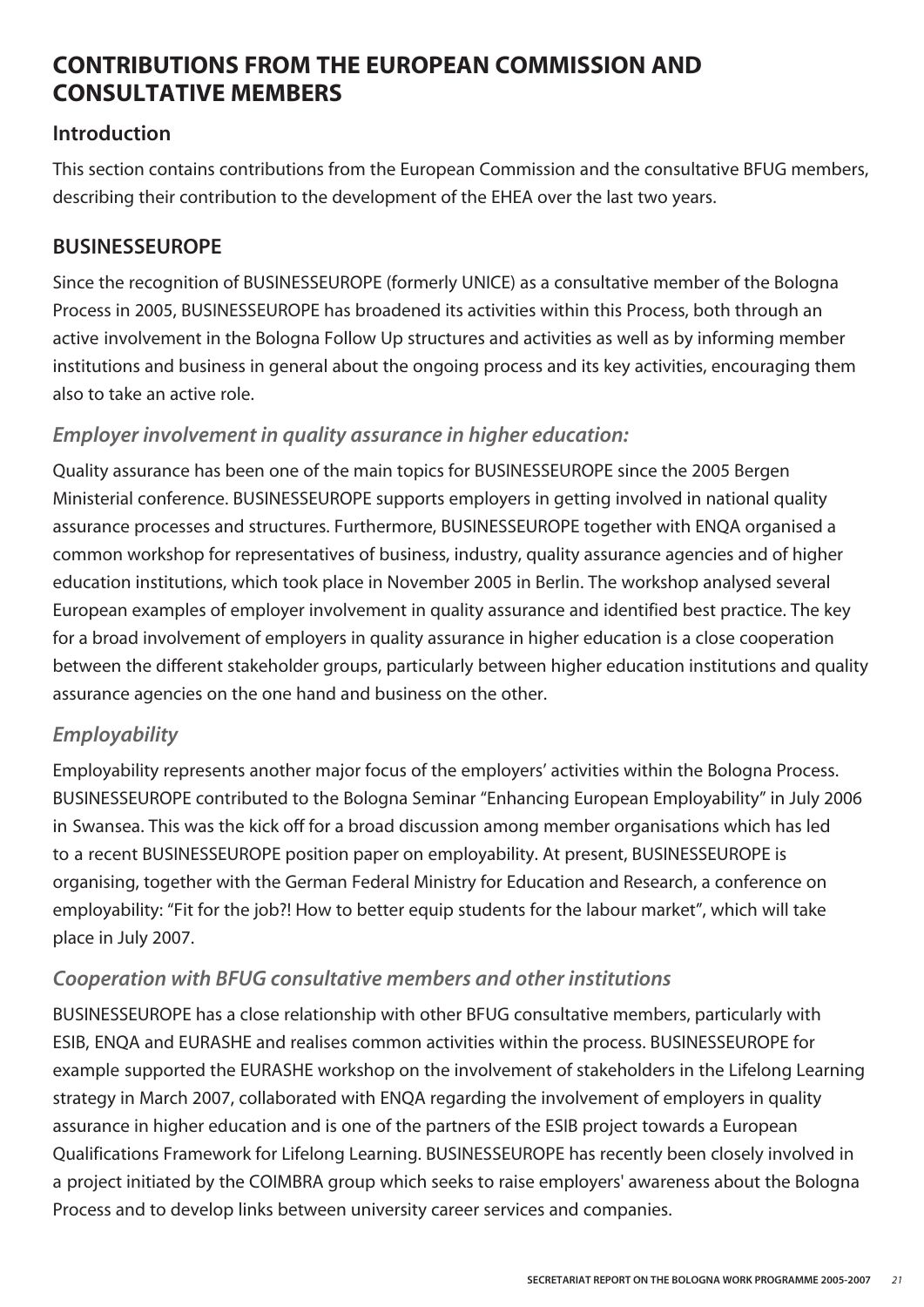#### **CONTRIBUTIONS FROM THE EUROPEAN COMMISSION AND CONSULTATIVE MEMBERS**

#### **Introduction**

This section contains contributions from the European Commission and the consultative BFUG members, describing their contribution to the development of the EHEA over the last two years.

#### **BUSINESSEUROPE**

Since the recognition of BUSINESSEUROPE (formerly UNICE) as a consultative member of the Bologna Process in 2005, BUSINESSEUROPE has broadened its activities within this Process, both through an active involvement in the Bologna Follow Up structures and activities as well as by informing member institutions and business in general about the ongoing process and its key activities, encouraging them also to take an active role.

#### *Employer involvement in quality assurance in higher education:*

Quality assurance has been one of the main topics for BUSINESSEUROPE since the 2005 Bergen Ministerial conference. BUSINESSEUROPE supports employers in getting involved in national quality assurance processes and structures. Furthermore, BUSINESSEUROPE together with ENQA organised a common workshop for representatives of business, industry, quality assurance agencies and of higher education institutions, which took place in November 2005 in Berlin. The workshop analysed several European examples of employer involvement in quality assurance and identified best practice. The key for a broad involvement of employers in quality assurance in higher education is a close cooperation between the different stakeholder groups, particularly between higher education institutions and quality assurance agencies on the one hand and business on the other.

#### *Employability*

Employability represents another major focus of the employers' activities within the Bologna Process. BUSINESSEUROPE contributed to the Bologna Seminar "Enhancing European Employability" in July 2006 in Swansea. This was the kick off for a broad discussion among member organisations which has led to a recent BUSINESSEUROPE position paper on employability. At present, BUSINESSEUROPE is organising, together with the German Federal Ministry for Education and Research, a conference on employability: "Fit for the job?! How to better equip students for the labour market", which will take place in July 2007.

#### *Cooperation with BFUG consultative members and other institutions*

BUSINESSEUROPE has a close relationship with other BFUG consultative members, particularly with ESIB, ENQA and EURASHE and realises common activities within the process. BUSINESSEUROPE for example supported the EURASHE workshop on the involvement of stakeholders in the Lifelong Learning strategy in March 2007, collaborated with ENQA regarding the involvement of employers in quality assurance in higher education and is one of the partners of the ESIB project towards a European Qualifications Framework for Lifelong Learning. BUSINESSEUROPE has recently been closely involved in a project initiated by the COIMBRA group which seeks to raise employers' awareness about the Bologna Process and to develop links between university career services and companies.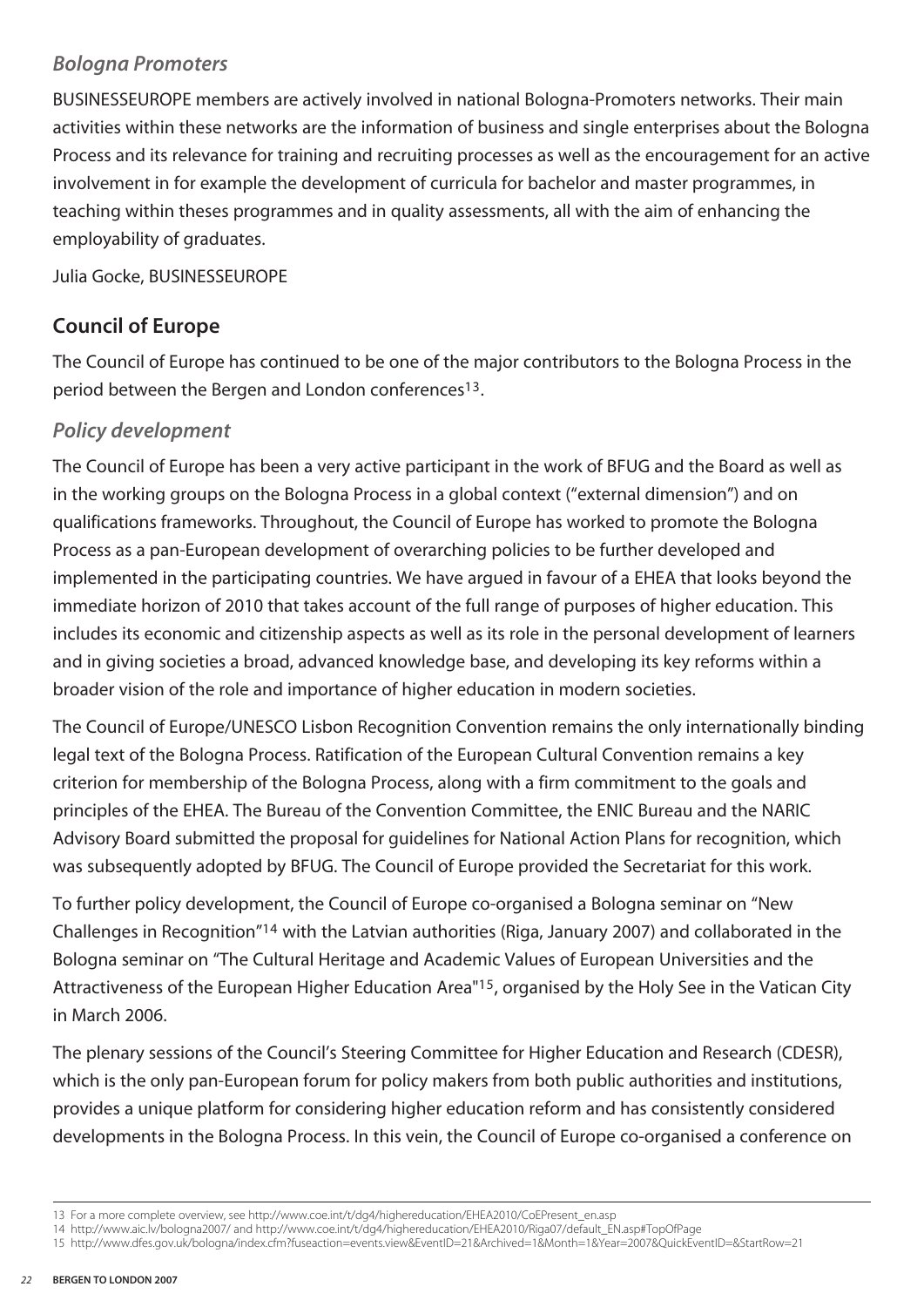#### *Bologna Promoters*

BUSINESSEUROPE members are actively involved in national Bologna-Promoters networks. Their main activities within these networks are the information of business and single enterprises about the Bologna Process and its relevance for training and recruiting processes as well as the encouragement for an active involvement in for example the development of curricula for bachelor and master programmes, in teaching within theses programmes and in quality assessments, all with the aim of enhancing the employability of graduates.

Julia Gocke, BUSINESSEUROPE

#### **Council of Europe**

The Council of Europe has continued to be one of the major contributors to the Bologna Process in the period between the Bergen and London conferences<sup>13</sup>.

#### *Policy development*

The Council of Europe has been a very active participant in the work of BFUG and the Board as well as in the working groups on the Bologna Process in a global context ("external dimension") and on qualifications frameworks. Throughout, the Council of Europe has worked to promote the Bologna Process as a pan-European development of overarching policies to be further developed and implemented in the participating countries. We have argued in favour of a EHEA that looks beyond the immediate horizon of 2010 that takes account of the full range of purposes of higher education. This includes its economic and citizenship aspects as well as its role in the personal development of learners and in giving societies a broad, advanced knowledge base, and developing its key reforms within a broader vision of the role and importance of higher education in modern societies.

The Council of Europe/UNESCO Lisbon Recognition Convention remains the only internationally binding legal text of the Bologna Process. Ratification of the European Cultural Convention remains a key criterion for membership of the Bologna Process, along with a firm commitment to the goals and principles of the EHEA. The Bureau of the Convention Committee, the ENIC Bureau and the NARIC Advisory Board submitted the proposal for guidelines for National Action Plans for recognition, which was subsequently adopted by BFUG. The Council of Europe provided the Secretariat for this work.

To further policy development, the Council of Europe co-organised a Bologna seminar on "New Challenges in Recognition"14 with the Latvian authorities (Riga, January 2007) and collaborated in the Bologna seminar on "The Cultural Heritage and Academic Values of European Universities and the Attractiveness of the European Higher Education Area"15, organised by the Holy See in the Vatican City in March 2006.

The plenary sessions of the Council's Steering Committee for Higher Education and Research (CDESR), which is the only pan-European forum for policy makers from both public authorities and institutions, provides a unique platform for considering higher education reform and has consistently considered developments in the Bologna Process. In this vein, the Council of Europe co-organised a conference on

<sup>13</sup> For a more complete overview, see http://www.coe.int/t/dg4/highereducation/EHEA2010/CoEPresent\_en.asp

<sup>14</sup> http://www.aic.lv/bologna2007/ and http://www.coe.int/t/dg4/highereducation/EHEA2010/Riga07/default\_EN.asp#TopOfPage

<sup>15</sup> http://www.dfes.gov.uk/bologna/index.cfm?fuseaction=events.view&EventID=21&Archived=1&Month=1&Year=2007&QuickEventID=&StartRow=21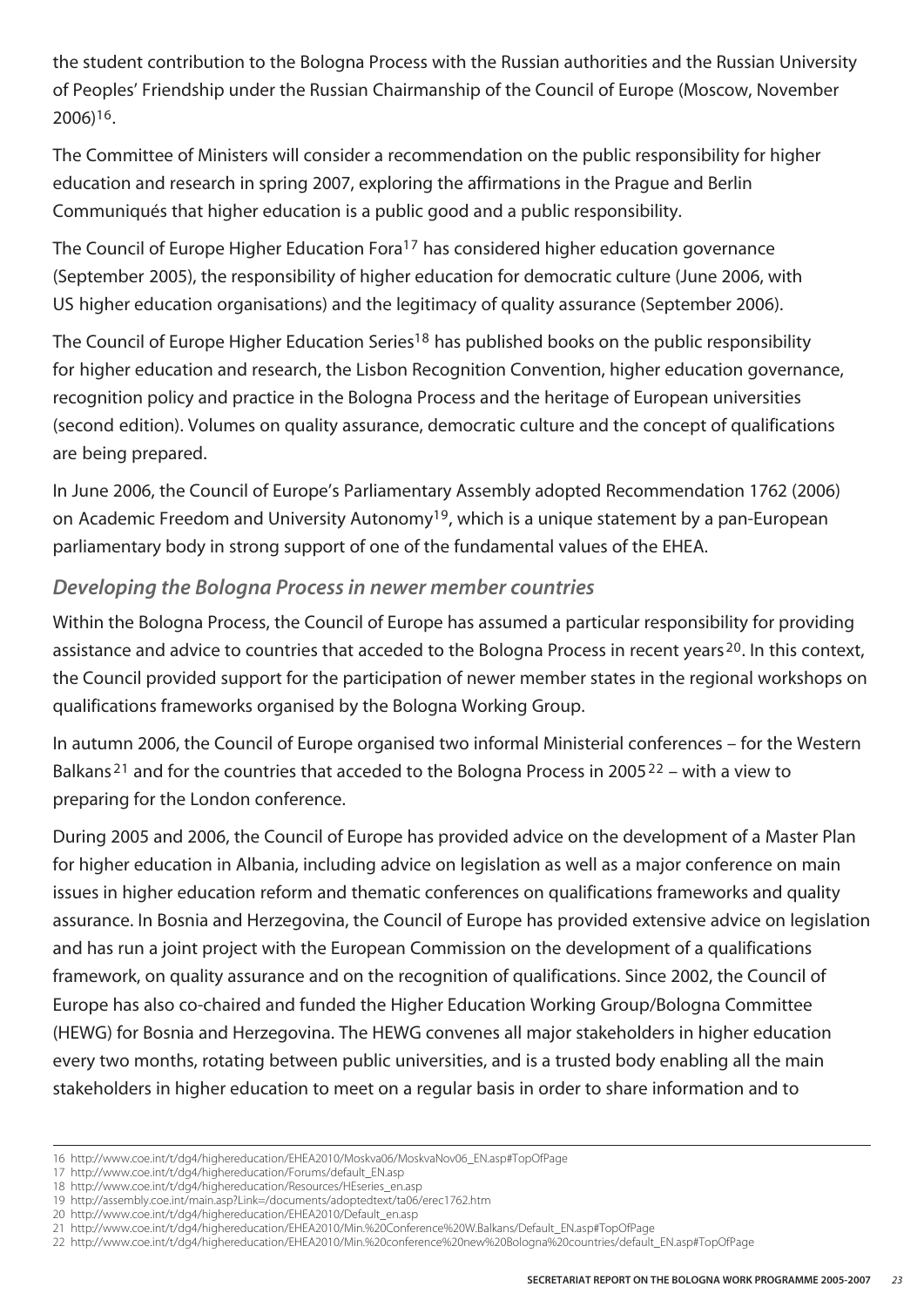the student contribution to the Bologna Process with the Russian authorities and the Russian University of Peoples' Friendship under the Russian Chairmanship of the Council of Europe (Moscow, November 2006)16.

The Committee of Ministers will consider a recommendation on the public responsibility for higher education and research in spring 2007, exploring the affirmations in the Prague and Berlin Communiqués that higher education is a public good and a public responsibility.

The Council of Europe Higher Education Fora<sup>17</sup> has considered higher education governance (September 2005), the responsibility of higher education for democratic culture (June 2006, with US higher education organisations) and the legitimacy of quality assurance (September 2006).

The Council of Europe Higher Education Series<sup>18</sup> has published books on the public responsibility for higher education and research, the Lisbon Recognition Convention, higher education governance, recognition policy and practice in the Bologna Process and the heritage of European universities (second edition). Volumes on quality assurance, democratic culture and the concept of qualifications are being prepared.

In June 2006, the Council of Europe's Parliamentary Assembly adopted Recommendation 1762 (2006) on Academic Freedom and University Autonomy<sup>19</sup>, which is a unique statement by a pan-European parliamentary body in strong support of one of the fundamental values of the EHEA.

#### *Developing the Bologna Process in newer member countries*

Within the Bologna Process, the Council of Europe has assumed a particular responsibility for providing assistance and advice to countries that acceded to the Bologna Process in recent years <sup>20</sup>. In this context, the Council provided support for the participation of newer member states in the regional workshops on qualifications frameworks organised by the Bologna Working Group.

In autumn 2006, the Council of Europe organised two informal Ministerial conferences – for the Western Balkans<sup>21</sup> and for the countries that acceded to the Bologna Process in 2005<sup>22</sup> – with a view to preparing for the London conference.

During 2005 and 2006, the Council of Europe has provided advice on the development of a Master Plan for higher education in Albania, including advice on legislation as well as a major conference on main issues in higher education reform and thematic conferences on qualifications frameworks and quality assurance. In Bosnia and Herzegovina, the Council of Europe has provided extensive advice on legislation and has run a joint project with the European Commission on the development of a qualifications framework, on quality assurance and on the recognition of qualifications. Since 2002, the Council of Europe has also co-chaired and funded the Higher Education Working Group/Bologna Committee (HEWG) for Bosnia and Herzegovina. The HEWG convenes all major stakeholders in higher education every two months, rotating between public universities, and is a trusted body enabling all the main stakeholders in higher education to meet on a regular basis in order to share information and to

<sup>16</sup> http://www.coe.int/t/dg4/highereducation/EHEA2010/Moskva06/MoskvaNov06\_EN.asp#TopOfPage

<sup>17</sup> http://www.coe.int/t/dg4/highereducation/Forums/default\_EN.asp

<sup>18</sup> http://www.coe.int/t/dg4/highereducation/Resources/HEseries\_en.asp

<sup>19</sup> http://assembly.coe.int/main.asp?Link=/documents/adoptedtext/ta06/erec1762.htm

<sup>20</sup> http://www.coe.int/t/dg4/highereducation/EHEA2010/Default\_en.asp

<sup>21</sup> http://www.coe.int/t/dg4/highereducation/EHEA2010/Min.%20Conference%20W.Balkans/Default\_EN.asp#TopOfPage

<sup>22</sup> http://www.coe.int/t/dg4/highereducation/EHEA2010/Min.%20conference%20new%20Bologna%20countries/default\_EN.asp#TopOfPage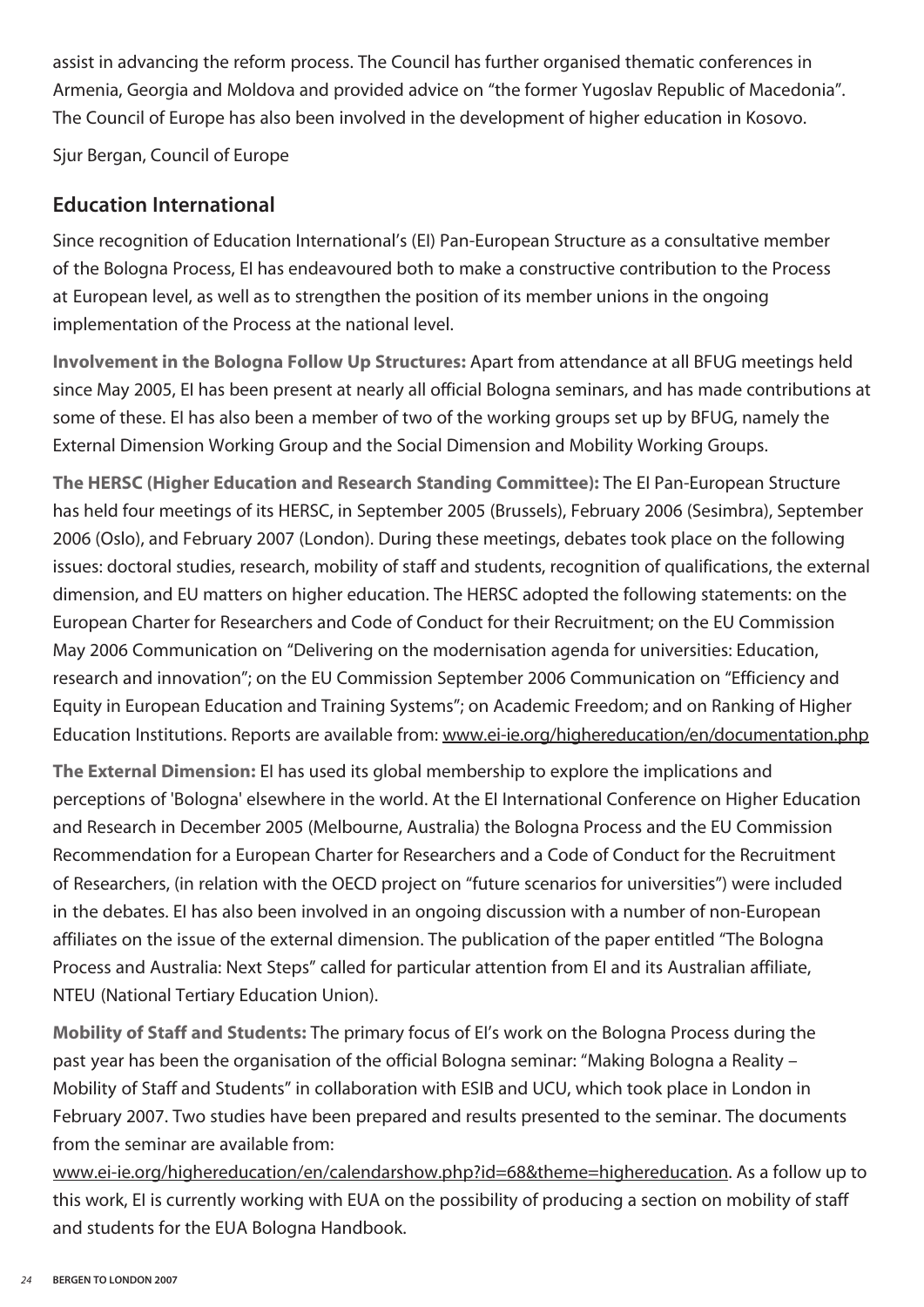assist in advancing the reform process. The Council has further organised thematic conferences in Armenia, Georgia and Moldova and provided advice on "the former Yugoslav Republic of Macedonia". The Council of Europe has also been involved in the development of higher education in Kosovo.

Sjur Bergan, Council of Europe

#### **Education International**

Since recognition of Education International's (EI) Pan-European Structure as a consultative member of the Bologna Process, EI has endeavoured both to make a constructive contribution to the Process at European level, as well as to strengthen the position of its member unions in the ongoing implementation of the Process at the national level.

**Involvement in the Bologna Follow Up Structures:** Apart from attendance at all BFUG meetings held since May 2005, EI has been present at nearly all official Bologna seminars, and has made contributions at some of these. EI has also been a member of two of the working groups set up by BFUG, namely the External Dimension Working Group and the Social Dimension and Mobility Working Groups.

**The HERSC (Higher Education and Research Standing Committee):** The EI Pan-European Structure has held four meetings of its HERSC, in September 2005 (Brussels), February 2006 (Sesimbra), September 2006 (Oslo), and February 2007 (London). During these meetings, debates took place on the following issues: doctoral studies, research, mobility of staff and students, recognition of qualifications, the external dimension, and EU matters on higher education. The HERSC adopted the following statements: on the European Charter for Researchers and Code of Conduct for their Recruitment; on the EU Commission May 2006 Communication on "Delivering on the modernisation agenda for universities: Education, research and innovation"; on the EU Commission September 2006 Communication on "Efficiency and Equity in European Education and Training Systems"; on Academic Freedom; and on Ranking of Higher Education Institutions. Reports are available from: www.ei-ie.org/highereducation/en/documentation.php

**The External Dimension:** EI has used its global membership to explore the implications and perceptions of 'Bologna' elsewhere in the world. At the EI International Conference on Higher Education and Research in December 2005 (Melbourne, Australia) the Bologna Process and the EU Commission Recommendation for a European Charter for Researchers and a Code of Conduct for the Recruitment of Researchers, (in relation with the OECD project on "future scenarios for universities") were included in the debates. EI has also been involved in an ongoing discussion with a number of non-European affiliates on the issue of the external dimension. The publication of the paper entitled "The Bologna Process and Australia: Next Steps" called for particular attention from EI and its Australian affiliate, NTEU (National Tertiary Education Union).

**Mobility of Staff and Students:** The primary focus of EI's work on the Bologna Process during the past year has been the organisation of the official Bologna seminar: "Making Bologna a Reality – Mobility of Staff and Students" in collaboration with ESIB and UCU, which took place in London in February 2007. Two studies have been prepared and results presented to the seminar. The documents from the seminar are available from:

www.ei-ie.org/highereducation/en/calendarshow.php?id=68&theme=highereducation. As a follow up to this work, EI is currently working with EUA on the possibility of producing a section on mobility of staff and students for the EUA Bologna Handbook.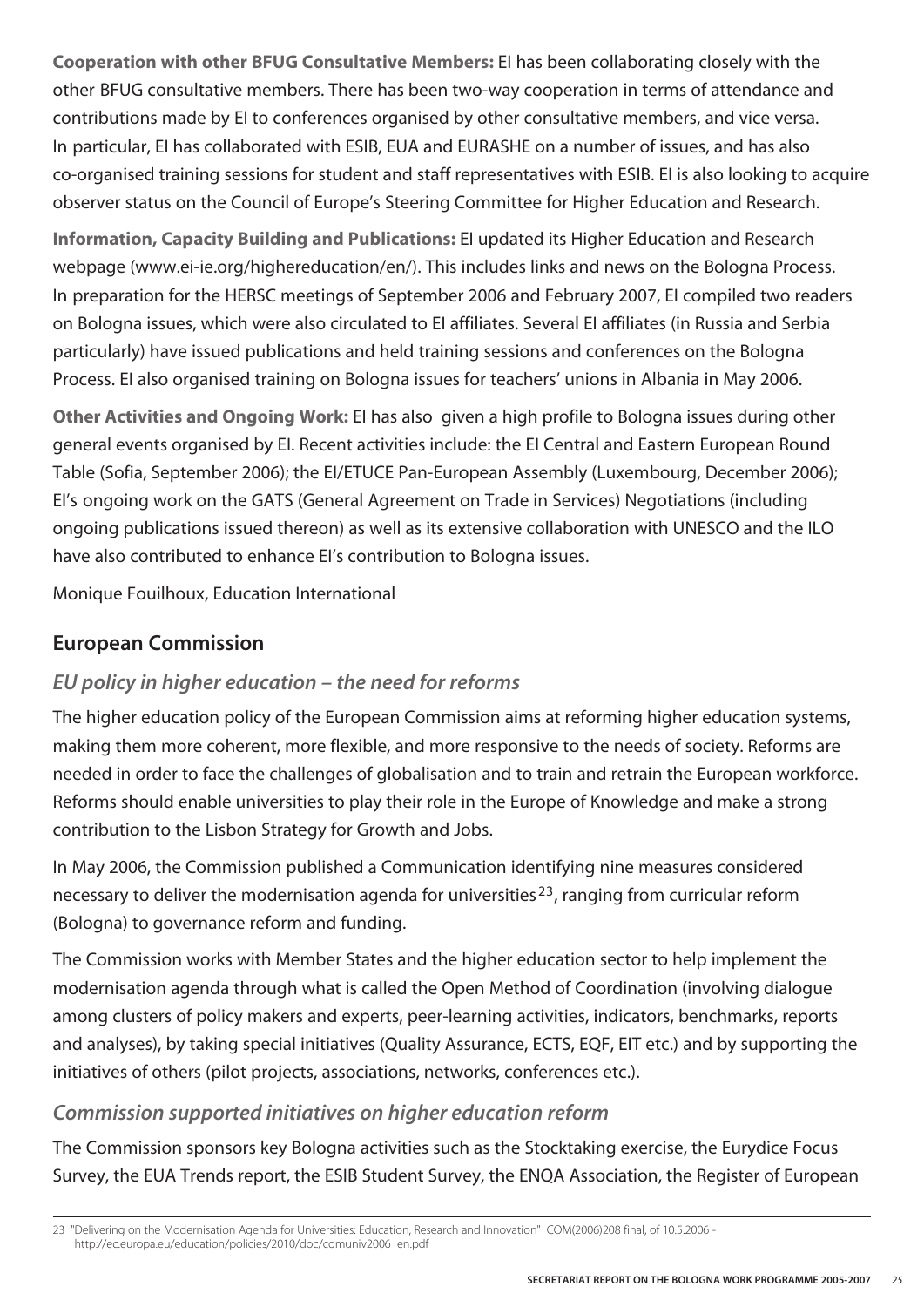**Cooperation with other BFUG Consultative Members:** EI has been collaborating closely with the other BFUG consultative members. There has been two-way cooperation in terms of attendance and contributions made by EI to conferences organised by other consultative members, and vice versa. In particular, EI has collaborated with ESIB, EUA and EURASHE on a number of issues, and has also co-organised training sessions for student and staff representatives with ESIB. EI is also looking to acquire observer status on the Council of Europe's Steering Committee for Higher Education and Research.

**Information, Capacity Building and Publications:** EI updated its Higher Education and Research webpage (www.ei-ie.org/highereducation/en/). This includes links and news on the Bologna Process. In preparation for the HERSC meetings of September 2006 and February 2007, EI compiled two readers on Bologna issues, which were also circulated to EI affiliates. Several EI affiliates (in Russia and Serbia particularly) have issued publications and held training sessions and conferences on the Bologna Process. EI also organised training on Bologna issues for teachers' unions in Albania in May 2006.

**Other Activities and Ongoing Work:** EI has also given a high profile to Bologna issues during other general events organised by EI. Recent activities include: the EI Central and Eastern European Round Table (Sofia, September 2006); the EI/ETUCE Pan-European Assembly (Luxembourg, December 2006); EI's ongoing work on the GATS (General Agreement on Trade in Services) Negotiations (including ongoing publications issued thereon) as well as its extensive collaboration with UNESCO and the ILO have also contributed to enhance EI's contribution to Bologna issues.

Monique Fouilhoux, Education International

#### **European Commission**

#### *EU policy in higher education – the need for reforms*

The higher education policy of the European Commission aims at reforming higher education systems, making them more coherent, more flexible, and more responsive to the needs of society. Reforms are needed in order to face the challenges of globalisation and to train and retrain the European workforce. Reforms should enable universities to play their role in the Europe of Knowledge and make a strong contribution to the Lisbon Strategy for Growth and Jobs.

In May 2006, the Commission published a Communication identifying nine measures considered necessary to deliver the modernisation agenda for universities 23, ranging from curricular reform (Bologna) to governance reform and funding.

The Commission works with Member States and the higher education sector to help implement the modernisation agenda through what is called the Open Method of Coordination (involving dialogue among clusters of policy makers and experts, peer-learning activities, indicators, benchmarks, reports and analyses), by taking special initiatives (Quality Assurance, ECTS, EQF, EIT etc.) and by supporting the initiatives of others (pilot projects, associations, networks, conferences etc.).

#### *Commission supported initiatives on higher education reform*

The Commission sponsors key Bologna activities such as the Stocktaking exercise, the Eurydice Focus Survey, the EUA Trends report, the ESIB Student Survey, the ENQA Association, the Register of European

<sup>23 &</sup>quot;Delivering on the Modernisation Agenda for Universities: Education, Research and Innovation" COM(2006)208 final, of 10.5.2006 http://ec.europa.eu/education/policies/2010/doc/comuniv2006\_en.pdf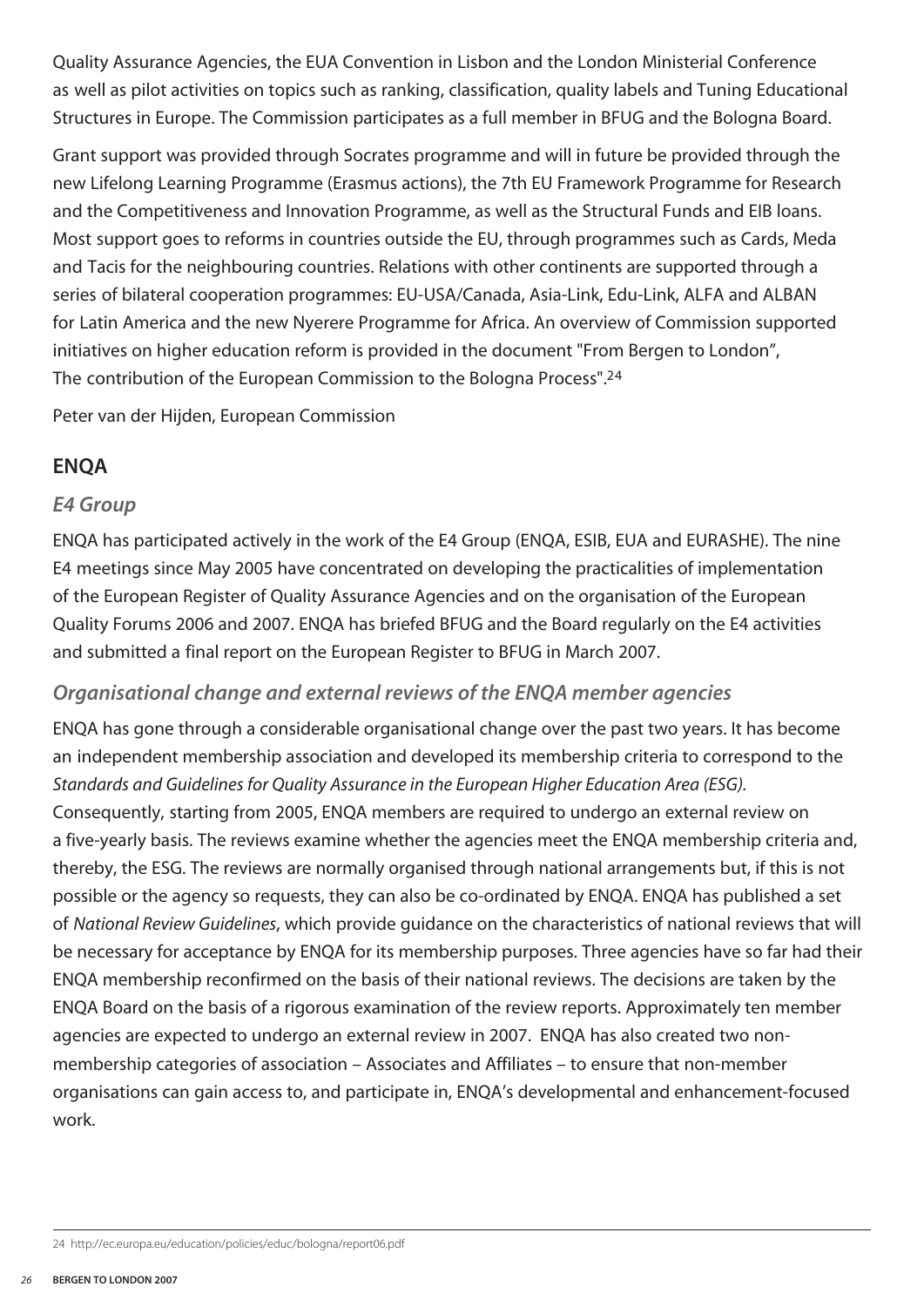Quality Assurance Agencies, the EUA Convention in Lisbon and the London Ministerial Conference as well as pilot activities on topics such as ranking, classification, quality labels and Tuning Educational Structures in Europe. The Commission participates as a full member in BFUG and the Bologna Board.

Grant support was provided through Socrates programme and will in future be provided through the new Lifelong Learning Programme (Erasmus actions), the 7th EU Framework Programme for Research and the Competitiveness and Innovation Programme, as well as the Structural Funds and EIB loans. Most support goes to reforms in countries outside the EU, through programmes such as Cards, Meda and Tacis for the neighbouring countries. Relations with other continents are supported through a series of bilateral cooperation programmes: EU-USA/Canada, Asia-Link, Edu-Link, ALFA and ALBAN for Latin America and the new Nyerere Programme for Africa. An overview of Commission supported initiatives on higher education reform is provided in the document "From Bergen to London", The contribution of the European Commission to the Bologna Process".24

Peter van der Hijden, European Commission

#### **ENQA**

#### *E4 Group*

ENQA has participated actively in the work of the E4 Group (ENQA, ESIB, EUA and EURASHE). The nine E4 meetings since May 2005 have concentrated on developing the practicalities of implementation of the European Register of Quality Assurance Agencies and on the organisation of the European Quality Forums 2006 and 2007. ENQA has briefed BFUG and the Board regularly on the E4 activities and submitted a final report on the European Register to BFUG in March 2007.

#### *Organisational change and external reviews of the ENQA member agencies*

ENQA has gone through a considerable organisational change over the past two years. It has become an independent membership association and developed its membership criteria to correspond to the *Standards and Guidelines for Quality Assurance in the European Higher Education Area (ESG).* Consequently, starting from 2005, ENQA members are required to undergo an external review on a five-yearly basis. The reviews examine whether the agencies meet the ENQA membership criteria and, thereby, the ESG. The reviews are normally organised through national arrangements but, if this is not possible or the agency so requests, they can also be co-ordinated by ENQA. ENQA has published a set of *National Review Guidelines*, which provide guidance on the characteristics of national reviews that will be necessary for acceptance by ENQA for its membership purposes. Three agencies have so far had their ENQA membership reconfirmed on the basis of their national reviews. The decisions are taken by the ENQA Board on the basis of a rigorous examination of the review reports. Approximately ten member agencies are expected to undergo an external review in 2007. ENQA has also created two nonmembership categories of association – Associates and Affiliates – to ensure that non-member organisations can gain access to, and participate in, ENQA's developmental and enhancement-focused work.

<sup>24</sup> http://ec.europa.eu/education/policies/educ/bologna/report06.pdf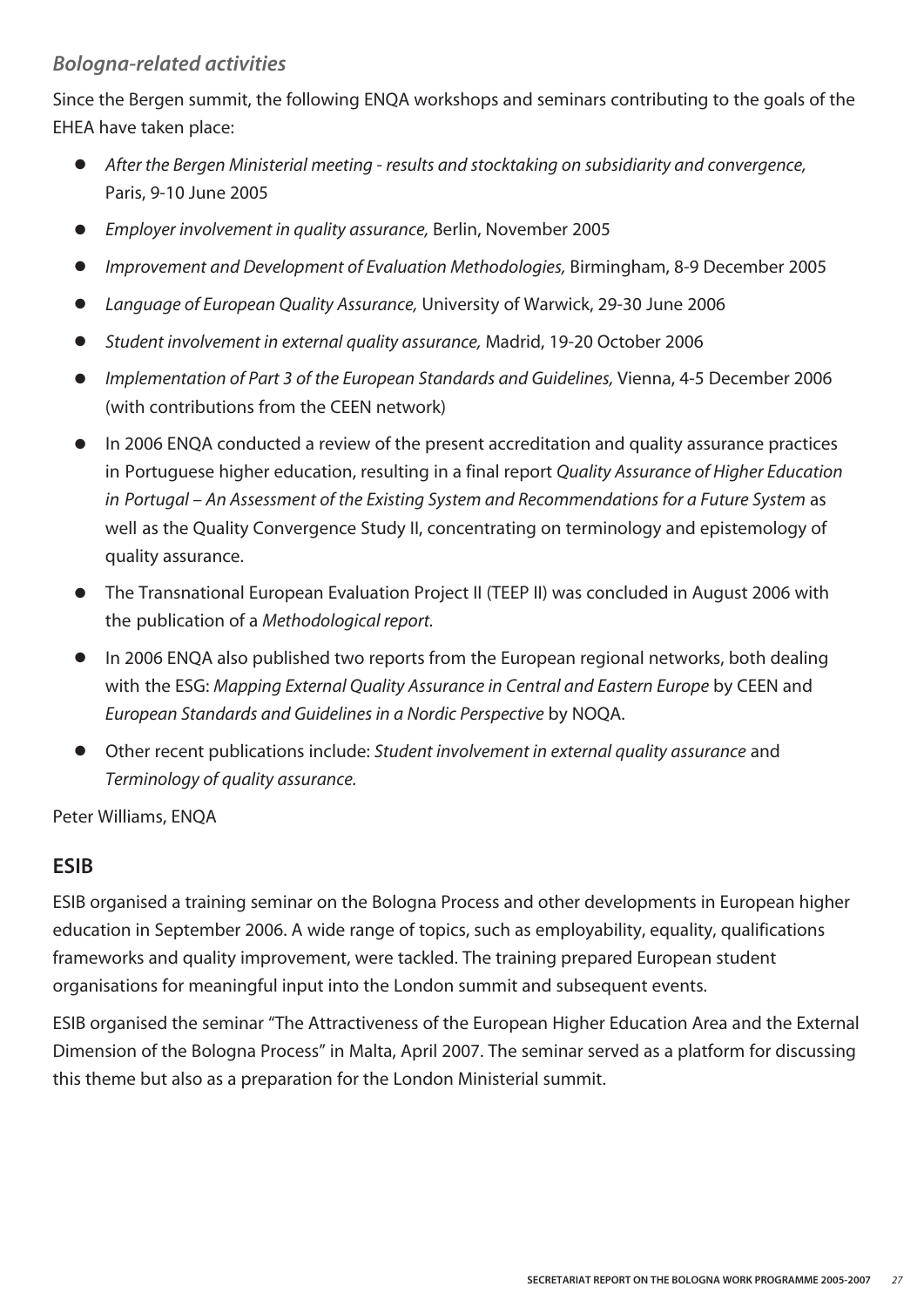#### *Bologna-related activities*

Since the Bergen summit, the following ENQA workshops and seminars contributing to the goals of the EHEA have taken place:

- **●** *After the Bergen Ministerial meeting results and stocktaking on subsidiarity and convergence,*  Paris, 9-10 June 2005
- **●** *Employer involvement in quality assurance,* Berlin, November 2005
- **●** *Improvement and Development of Evaluation Methodologies,* Birmingham, 8-9 December 2005
- **●** *Language of European Quality Assurance,* University of Warwick, 29-30 June 2006
- **●** *Student involvement in external quality assurance,* Madrid, 19-20 October 2006
- **●** *Implementation of Part 3 of the European Standards and Guidelines,* Vienna, 4-5 December 2006 (with contributions from the CEEN network)
- In 2006 ENQA conducted a review of the present accreditation and quality assurance practices in Portuguese higher education, resulting in a final report *Quality Assurance of Higher Education in Portugal – An Assessment of the Existing System and Recommendations for a Future System* as well as the Quality Convergence Study II, concentrating on terminology and epistemology of quality assurance.
- **●** The Transnational European Evaluation Project II (TEEP II) was concluded in August 2006 with the publication of a *Methodological report.*
- In 2006 ENQA also published two reports from the European regional networks, both dealing with the ESG: *Mapping External Quality Assurance in Central and Eastern Europe* by CEEN and *European Standards and Guidelines in a Nordic Perspective* by NOQA.
- **●** Other recent publications include: *Student involvement in external quality assurance* and *Terminology of quality assurance.*

Peter Williams, ENQA

#### **ESIB**

ESIB organised a training seminar on the Bologna Process and other developments in European higher education in September 2006. A wide range of topics, such as employability, equality, qualifications frameworks and quality improvement, were tackled. The training prepared European student organisations for meaningful input into the London summit and subsequent events.

ESIB organised the seminar "The Attractiveness of the European Higher Education Area and the External Dimension of the Bologna Process" in Malta, April 2007. The seminar served as a platform for discussing this theme but also as a preparation for the London Ministerial summit.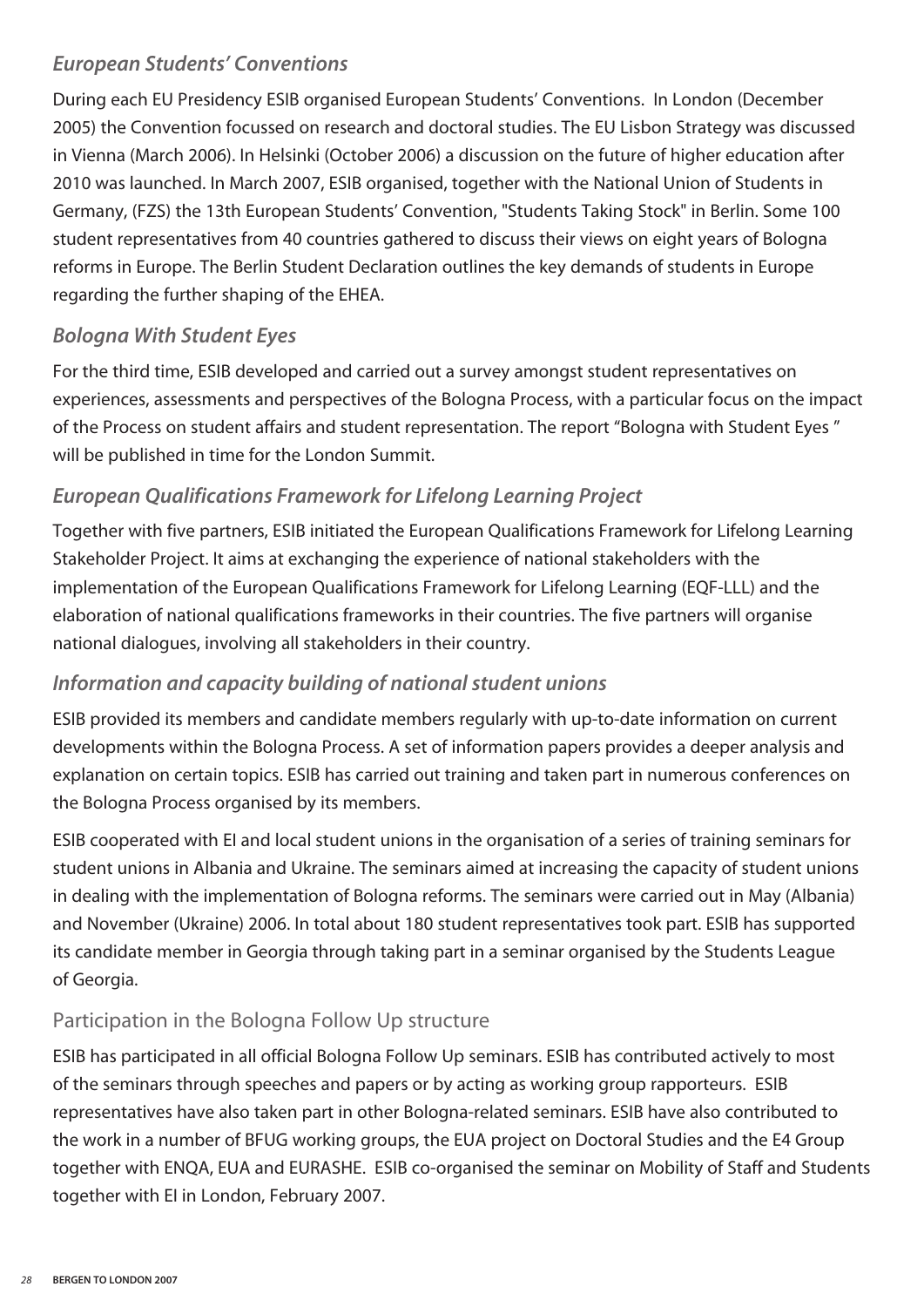#### *European Students' Conventions*

During each EU Presidency ESIB organised European Students' Conventions. In London (December 2005) the Convention focussed on research and doctoral studies. The EU Lisbon Strategy was discussed in Vienna (March 2006). In Helsinki (October 2006) a discussion on the future of higher education after 2010 was launched. In March 2007, ESIB organised, together with the National Union of Students in Germany, (FZS) the 13th European Students' Convention, "Students Taking Stock" in Berlin. Some 100 student representatives from 40 countries gathered to discuss their views on eight years of Bologna reforms in Europe. The Berlin Student Declaration outlines the key demands of students in Europe regarding the further shaping of the EHEA.

#### *Bologna With Student Eyes*

For the third time, ESIB developed and carried out a survey amongst student representatives on experiences, assessments and perspectives of the Bologna Process, with a particular focus on the impact of the Process on student affairs and student representation. The report "Bologna with Student Eyes " will be published in time for the London Summit.

#### *European Qualifications Framework for Lifelong Learning Project*

Together with five partners, ESIB initiated the European Qualifications Framework for Lifelong Learning Stakeholder Project. It aims at exchanging the experience of national stakeholders with the implementation of the European Qualifications Framework for Lifelong Learning (EQF-LLL) and the elaboration of national qualifications frameworks in their countries. The five partners will organise national dialogues, involving all stakeholders in their country.

#### *Information and capacity building of national student unions*

ESIB provided its members and candidate members regularly with up-to-date information on current developments within the Bologna Process. A set of information papers provides a deeper analysis and explanation on certain topics. ESIB has carried out training and taken part in numerous conferences on the Bologna Process organised by its members.

ESIB cooperated with EI and local student unions in the organisation of a series of training seminars for student unions in Albania and Ukraine. The seminars aimed at increasing the capacity of student unions in dealing with the implementation of Bologna reforms. The seminars were carried out in May (Albania) and November (Ukraine) 2006. In total about 180 student representatives took part. ESIB has supported its candidate member in Georgia through taking part in a seminar organised by the Students League of Georgia.

#### Participation in the Bologna Follow Up structure

ESIB has participated in all official Bologna Follow Up seminars. ESIB has contributed actively to most of the seminars through speeches and papers or by acting as working group rapporteurs. ESIB representatives have also taken part in other Bologna-related seminars. ESIB have also contributed to the work in a number of BFUG working groups, the EUA project on Doctoral Studies and the E4 Group together with ENQA, EUA and EURASHE. ESIB co-organised the seminar on Mobility of Staff and Students together with EI in London, February 2007.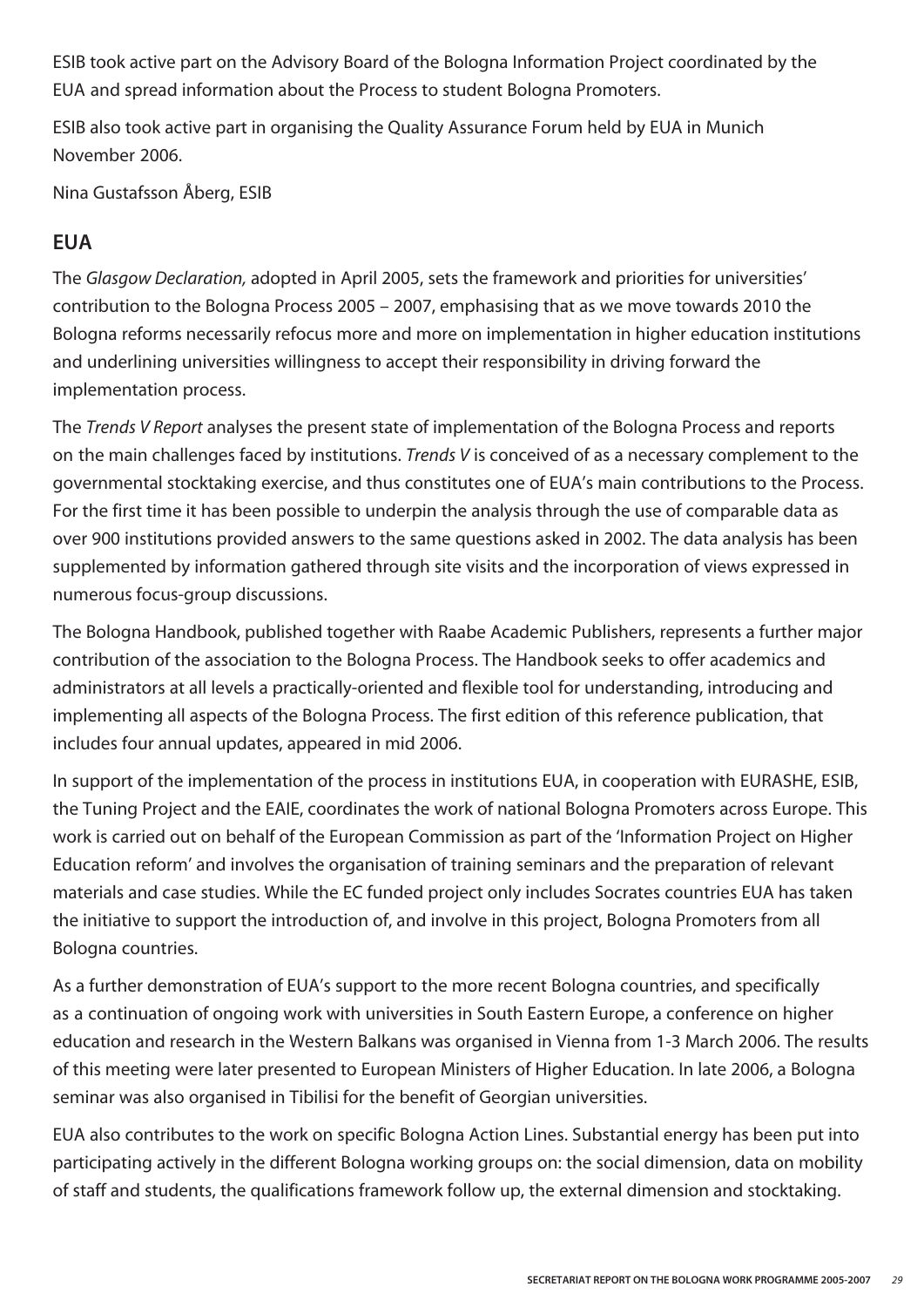ESIB took active part on the Advisory Board of the Bologna Information Project coordinated by the EUA and spread information about the Process to student Bologna Promoters.

ESIB also took active part in organising the Quality Assurance Forum held by EUA in Munich November 2006.

Nina Gustafsson Åberg, ESIB

#### **EUA**

The *Glasgow Declaration,* adopted in April 2005, sets the framework and priorities for universities' contribution to the Bologna Process 2005 – 2007, emphasising that as we move towards 2010 the Bologna reforms necessarily refocus more and more on implementation in higher education institutions and underlining universities willingness to accept their responsibility in driving forward the implementation process.

The *Trends V Report* analyses the present state of implementation of the Bologna Process and reports on the main challenges faced by institutions. *Trends V* is conceived of as a necessary complement to the governmental stocktaking exercise, and thus constitutes one of EUA's main contributions to the Process. For the first time it has been possible to underpin the analysis through the use of comparable data as over 900 institutions provided answers to the same questions asked in 2002. The data analysis has been supplemented by information gathered through site visits and the incorporation of views expressed in numerous focus-group discussions.

The Bologna Handbook, published together with Raabe Academic Publishers, represents a further major contribution of the association to the Bologna Process. The Handbook seeks to offer academics and administrators at all levels a practically-oriented and flexible tool for understanding, introducing and implementing all aspects of the Bologna Process. The first edition of this reference publication, that includes four annual updates, appeared in mid 2006.

In support of the implementation of the process in institutions EUA, in cooperation with EURASHE, ESIB, the Tuning Project and the EAIE, coordinates the work of national Bologna Promoters across Europe. This work is carried out on behalf of the European Commission as part of the 'Information Project on Higher Education reform' and involves the organisation of training seminars and the preparation of relevant materials and case studies. While the EC funded project only includes Socrates countries EUA has taken the initiative to support the introduction of, and involve in this project, Bologna Promoters from all Bologna countries.

As a further demonstration of EUA's support to the more recent Bologna countries, and specifically as a continuation of ongoing work with universities in South Eastern Europe, a conference on higher education and research in the Western Balkans was organised in Vienna from 1-3 March 2006. The results of this meeting were later presented to European Ministers of Higher Education. In late 2006, a Bologna seminar was also organised in Tibilisi for the benefit of Georgian universities.

EUA also contributes to the work on specific Bologna Action Lines. Substantial energy has been put into participating actively in the different Bologna working groups on: the social dimension, data on mobility of staff and students, the qualifications framework follow up, the external dimension and stocktaking.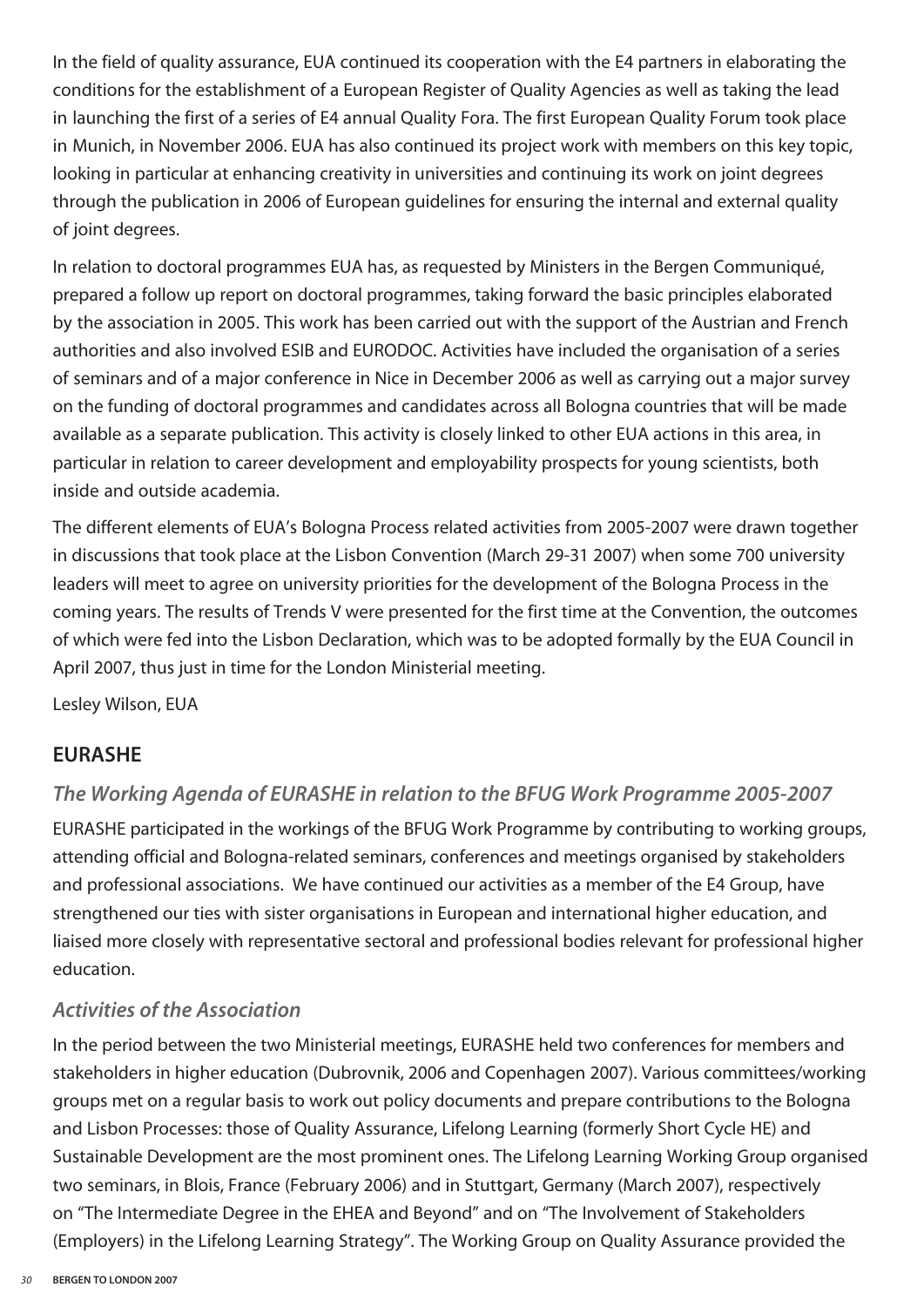In the field of quality assurance, EUA continued its cooperation with the E4 partners in elaborating the conditions for the establishment of a European Register of Quality Agencies as well as taking the lead in launching the first of a series of E4 annual Quality Fora. The first European Quality Forum took place in Munich, in November 2006. EUA has also continued its project work with members on this key topic, looking in particular at enhancing creativity in universities and continuing its work on joint degrees through the publication in 2006 of European guidelines for ensuring the internal and external quality of joint degrees.

In relation to doctoral programmes EUA has, as requested by Ministers in the Bergen Communiqué, prepared a follow up report on doctoral programmes, taking forward the basic principles elaborated by the association in 2005. This work has been carried out with the support of the Austrian and French authorities and also involved ESIB and EURODOC. Activities have included the organisation of a series of seminars and of a major conference in Nice in December 2006 as well as carrying out a major survey on the funding of doctoral programmes and candidates across all Bologna countries that will be made available as a separate publication. This activity is closely linked to other EUA actions in this area, in particular in relation to career development and employability prospects for young scientists, both inside and outside academia.

The different elements of EUA's Bologna Process related activities from 2005-2007 were drawn together in discussions that took place at the Lisbon Convention (March 29-31 2007) when some 700 university leaders will meet to agree on university priorities for the development of the Bologna Process in the coming years. The results of Trends V were presented for the first time at the Convention, the outcomes of which were fed into the Lisbon Declaration, which was to be adopted formally by the EUA Council in April 2007, thus just in time for the London Ministerial meeting.

Lesley Wilson, EUA

#### **EURASHE**

#### *The Working Agenda of EURASHE in relation to the BFUG Work Programme 2005-2007*

EURASHE participated in the workings of the BFUG Work Programme by contributing to working groups, attending official and Bologna-related seminars, conferences and meetings organised by stakeholders and professional associations. We have continued our activities as a member of the E4 Group, have strengthened our ties with sister organisations in European and international higher education, and liaised more closely with representative sectoral and professional bodies relevant for professional higher education.

#### *Activities of the Association*

In the period between the two Ministerial meetings, EURASHE held two conferences for members and stakeholders in higher education (Dubrovnik, 2006 and Copenhagen 2007). Various committees/working groups met on a regular basis to work out policy documents and prepare contributions to the Bologna and Lisbon Processes: those of Quality Assurance, Lifelong Learning (formerly Short Cycle HE) and Sustainable Development are the most prominent ones. The Lifelong Learning Working Group organised two seminars, in Blois, France (February 2006) and in Stuttgart, Germany (March 2007), respectively on "The Intermediate Degree in the EHEA and Beyond" and on "The Involvement of Stakeholders (Employers) in the Lifelong Learning Strategy". The Working Group on Quality Assurance provided the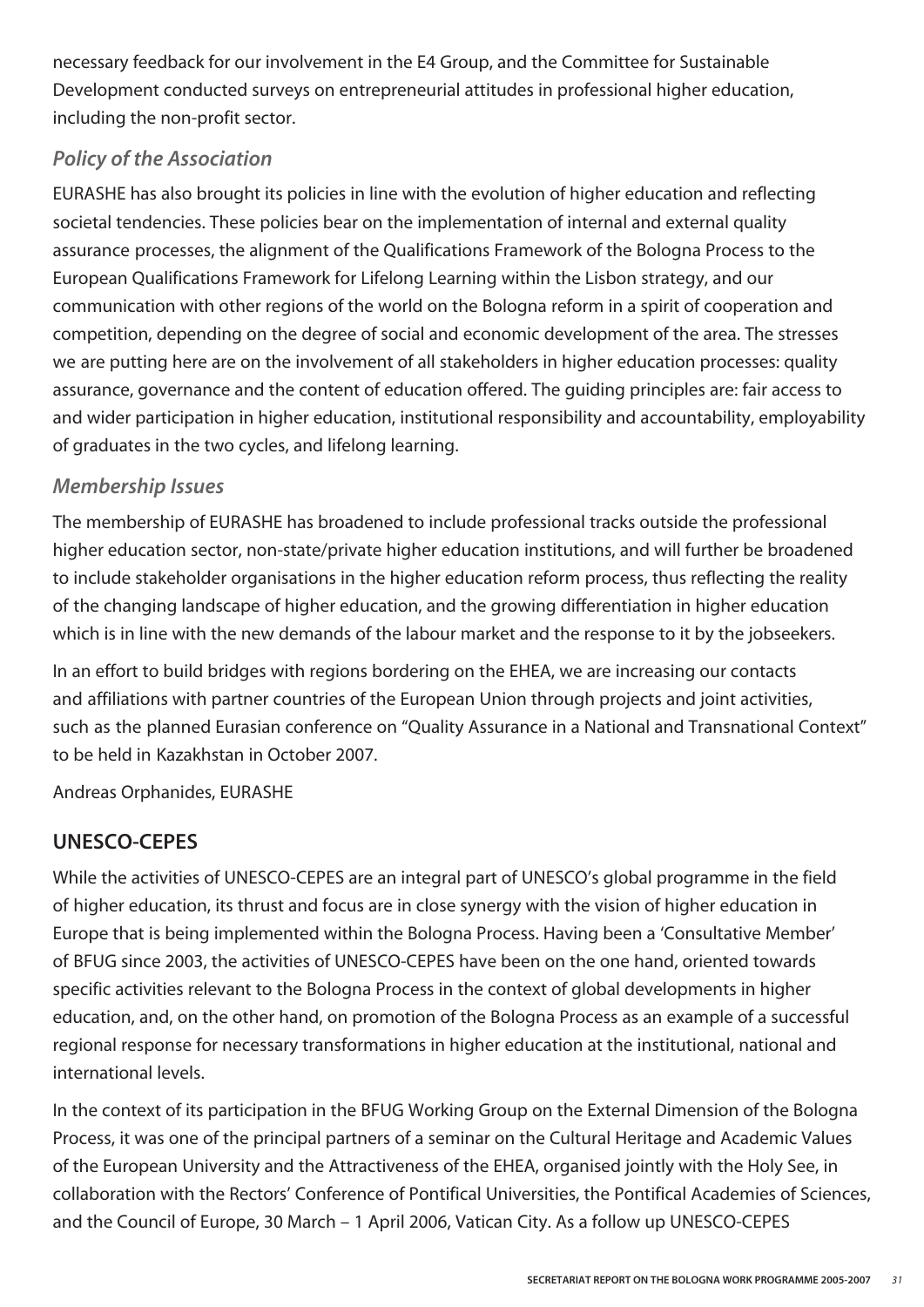necessary feedback for our involvement in the E4 Group, and the Committee for Sustainable Development conducted surveys on entrepreneurial attitudes in professional higher education, including the non-profit sector.

#### *Policy of the Association*

EURASHE has also brought its policies in line with the evolution of higher education and reflecting societal tendencies. These policies bear on the implementation of internal and external quality assurance processes, the alignment of the Qualifications Framework of the Bologna Process to the European Qualifications Framework for Lifelong Learning within the Lisbon strategy, and our communication with other regions of the world on the Bologna reform in a spirit of cooperation and competition, depending on the degree of social and economic development of the area. The stresses we are putting here are on the involvement of all stakeholders in higher education processes: quality assurance, governance and the content of education offered. The guiding principles are: fair access to and wider participation in higher education, institutional responsibility and accountability, employability of graduates in the two cycles, and lifelong learning.

#### *Membership Issues*

The membership of EURASHE has broadened to include professional tracks outside the professional higher education sector, non-state/private higher education institutions, and will further be broadened to include stakeholder organisations in the higher education reform process, thus reflecting the reality of the changing landscape of higher education, and the growing differentiation in higher education which is in line with the new demands of the labour market and the response to it by the jobseekers.

In an effort to build bridges with regions bordering on the EHEA, we are increasing our contacts and affiliations with partner countries of the European Union through projects and joint activities, such as the planned Eurasian conference on "Quality Assurance in a National and Transnational Context" to be held in Kazakhstan in October 2007.

Andreas Orphanides, EURASHE

#### **UNESCO-CEPES**

While the activities of UNESCO-CEPES are an integral part of UNESCO's global programme in the field of higher education, its thrust and focus are in close synergy with the vision of higher education in Europe that is being implemented within the Bologna Process. Having been a 'Consultative Member' of BFUG since 2003, the activities of UNESCO-CEPES have been on the one hand, oriented towards specific activities relevant to the Bologna Process in the context of global developments in higher education, and, on the other hand, on promotion of the Bologna Process as an example of a successful regional response for necessary transformations in higher education at the institutional, national and international levels.

In the context of its participation in the BFUG Working Group on the External Dimension of the Bologna Process, it was one of the principal partners of a seminar on the Cultural Heritage and Academic Values of the European University and the Attractiveness of the EHEA, organised jointly with the Holy See, in collaboration with the Rectors' Conference of Pontifical Universities, the Pontifical Academies of Sciences, and the Council of Europe, 30 March – 1 April 2006, Vatican City. As a follow up UNESCO-CEPES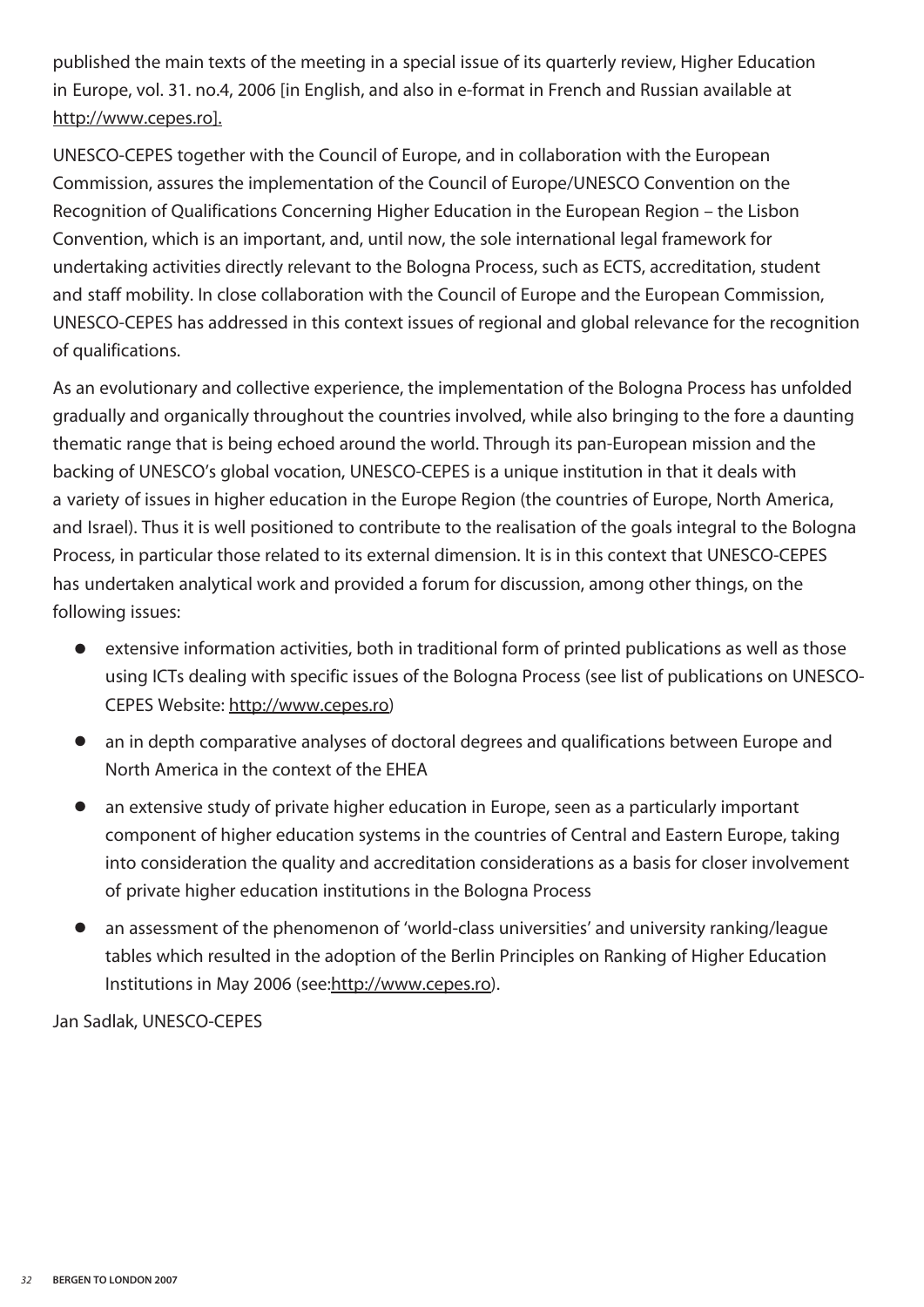published the main texts of the meeting in a special issue of its quarterly review, Higher Education in Europe, vol. 31. no.4, 2006 [in English, and also in e-format in French and Russian available at http://www.cepes.ro].

UNESCO-CEPES together with the Council of Europe, and in collaboration with the European Commission, assures the implementation of the Council of Europe/UNESCO Convention on the Recognition of Qualifications Concerning Higher Education in the European Region – the Lisbon Convention, which is an important, and, until now, the sole international legal framework for undertaking activities directly relevant to the Bologna Process, such as ECTS, accreditation, student and staff mobility. In close collaboration with the Council of Europe and the European Commission, UNESCO-CEPES has addressed in this context issues of regional and global relevance for the recognition of qualifications.

As an evolutionary and collective experience, the implementation of the Bologna Process has unfolded gradually and organically throughout the countries involved, while also bringing to the fore a daunting thematic range that is being echoed around the world. Through its pan-European mission and the backing of UNESCO's global vocation, UNESCO-CEPES is a unique institution in that it deals with a variety of issues in higher education in the Europe Region (the countries of Europe, North America, and Israel). Thus it is well positioned to contribute to the realisation of the goals integral to the Bologna Process, in particular those related to its external dimension. It is in this context that UNESCO-CEPES has undertaken analytical work and provided a forum for discussion, among other things, on the following issues:

- **●** extensive information activities, both in traditional form of printed publications as well as those using ICTs dealing with specific issues of the Bologna Process (see list of publications on UNESCO-CEPES Website: http://www.cepes.ro)
- **●** an in depth comparative analyses of doctoral degrees and qualifications between Europe and North America in the context of the EHEA
- **●** an extensive study of private higher education in Europe, seen as a particularly important component of higher education systems in the countries of Central and Eastern Europe, taking into consideration the quality and accreditation considerations as a basis for closer involvement of private higher education institutions in the Bologna Process
- an assessment of the phenomenon of 'world-class universities' and university ranking/league tables which resulted in the adoption of the Berlin Principles on Ranking of Higher Education Institutions in May 2006 (see:http://www.cepes.ro).

Jan Sadlak, UNESCO-CEPES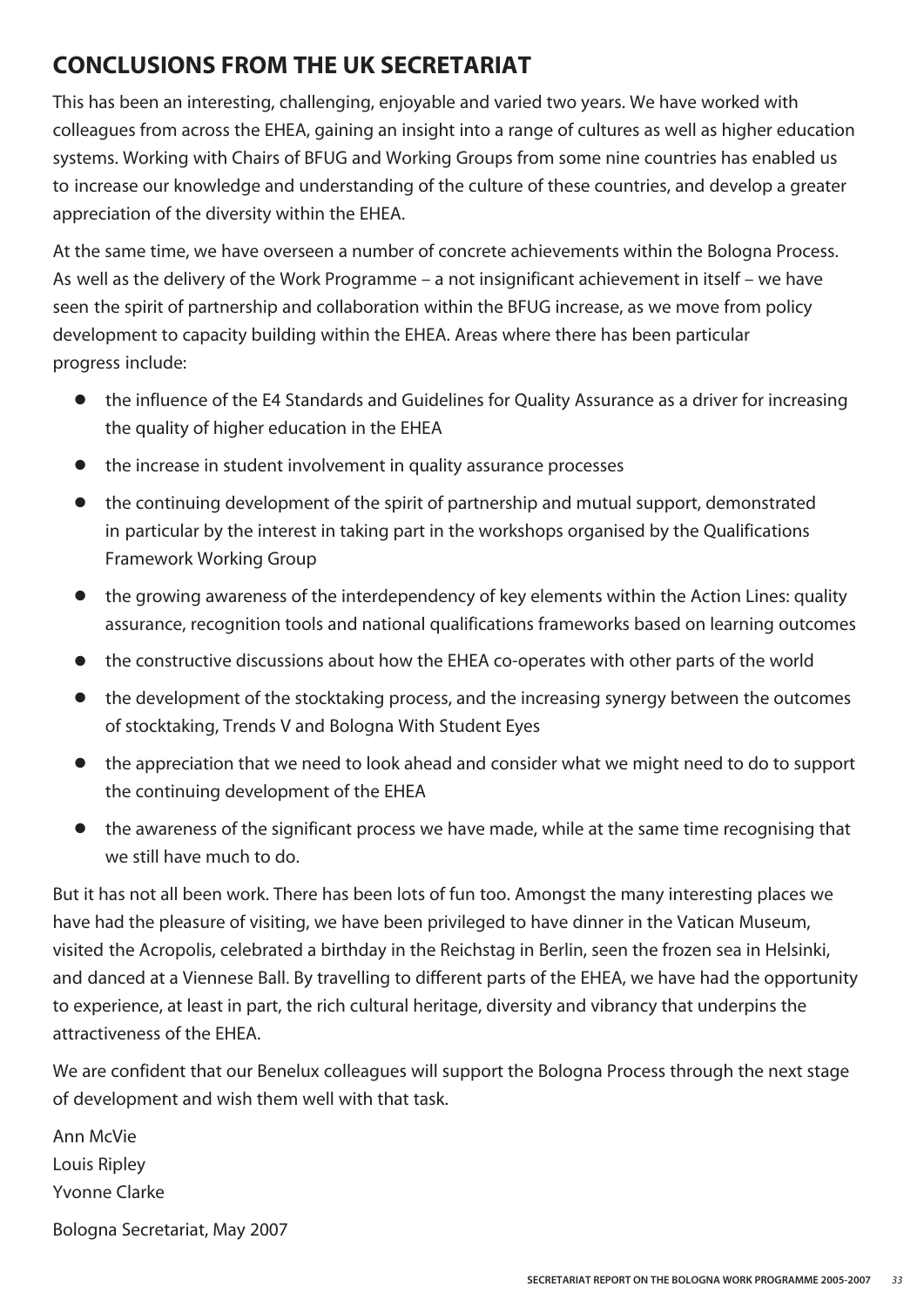#### **CONCLUSIONS FROM THE UK SECRETARIAT**

This has been an interesting, challenging, enjoyable and varied two years. We have worked with colleagues from across the EHEA, gaining an insight into a range of cultures as well as higher education systems. Working with Chairs of BFUG and Working Groups from some nine countries has enabled us to increase our knowledge and understanding of the culture of these countries, and develop a greater appreciation of the diversity within the EHEA.

At the same time, we have overseen a number of concrete achievements within the Bologna Process. As well as the delivery of the Work Programme – a not insignificant achievement in itself – we have seen the spirit of partnership and collaboration within the BFUG increase, as we move from policy development to capacity building within the EHEA. Areas where there has been particular progress include:

- **●** the influence of the E4 Standards and Guidelines for Quality Assurance as a driver for increasing the quality of higher education in the EHEA
- **●** the increase in student involvement in quality assurance processes
- **●** the continuing development of the spirit of partnership and mutual support, demonstrated in particular by the interest in taking part in the workshops organised by the Qualifications Framework Working Group
- **●** the growing awareness of the interdependency of key elements within the Action Lines: quality assurance, recognition tools and national qualifications frameworks based on learning outcomes
- **●** the constructive discussions about how the EHEA co-operates with other parts of the world
- **●** the development of the stocktaking process, and the increasing synergy between the outcomes of stocktaking, Trends V and Bologna With Student Eyes
- **●** the appreciation that we need to look ahead and consider what we might need to do to support the continuing development of the EHEA
- **●** the awareness of the significant process we have made, while at the same time recognising that we still have much to do.

But it has not all been work. There has been lots of fun too. Amongst the many interesting places we have had the pleasure of visiting, we have been privileged to have dinner in the Vatican Museum, visited the Acropolis, celebrated a birthday in the Reichstag in Berlin, seen the frozen sea in Helsinki, and danced at a Viennese Ball. By travelling to different parts of the EHEA, we have had the opportunity to experience, at least in part, the rich cultural heritage, diversity and vibrancy that underpins the attractiveness of the EHEA.

We are confident that our Benelux colleagues will support the Bologna Process through the next stage of development and wish them well with that task.

Ann McVie Louis Ripley Yvonne Clarke Bologna Secretariat, May 2007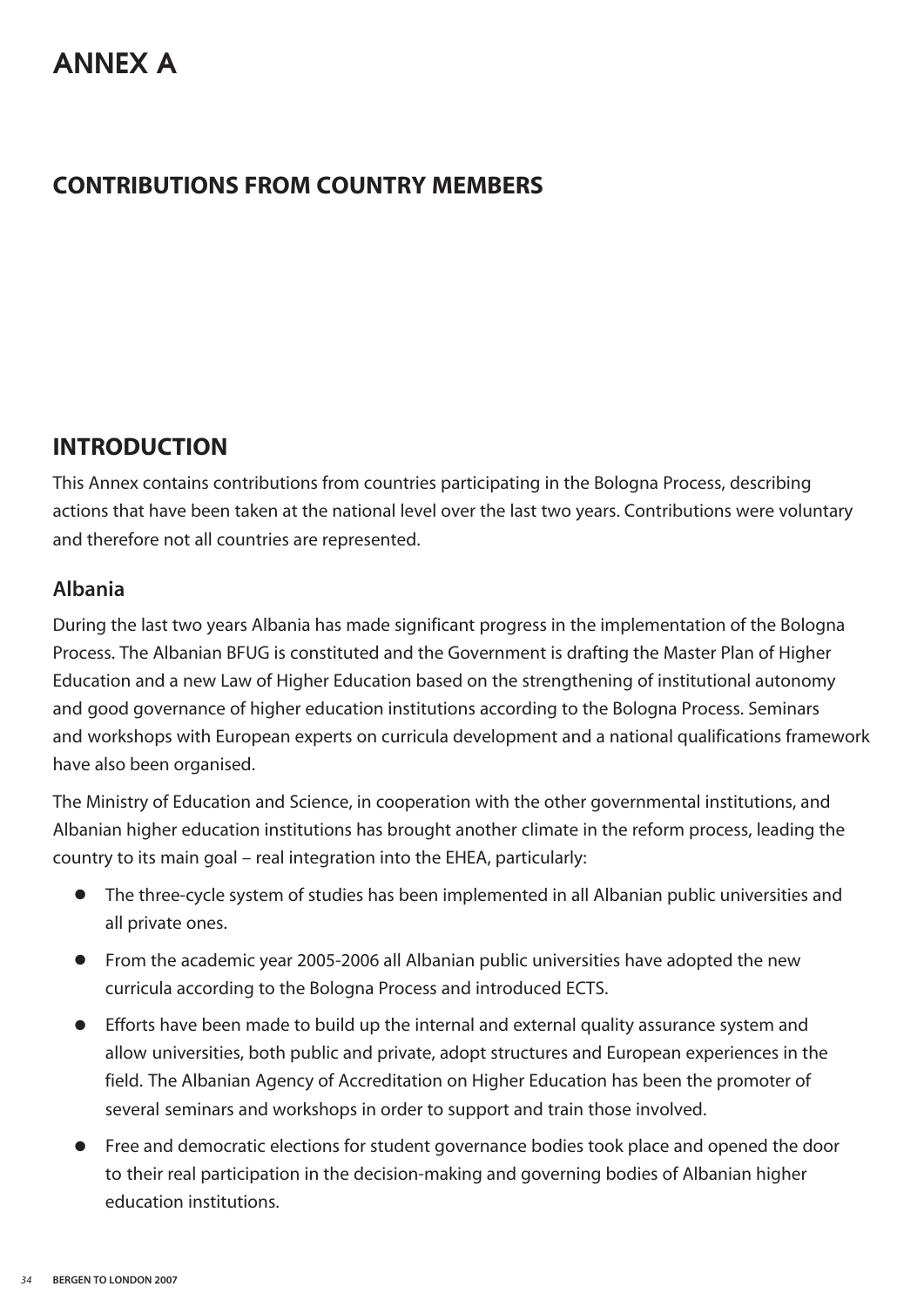#### **CONTRIBUTIONS FROM COUNTRY MEMBERS**

#### **INTRODUCTION**

This Annex contains contributions from countries participating in the Bologna Process, describing actions that have been taken at the national level over the last two years. Contributions were voluntary and therefore not all countries are represented.

#### **Albania**

During the last two years Albania has made significant progress in the implementation of the Bologna Process. The Albanian BFUG is constituted and the Government is drafting the Master Plan of Higher Education and a new Law of Higher Education based on the strengthening of institutional autonomy and good governance of higher education institutions according to the Bologna Process. Seminars and workshops with European experts on curricula development and a national qualifications framework have also been organised.

The Ministry of Education and Science, in cooperation with the other governmental institutions, and Albanian higher education institutions has brought another climate in the reform process, leading the country to its main goal – real integration into the EHEA, particularly:

- **●** The three-cycle system of studies has been implemented in all Albanian public universities and all private ones.
- **●** From the academic year 2005-2006 all Albanian public universities have adopted the new curricula according to the Bologna Process and introduced ECTS.
- **●** Efforts have been made to build up the internal and external quality assurance system and allow universities, both public and private, adopt structures and European experiences in the field. The Albanian Agency of Accreditation on Higher Education has been the promoter of several seminars and workshops in order to support and train those involved.
- **●** Free and democratic elections for student governance bodies took place and opened the door to their real participation in the decision-making and governing bodies of Albanian higher education institutions.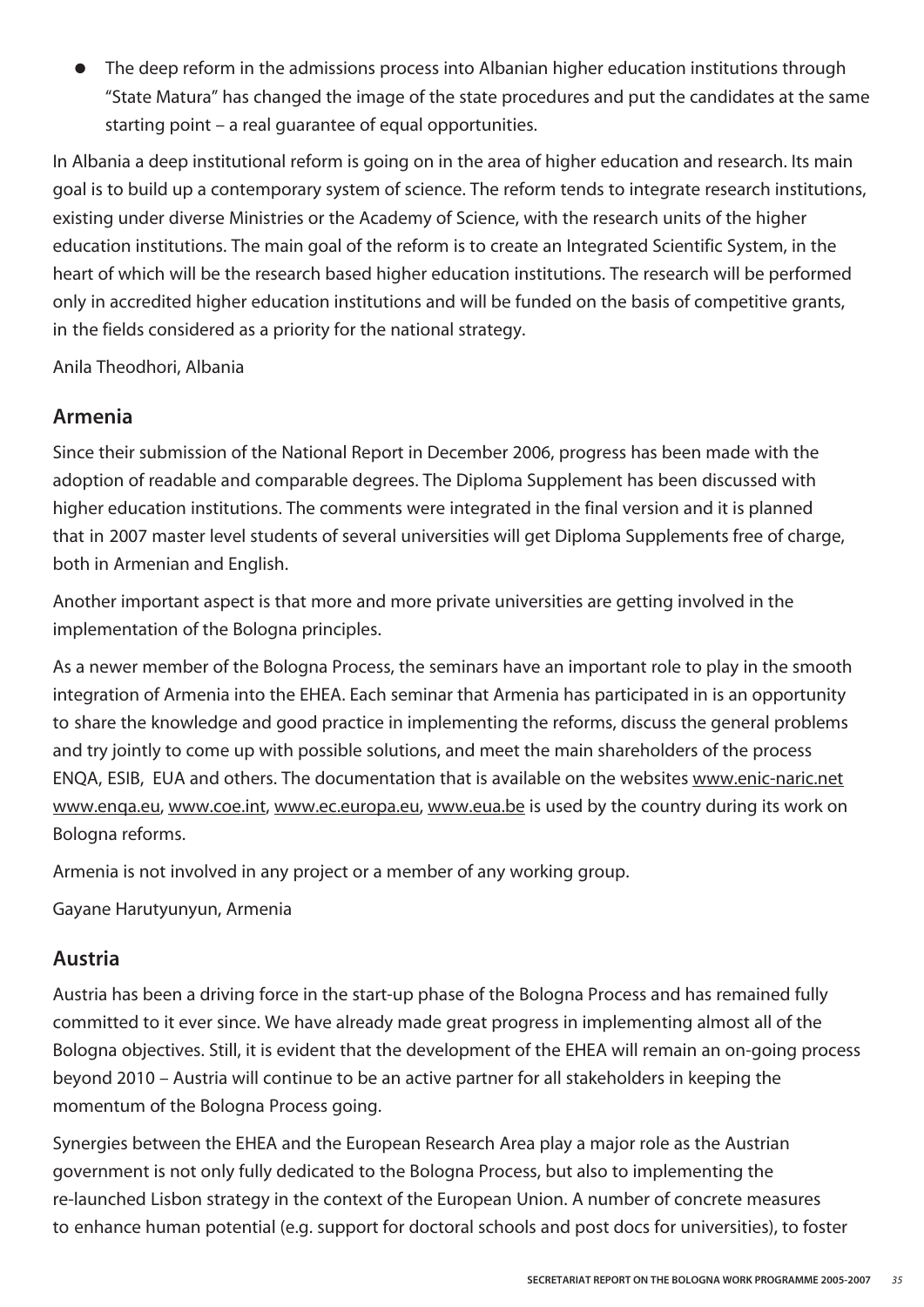**●** The deep reform in the admissions process into Albanian higher education institutions through "State Matura" has changed the image of the state procedures and put the candidates at the same starting point – a real guarantee of equal opportunities.

In Albania a deep institutional reform is going on in the area of higher education and research. Its main goal is to build up a contemporary system of science. The reform tends to integrate research institutions, existing under diverse Ministries or the Academy of Science, with the research units of the higher education institutions. The main goal of the reform is to create an Integrated Scientific System, in the heart of which will be the research based higher education institutions. The research will be performed only in accredited higher education institutions and will be funded on the basis of competitive grants, in the fields considered as a priority for the national strategy.

Anila Theodhori, Albania

#### **Armenia**

Since their submission of the National Report in December 2006, progress has been made with the adoption of readable and comparable degrees. The Diploma Supplement has been discussed with higher education institutions. The comments were integrated in the final version and it is planned that in 2007 master level students of several universities will get Diploma Supplements free of charge, both in Armenian and English.

Another important aspect is that more and more private universities are getting involved in the implementation of the Bologna principles.

As a newer member of the Bologna Process, the seminars have an important role to play in the smooth integration of Armenia into the EHEA. Each seminar that Armenia has participated in is an opportunity to share the knowledge and good practice in implementing the reforms, discuss the general problems and try jointly to come up with possible solutions, and meet the main shareholders of the process ENQA, ESIB, EUA and others. The documentation that is available on the websites www.enic-naric.net www.enqa.eu, www.coe.int, www.ec.europa.eu, www.eua.be is used by the country during its work on Bologna reforms.

Armenia is not involved in any project or a member of any working group.

Gayane Harutyunyun, Armenia

#### **Austria**

Austria has been a driving force in the start-up phase of the Bologna Process and has remained fully committed to it ever since. We have already made great progress in implementing almost all of the Bologna objectives. Still, it is evident that the development of the EHEA will remain an on-going process beyond 2010 – Austria will continue to be an active partner for all stakeholders in keeping the momentum of the Bologna Process going.

Synergies between the EHEA and the European Research Area play a major role as the Austrian government is not only fully dedicated to the Bologna Process, but also to implementing the re-launched Lisbon strategy in the context of the European Union. A number of concrete measures to enhance human potential (e.g. support for doctoral schools and post docs for universities), to foster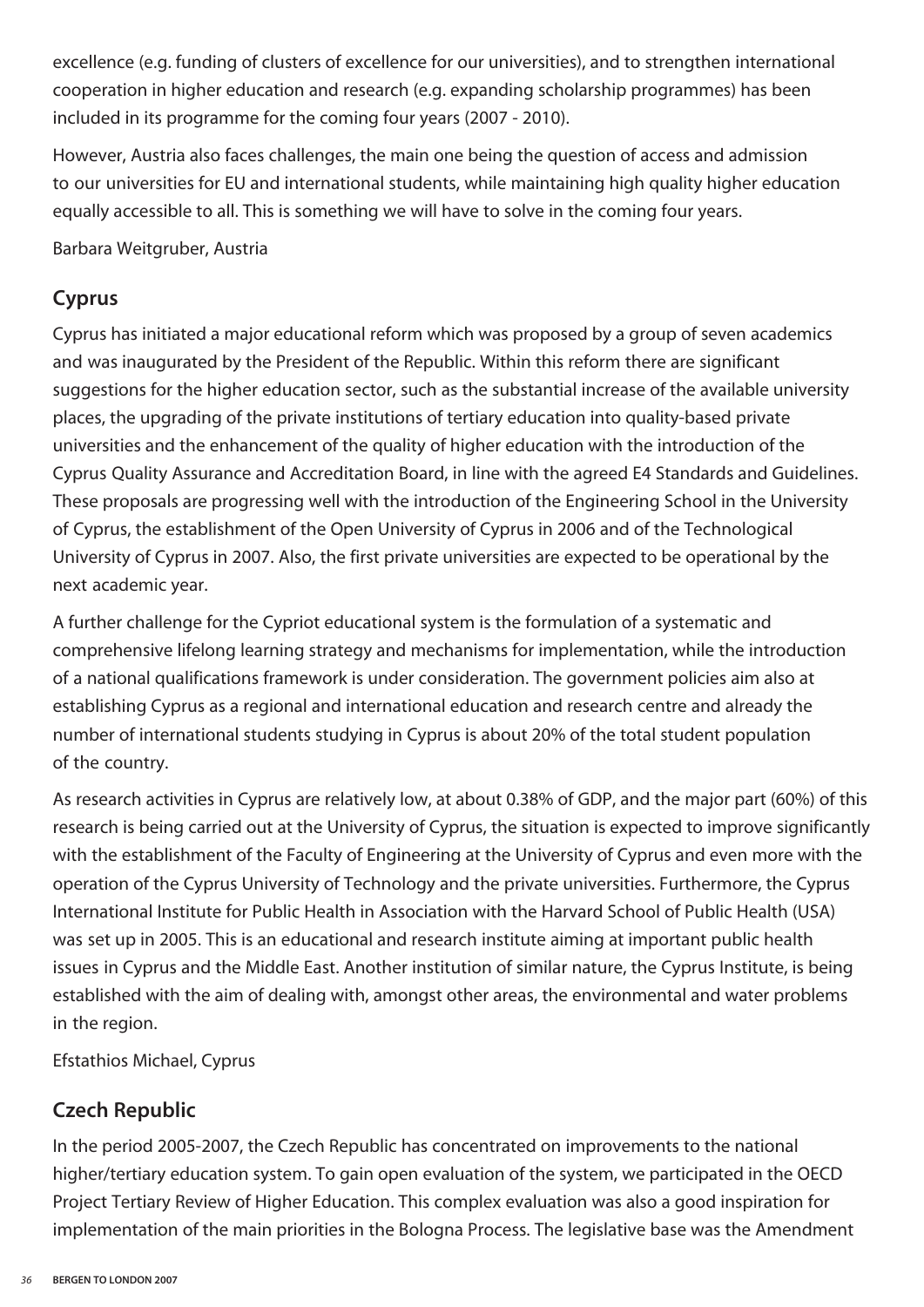excellence (e.g. funding of clusters of excellence for our universities), and to strengthen international cooperation in higher education and research (e.g. expanding scholarship programmes) has been included in its programme for the coming four years (2007 - 2010).

However, Austria also faces challenges, the main one being the question of access and admission to our universities for EU and international students, while maintaining high quality higher education equally accessible to all. This is something we will have to solve in the coming four years.

Barbara Weitgruber, Austria

#### **Cyprus**

Cyprus has initiated a major educational reform which was proposed by a group of seven academics and was inaugurated by the President of the Republic. Within this reform there are significant suggestions for the higher education sector, such as the substantial increase of the available university places, the upgrading of the private institutions of tertiary education into quality-based private universities and the enhancement of the quality of higher education with the introduction of the Cyprus Quality Assurance and Accreditation Board, in line with the agreed E4 Standards and Guidelines. These proposals are progressing well with the introduction of the Engineering School in the University of Cyprus, the establishment of the Open University of Cyprus in 2006 and of the Technological University of Cyprus in 2007. Also, the first private universities are expected to be operational by the next academic year.

A further challenge for the Cypriot educational system is the formulation of a systematic and comprehensive lifelong learning strategy and mechanisms for implementation, while the introduction of a national qualifications framework is under consideration. The government policies aim also at establishing Cyprus as a regional and international education and research centre and already the number of international students studying in Cyprus is about 20% of the total student population of the country.

As research activities in Cyprus are relatively low, at about 0.38% of GDP, and the major part (60%) of this research is being carried out at the University of Cyprus, the situation is expected to improve significantly with the establishment of the Faculty of Engineering at the University of Cyprus and even more with the operation of the Cyprus University of Technology and the private universities. Furthermore, the Cyprus International Institute for Public Health in Association with the Harvard School of Public Health (USA) was set up in 2005. This is an educational and research institute aiming at important public health issues in Cyprus and the Middle East. Another institution of similar nature, the Cyprus Institute, is being established with the aim of dealing with, amongst other areas, the environmental and water problems in the region.

Efstathios Michael, Cyprus

#### **Czech Republic**

In the period 2005-2007, the Czech Republic has concentrated on improvements to the national higher/tertiary education system. To gain open evaluation of the system, we participated in the OECD Project Tertiary Review of Higher Education. This complex evaluation was also a good inspiration for implementation of the main priorities in the Bologna Process. The legislative base was the Amendment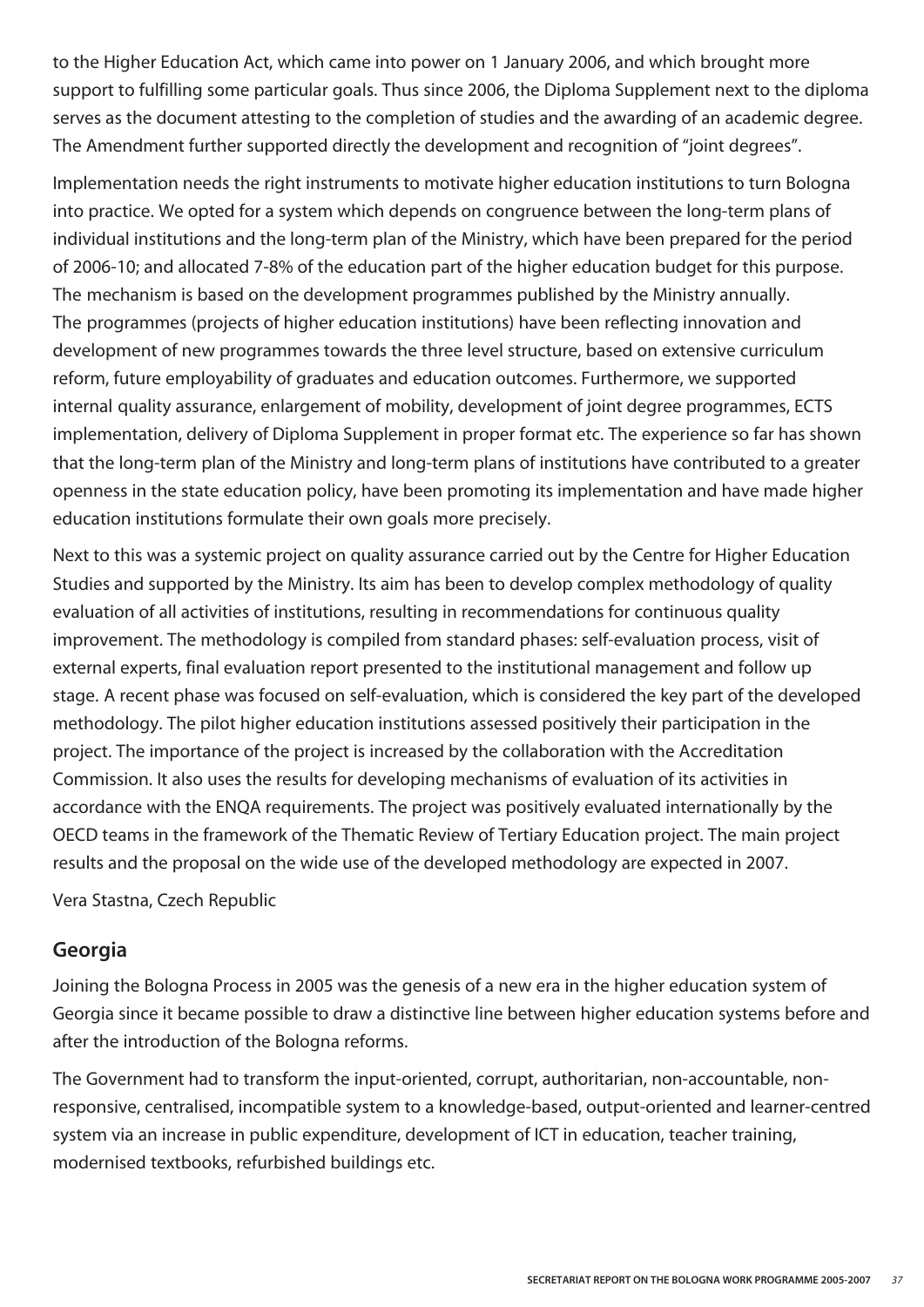to the Higher Education Act, which came into power on 1 January 2006, and which brought more support to fulfilling some particular goals. Thus since 2006, the Diploma Supplement next to the diploma serves as the document attesting to the completion of studies and the awarding of an academic degree. The Amendment further supported directly the development and recognition of "joint degrees".

Implementation needs the right instruments to motivate higher education institutions to turn Bologna into practice. We opted for a system which depends on congruence between the long-term plans of individual institutions and the long-term plan of the Ministry, which have been prepared for the period of 2006-10; and allocated 7-8% of the education part of the higher education budget for this purpose. The mechanism is based on the development programmes published by the Ministry annually. The programmes (projects of higher education institutions) have been reflecting innovation and development of new programmes towards the three level structure, based on extensive curriculum reform, future employability of graduates and education outcomes. Furthermore, we supported internal quality assurance, enlargement of mobility, development of joint degree programmes, ECTS implementation, delivery of Diploma Supplement in proper format etc. The experience so far has shown that the long-term plan of the Ministry and long-term plans of institutions have contributed to a greater openness in the state education policy, have been promoting its implementation and have made higher education institutions formulate their own goals more precisely.

Next to this was a systemic project on quality assurance carried out by the Centre for Higher Education Studies and supported by the Ministry. Its aim has been to develop complex methodology of quality evaluation of all activities of institutions, resulting in recommendations for continuous quality improvement. The methodology is compiled from standard phases: self-evaluation process, visit of external experts, final evaluation report presented to the institutional management and follow up stage. A recent phase was focused on self-evaluation, which is considered the key part of the developed methodology. The pilot higher education institutions assessed positively their participation in the project. The importance of the project is increased by the collaboration with the Accreditation Commission. It also uses the results for developing mechanisms of evaluation of its activities in accordance with the ENQA requirements. The project was positively evaluated internationally by the OECD teams in the framework of the Thematic Review of Tertiary Education project. The main project results and the proposal on the wide use of the developed methodology are expected in 2007.

Vera Stastna, Czech Republic

#### **Georgia**

Joining the Bologna Process in 2005 was the genesis of a new era in the higher education system of Georgia since it became possible to draw a distinctive line between higher education systems before and after the introduction of the Bologna reforms.

The Government had to transform the input-oriented, corrupt, authoritarian, non-accountable, nonresponsive, centralised, incompatible system to a knowledge-based, output-oriented and learner-centred system via an increase in public expenditure, development of ICT in education, teacher training, modernised textbooks, refurbished buildings etc.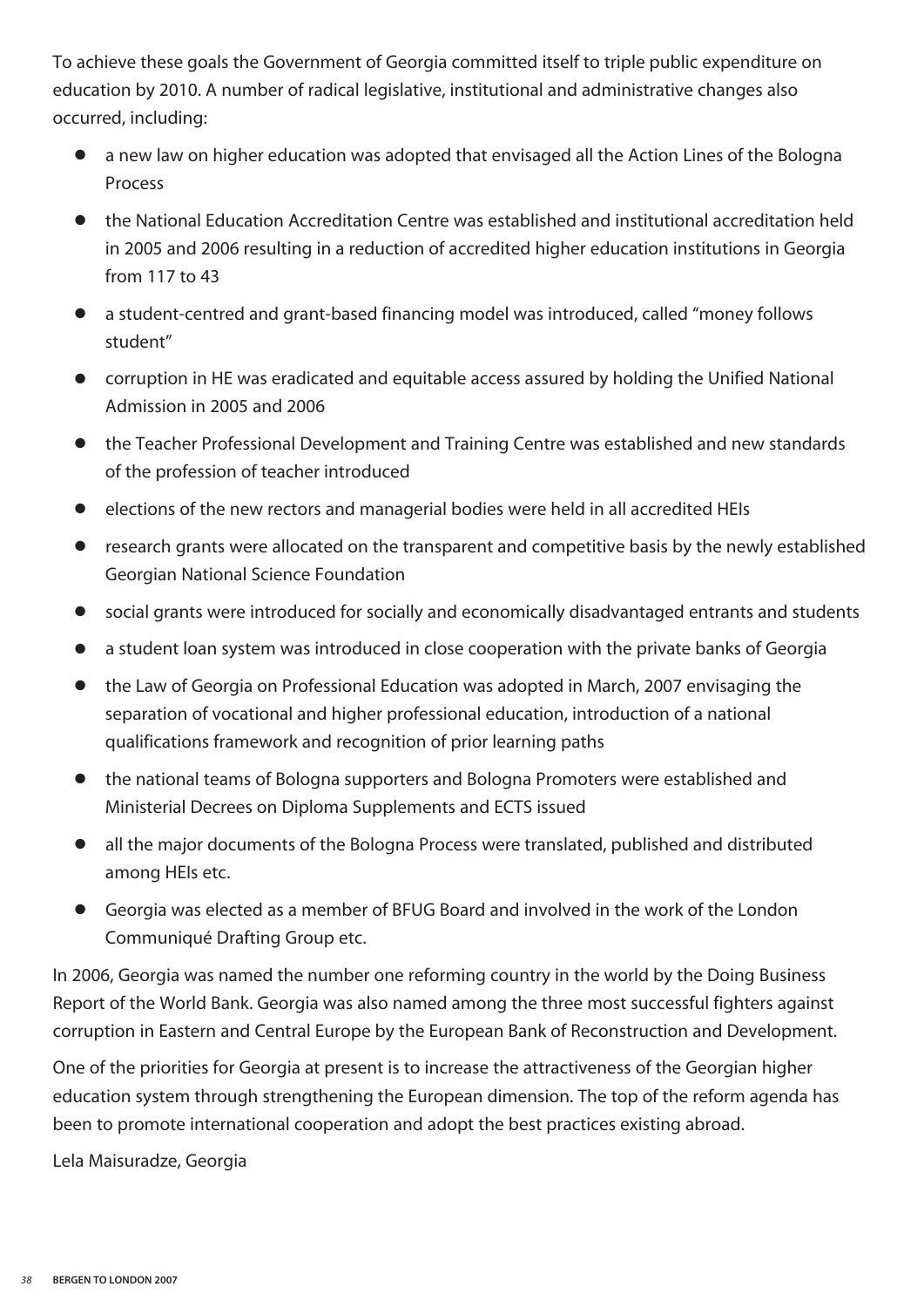To achieve these goals the Government of Georgia committed itself to triple public expenditure on education by 2010. A number of radical legislative, institutional and administrative changes also occurred, including:

- **●** a new law on higher education was adopted that envisaged all the Action Lines of the Bologna Process
- **●** the National Education Accreditation Centre was established and institutional accreditation held in 2005 and 2006 resulting in a reduction of accredited higher education institutions in Georgia from 117 to 43
- **●** a student-centred and grant-based financing model was introduced, called "money follows student"
- **●** corruption in HE was eradicated and equitable access assured by holding the Unified National Admission in 2005 and 2006
- **●** the Teacher Professional Development and Training Centre was established and new standards of the profession of teacher introduced
- **●** elections of the new rectors and managerial bodies were held in all accredited HEIs
- **●** research grants were allocated on the transparent and competitive basis by the newly established Georgian National Science Foundation
- **●** social grants were introduced for socially and economically disadvantaged entrants and students
- **●** a student loan system was introduced in close cooperation with the private banks of Georgia
- **●** the Law of Georgia on Professional Education was adopted in March, 2007 envisaging the separation of vocational and higher professional education, introduction of a national qualifications framework and recognition of prior learning paths
- **●** the national teams of Bologna supporters and Bologna Promoters were established and Ministerial Decrees on Diploma Supplements and ECTS issued
- **●** all the major documents of the Bologna Process were translated, published and distributed among HEIs etc.
- **●** Georgia was elected as a member of BFUG Board and involved in the work of the London Communiqué Drafting Group etc.

In 2006, Georgia was named the number one reforming country in the world by the Doing Business Report of the World Bank. Georgia was also named among the three most successful fighters against corruption in Eastern and Central Europe by the European Bank of Reconstruction and Development.

One of the priorities for Georgia at present is to increase the attractiveness of the Georgian higher education system through strengthening the European dimension. The top of the reform agenda has been to promote international cooperation and adopt the best practices existing abroad.

Lela Maisuradze, Georgia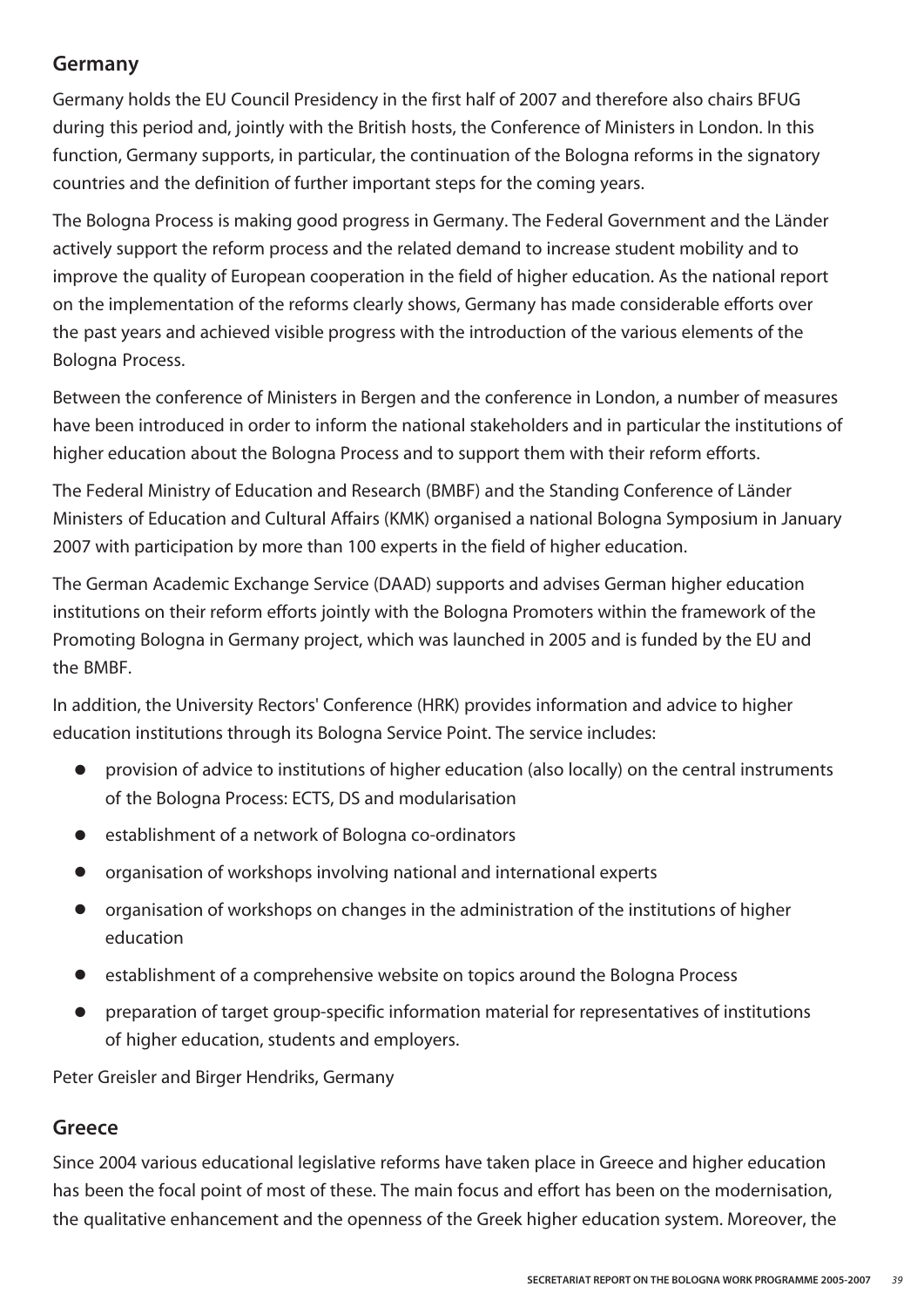#### **Germany**

Germany holds the EU Council Presidency in the first half of 2007 and therefore also chairs BFUG during this period and, jointly with the British hosts, the Conference of Ministers in London. In this function, Germany supports, in particular, the continuation of the Bologna reforms in the signatory countries and the definition of further important steps for the coming years.

The Bologna Process is making good progress in Germany. The Federal Government and the Länder actively support the reform process and the related demand to increase student mobility and to improve the quality of European cooperation in the field of higher education. As the national report on the implementation of the reforms clearly shows, Germany has made considerable efforts over the past years and achieved visible progress with the introduction of the various elements of the Bologna Process.

Between the conference of Ministers in Bergen and the conference in London, a number of measures have been introduced in order to inform the national stakeholders and in particular the institutions of higher education about the Bologna Process and to support them with their reform efforts.

The Federal Ministry of Education and Research (BMBF) and the Standing Conference of Länder Ministers of Education and Cultural Affairs (KMK) organised a national Bologna Symposium in January 2007 with participation by more than 100 experts in the field of higher education.

The German Academic Exchange Service (DAAD) supports and advises German higher education institutions on their reform efforts jointly with the Bologna Promoters within the framework of the Promoting Bologna in Germany project, which was launched in 2005 and is funded by the EU and the BMBF.

In addition, the University Rectors' Conference (HRK) provides information and advice to higher education institutions through its Bologna Service Point. The service includes:

- **●** provision of advice to institutions of higher education (also locally) on the central instruments of the Bologna Process: ECTS, DS and modularisation
- **●** establishment of a network of Bologna co-ordinators
- **●** organisation of workshops involving national and international experts
- **●** organisation of workshops on changes in the administration of the institutions of higher education
- **●** establishment of a comprehensive website on topics around the Bologna Process
- **●** preparation of target group-specific information material for representatives of institutions of higher education, students and employers.

Peter Greisler and Birger Hendriks, Germany

#### **Greece**

Since 2004 various educational legislative reforms have taken place in Greece and higher education has been the focal point of most of these. The main focus and effort has been on the modernisation, the qualitative enhancement and the openness of the Greek higher education system. Moreover, the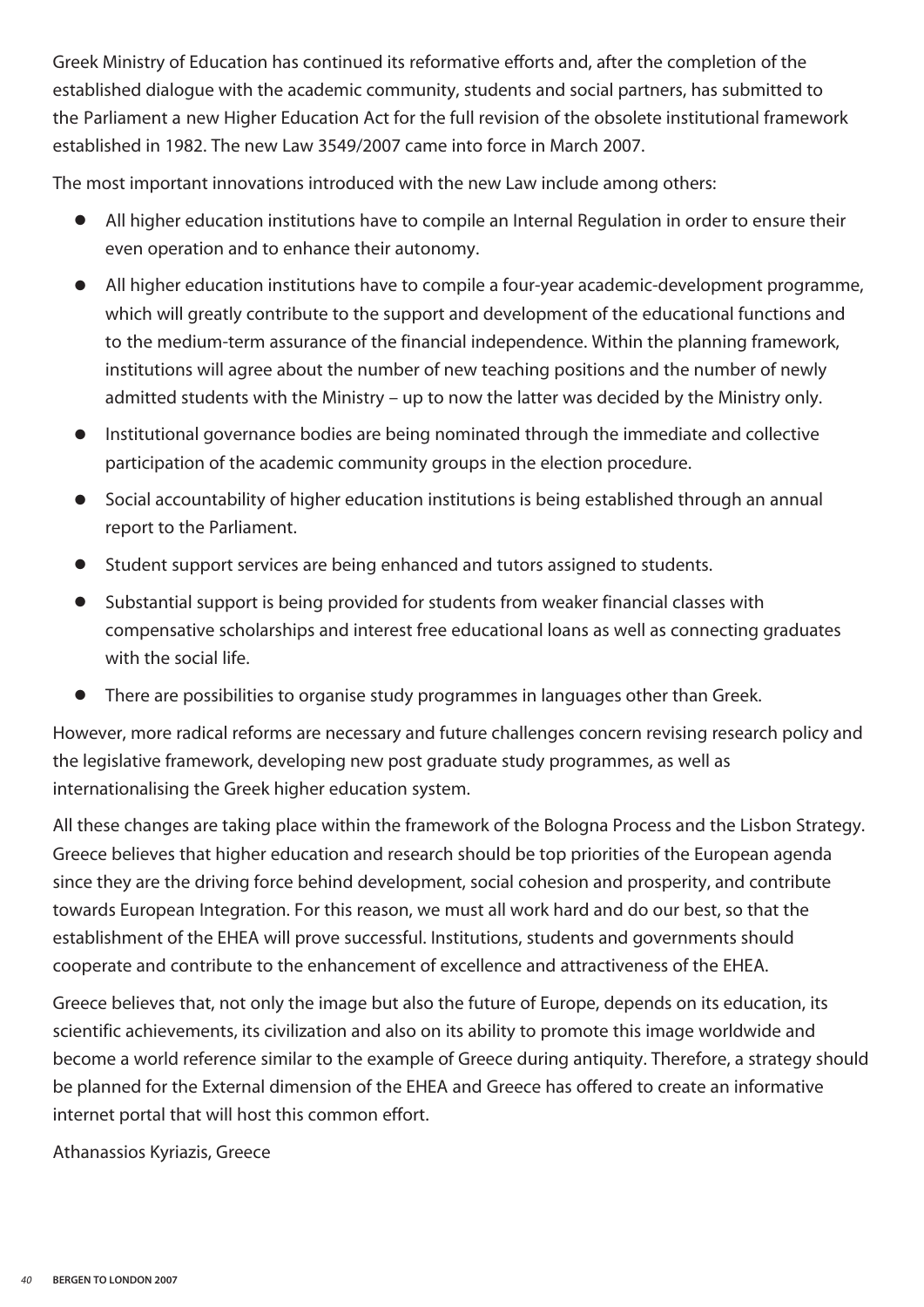Greek Ministry of Education has continued its reformative efforts and, after the completion of the established dialogue with the academic community, students and social partners, has submitted to the Parliament a new Higher Education Act for the full revision of the obsolete institutional framework established in 1982. The new Law 3549/2007 came into force in March 2007.

The most important innovations introduced with the new Law include among others:

- **●** All higher education institutions have to compile an Internal Regulation in order to ensure their even operation and to enhance their autonomy.
- **●** All higher education institutions have to compile a four-year academic-development programme, which will greatly contribute to the support and development of the educational functions and to the medium-term assurance of the financial independence. Within the planning framework, institutions will agree about the number of new teaching positions and the number of newly admitted students with the Ministry – up to now the latter was decided by the Ministry only.
- **●** Institutional governance bodies are being nominated through the immediate and collective participation of the academic community groups in the election procedure.
- **●** Social accountability of higher education institutions is being established through an annual report to the Parliament.
- **●** Student support services are being enhanced and tutors assigned to students.
- **●** Substantial support is being provided for students from weaker financial classes with compensative scholarships and interest free educational loans as well as connecting graduates with the social life.
- **●** There are possibilities to organise study programmes in languages other than Greek.

However, more radical reforms are necessary and future challenges concern revising research policy and the legislative framework, developing new post graduate study programmes, as well as internationalising the Greek higher education system.

All these changes are taking place within the framework of the Bologna Process and the Lisbon Strategy. Greece believes that higher education and research should be top priorities of the European agenda since they are the driving force behind development, social cohesion and prosperity, and contribute towards European Integration. For this reason, we must all work hard and do our best, so that the establishment of the EHEA will prove successful. Institutions, students and governments should cooperate and contribute to the enhancement of excellence and attractiveness of the EHEA.

Greece believes that, not only the image but also the future of Europe, depends on its education, its scientific achievements, its civilization and also on its ability to promote this image worldwide and become a world reference similar to the example of Greece during antiquity. Therefore, a strategy should be planned for the External dimension of the EHEA and Greece has offered to create an informative internet portal that will host this common effort.

Athanassios Kyriazis, Greece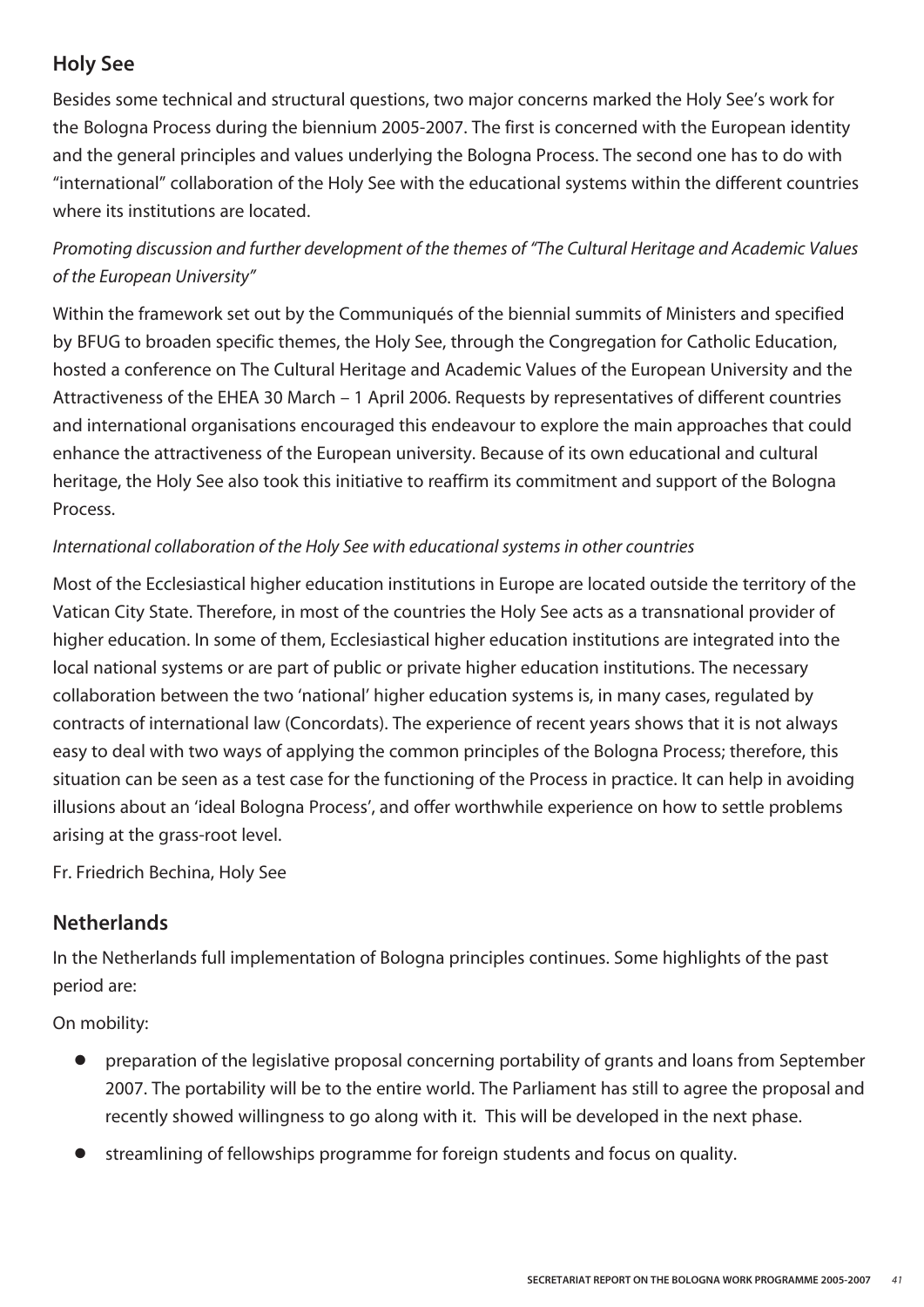#### **Holy See**

Besides some technical and structural questions, two major concerns marked the Holy See's work for the Bologna Process during the biennium 2005-2007. The first is concerned with the European identity and the general principles and values underlying the Bologna Process. The second one has to do with "international" collaboration of the Holy See with the educational systems within the different countries where its institutions are located.

#### *Promoting discussion and further development of the themes of "The Cultural Heritage and Academic Values of the European University"*

Within the framework set out by the Communiqués of the biennial summits of Ministers and specified by BFUG to broaden specific themes, the Holy See, through the Congregation for Catholic Education, hosted a conference on The Cultural Heritage and Academic Values of the European University and the Attractiveness of the EHEA 30 March – 1 April 2006. Requests by representatives of different countries and international organisations encouraged this endeavour to explore the main approaches that could enhance the attractiveness of the European university. Because of its own educational and cultural heritage, the Holy See also took this initiative to reaffirm its commitment and support of the Bologna Process.

#### *International collaboration of the Holy See with educational systems in other countries*

Most of the Ecclesiastical higher education institutions in Europe are located outside the territory of the Vatican City State. Therefore, in most of the countries the Holy See acts as a transnational provider of higher education. In some of them, Ecclesiastical higher education institutions are integrated into the local national systems or are part of public or private higher education institutions. The necessary collaboration between the two 'national' higher education systems is, in many cases, regulated by contracts of international law (Concordats). The experience of recent years shows that it is not always easy to deal with two ways of applying the common principles of the Bologna Process; therefore, this situation can be seen as a test case for the functioning of the Process in practice. It can help in avoiding illusions about an 'ideal Bologna Process', and offer worthwhile experience on how to settle problems arising at the grass-root level.

Fr. Friedrich Bechina, Holy See

#### **Netherlands**

In the Netherlands full implementation of Bologna principles continues. Some highlights of the past period are:

On mobility:

- **●** preparation of the legislative proposal concerning portability of grants and loans from September 2007. The portability will be to the entire world. The Parliament has still to agree the proposal and recently showed willingness to go along with it. This will be developed in the next phase.
- **●** streamlining of fellowships programme for foreign students and focus on quality.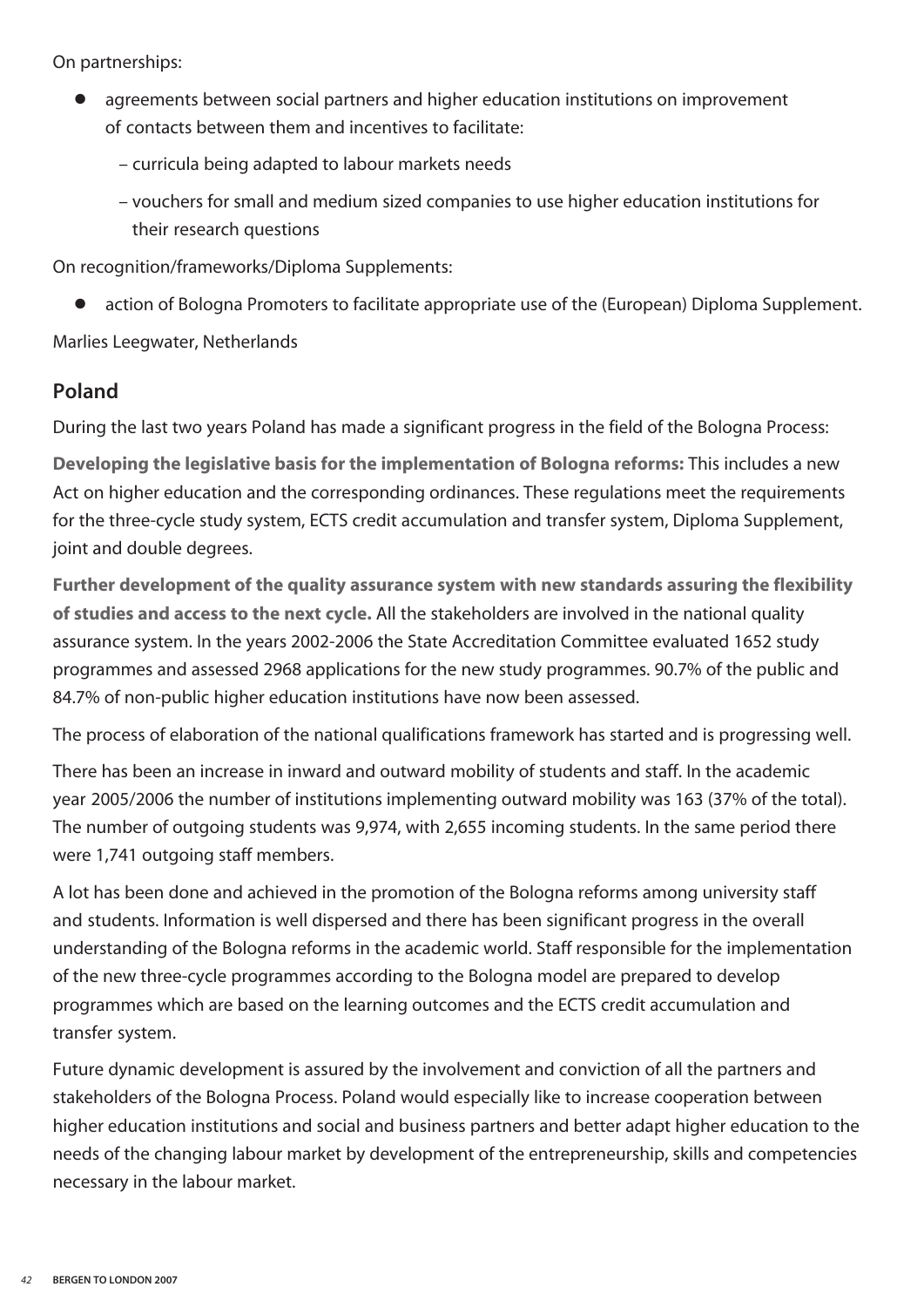On partnerships:

- agreements between social partners and higher education institutions on improvement of contacts between them and incentives to facilitate:
	- curricula being adapted to labour markets needs
	- vouchers for small and medium sized companies to use higher education institutions for their research questions

On recognition/frameworks/Diploma Supplements:

action of Bologna Promoters to facilitate appropriate use of the (European) Diploma Supplement.

Marlies Leegwater, Netherlands

#### **Poland**

During the last two years Poland has made a significant progress in the field of the Bologna Process:

**Developing the legislative basis for the implementation of Bologna reforms:** This includes a new Act on higher education and the corresponding ordinances. These regulations meet the requirements for the three-cycle study system, ECTS credit accumulation and transfer system, Diploma Supplement, joint and double degrees.

**Further development of the quality assurance system with new standards assuring the flexibility of studies and access to the next cycle.** All the stakeholders are involved in the national quality assurance system. In the years 2002-2006 the State Accreditation Committee evaluated 1652 study programmes and assessed 2968 applications for the new study programmes. 90.7% of the public and 84.7% of non-public higher education institutions have now been assessed.

The process of elaboration of the national qualifications framework has started and is progressing well.

There has been an increase in inward and outward mobility of students and staff. In the academic year 2005/2006 the number of institutions implementing outward mobility was 163 (37% of the total). The number of outgoing students was 9,974, with 2,655 incoming students. In the same period there were 1,741 outgoing staff members.

A lot has been done and achieved in the promotion of the Bologna reforms among university staff and students. Information is well dispersed and there has been significant progress in the overall understanding of the Bologna reforms in the academic world. Staff responsible for the implementation of the new three-cycle programmes according to the Bologna model are prepared to develop programmes which are based on the learning outcomes and the ECTS credit accumulation and transfer system.

Future dynamic development is assured by the involvement and conviction of all the partners and stakeholders of the Bologna Process. Poland would especially like to increase cooperation between higher education institutions and social and business partners and better adapt higher education to the needs of the changing labour market by development of the entrepreneurship, skills and competencies necessary in the labour market.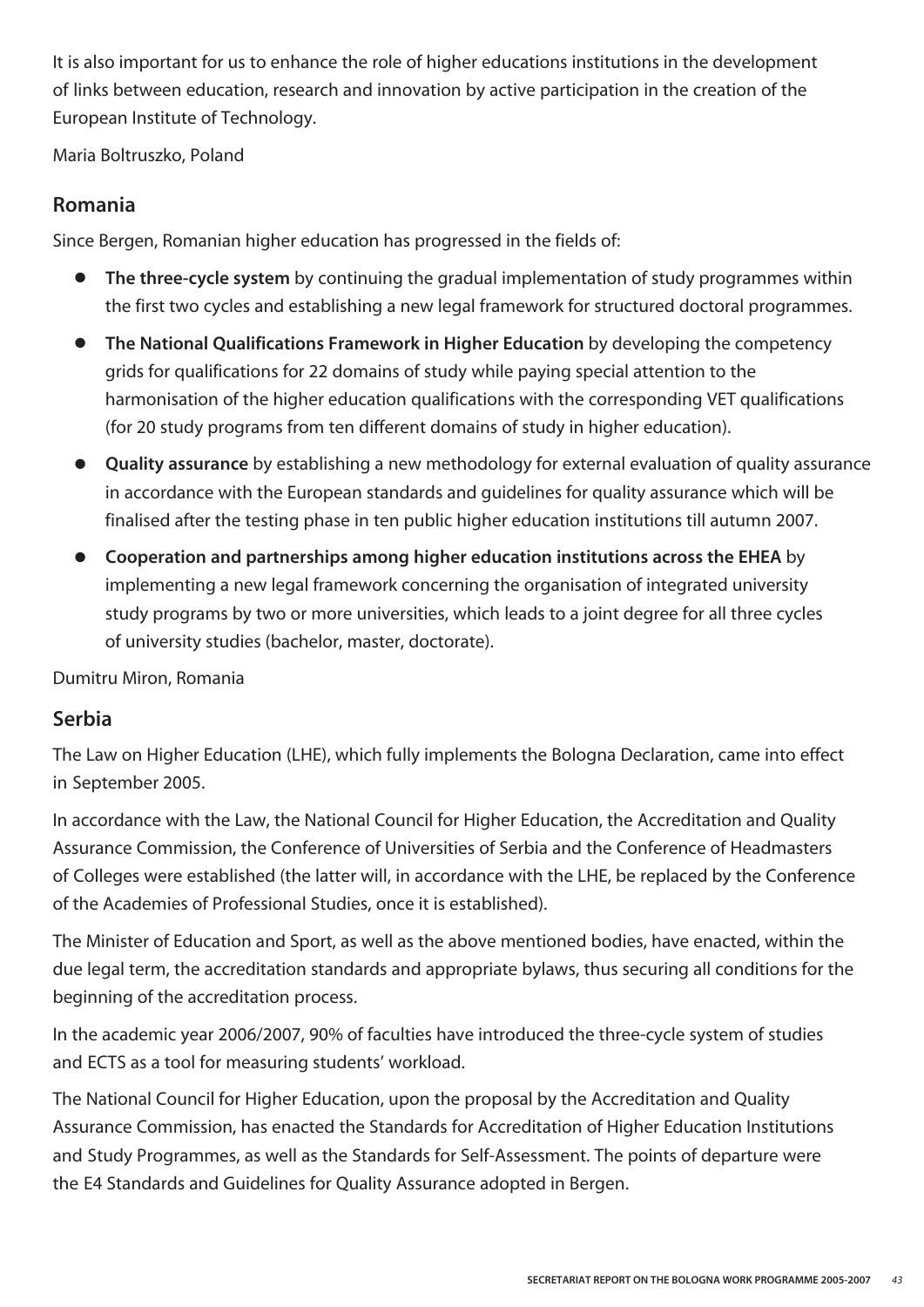It is also important for us to enhance the role of higher educations institutions in the development of links between education, research and innovation by active participation in the creation of the European Institute of Technology.

Maria Boltruszko, Poland

#### **Romania**

Since Bergen, Romanian higher education has progressed in the fields of:

- **● The three-cycle system** by continuing the gradual implementation of study programmes within the first two cycles and establishing a new legal framework for structured doctoral programmes.
- **● The National Qualifications Framework in Higher Education** by developing the competency grids for qualifications for 22 domains of study while paying special attention to the harmonisation of the higher education qualifications with the corresponding VET qualifications (for 20 study programs from ten different domains of study in higher education).
- **● Quality assurance** by establishing a new methodology for external evaluation of quality assurance in accordance with the European standards and guidelines for quality assurance which will be finalised after the testing phase in ten public higher education institutions till autumn 2007.
- **● Cooperation and partnerships among higher education institutions across the EHEA** by implementing a new legal framework concerning the organisation of integrated university study programs by two or more universities, which leads to a joint degree for all three cycles of university studies (bachelor, master, doctorate).

Dumitru Miron, Romania

#### **Serbia**

The Law on Higher Education (LHE), which fully implements the Bologna Declaration, came into effect in September 2005.

In accordance with the Law, the National Council for Higher Education, the Accreditation and Quality Assurance Commission, the Conference of Universities of Serbia and the Conference of Headmasters of Colleges were established (the latter will, in accordance with the LHE, be replaced by the Conference of the Academies of Professional Studies, once it is established).

The Minister of Education and Sport, as well as the above mentioned bodies, have enacted, within the due legal term, the accreditation standards and appropriate bylaws, thus securing all conditions for the beginning of the accreditation process.

In the academic year 2006/2007, 90% of faculties have introduced the three-cycle system of studies and ECTS as a tool for measuring students' workload.

The National Council for Higher Education, upon the proposal by the Accreditation and Quality Assurance Commission, has enacted the Standards for Accreditation of Higher Education Institutions and Study Programmes, as well as the Standards for Self-Assessment. The points of departure were the E4 Standards and Guidelines for Quality Assurance adopted in Bergen.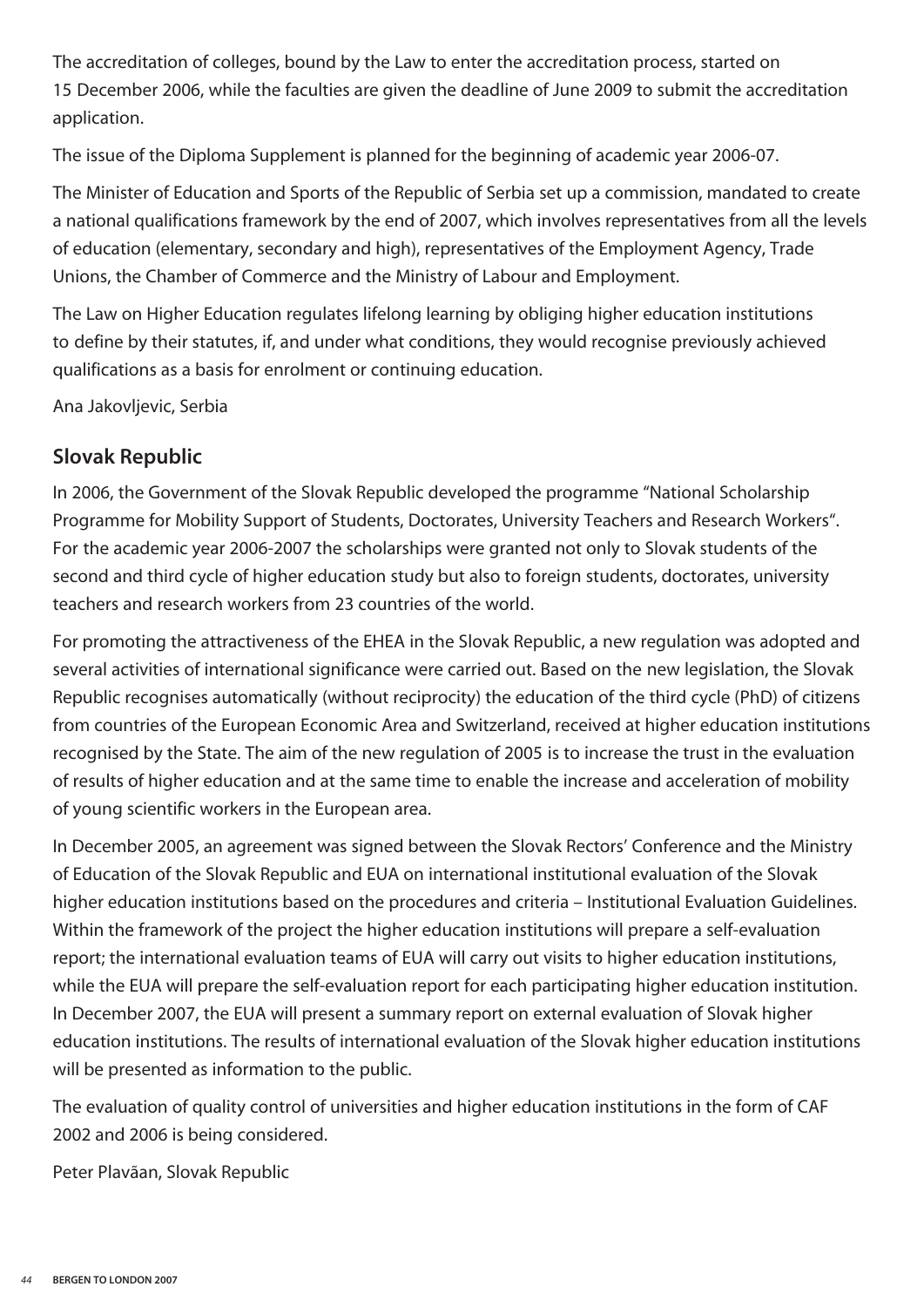The accreditation of colleges, bound by the Law to enter the accreditation process, started on 15 December 2006, while the faculties are given the deadline of June 2009 to submit the accreditation application.

The issue of the Diploma Supplement is planned for the beginning of academic year 2006-07.

The Minister of Education and Sports of the Republic of Serbia set up a commission, mandated to create a national qualifications framework by the end of 2007, which involves representatives from all the levels of education (elementary, secondary and high), representatives of the Employment Agency, Trade Unions, the Chamber of Commerce and the Ministry of Labour and Employment.

The Law on Higher Education regulates lifelong learning by obliging higher education institutions to define by their statutes, if, and under what conditions, they would recognise previously achieved qualifications as a basis for enrolment or continuing education.

Ana Jakovljevic, Serbia

#### **Slovak Republic**

In 2006, the Government of the Slovak Republic developed the programme "National Scholarship Programme for Mobility Support of Students, Doctorates, University Teachers and Research Workers". For the academic year 2006-2007 the scholarships were granted not only to Slovak students of the second and third cycle of higher education study but also to foreign students, doctorates, university teachers and research workers from 23 countries of the world.

For promoting the attractiveness of the EHEA in the Slovak Republic, a new regulation was adopted and several activities of international significance were carried out. Based on the new legislation, the Slovak Republic recognises automatically (without reciprocity) the education of the third cycle (PhD) of citizens from countries of the European Economic Area and Switzerland, received at higher education institutions recognised by the State. The aim of the new regulation of 2005 is to increase the trust in the evaluation of results of higher education and at the same time to enable the increase and acceleration of mobility of young scientific workers in the European area.

In December 2005, an agreement was signed between the Slovak Rectors' Conference and the Ministry of Education of the Slovak Republic and EUA on international institutional evaluation of the Slovak higher education institutions based on the procedures and criteria – Institutional Evaluation Guidelines. Within the framework of the project the higher education institutions will prepare a self-evaluation report; the international evaluation teams of EUA will carry out visits to higher education institutions, while the EUA will prepare the self-evaluation report for each participating higher education institution. In December 2007, the EUA will present a summary report on external evaluation of Slovak higher education institutions. The results of international evaluation of the Slovak higher education institutions will be presented as information to the public.

The evaluation of quality control of universities and higher education institutions in the form of CAF 2002 and 2006 is being considered.

Peter Plavãan, Slovak Republic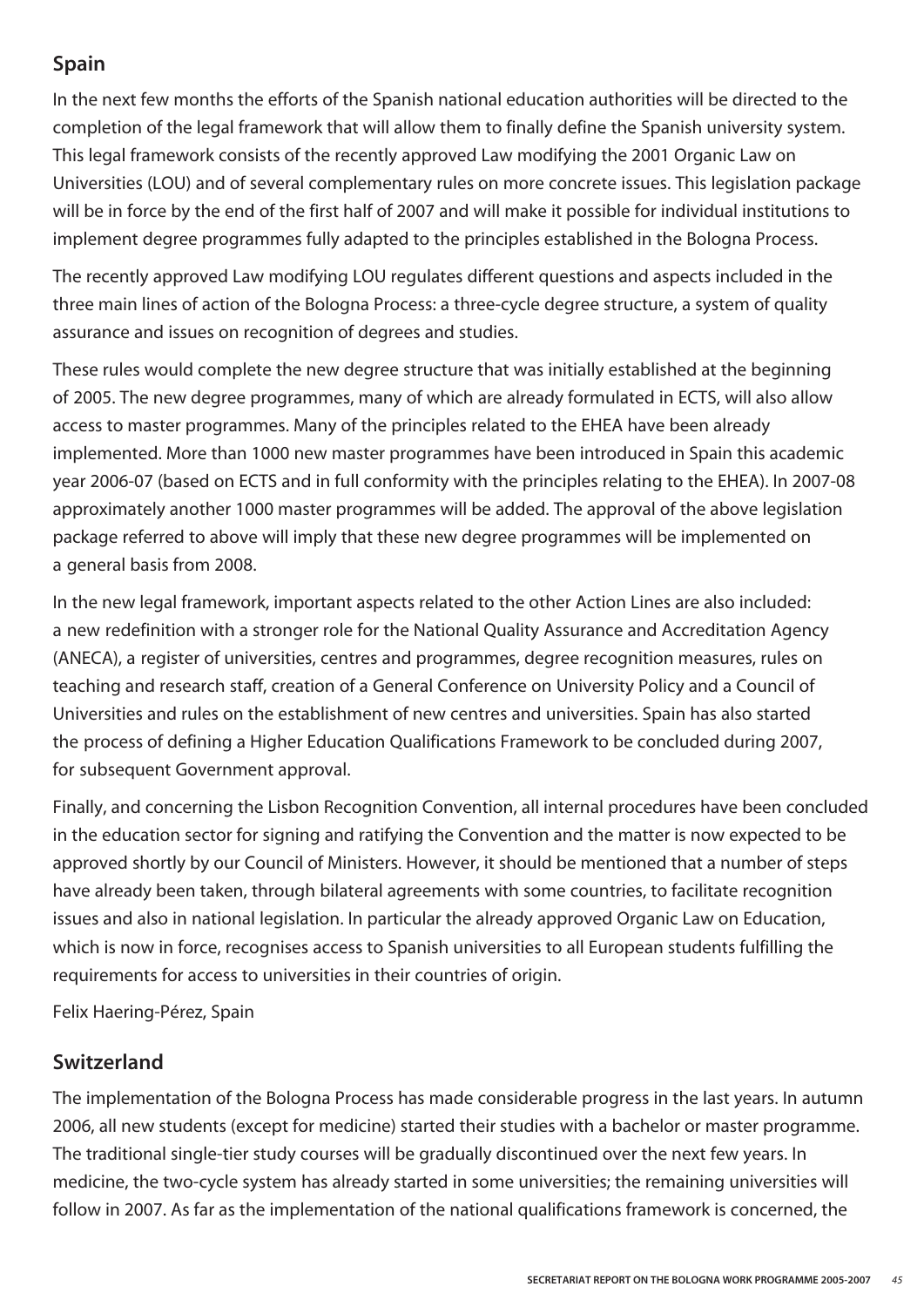#### **Spain**

In the next few months the efforts of the Spanish national education authorities will be directed to the completion of the legal framework that will allow them to finally define the Spanish university system. This legal framework consists of the recently approved Law modifying the 2001 Organic Law on Universities (LOU) and of several complementary rules on more concrete issues. This legislation package will be in force by the end of the first half of 2007 and will make it possible for individual institutions to implement degree programmes fully adapted to the principles established in the Bologna Process.

The recently approved Law modifying LOU regulates different questions and aspects included in the three main lines of action of the Bologna Process: a three-cycle degree structure, a system of quality assurance and issues on recognition of degrees and studies.

These rules would complete the new degree structure that was initially established at the beginning of 2005. The new degree programmes, many of which are already formulated in ECTS, will also allow access to master programmes. Many of the principles related to the EHEA have been already implemented. More than 1000 new master programmes have been introduced in Spain this academic year 2006-07 (based on ECTS and in full conformity with the principles relating to the EHEA). In 2007-08 approximately another 1000 master programmes will be added. The approval of the above legislation package referred to above will imply that these new degree programmes will be implemented on a general basis from 2008.

In the new legal framework, important aspects related to the other Action Lines are also included: a new redefinition with a stronger role for the National Quality Assurance and Accreditation Agency (ANECA), a register of universities, centres and programmes, degree recognition measures, rules on teaching and research staff, creation of a General Conference on University Policy and a Council of Universities and rules on the establishment of new centres and universities. Spain has also started the process of defining a Higher Education Qualifications Framework to be concluded during 2007, for subsequent Government approval.

Finally, and concerning the Lisbon Recognition Convention, all internal procedures have been concluded in the education sector for signing and ratifying the Convention and the matter is now expected to be approved shortly by our Council of Ministers. However, it should be mentioned that a number of steps have already been taken, through bilateral agreements with some countries, to facilitate recognition issues and also in national legislation. In particular the already approved Organic Law on Education, which is now in force, recognises access to Spanish universities to all European students fulfilling the requirements for access to universities in their countries of origin.

Felix Haering-Pérez, Spain

#### **Switzerland**

The implementation of the Bologna Process has made considerable progress in the last years. In autumn 2006, all new students (except for medicine) started their studies with a bachelor or master programme. The traditional single-tier study courses will be gradually discontinued over the next few years. In medicine, the two-cycle system has already started in some universities; the remaining universities will follow in 2007. As far as the implementation of the national qualifications framework is concerned, the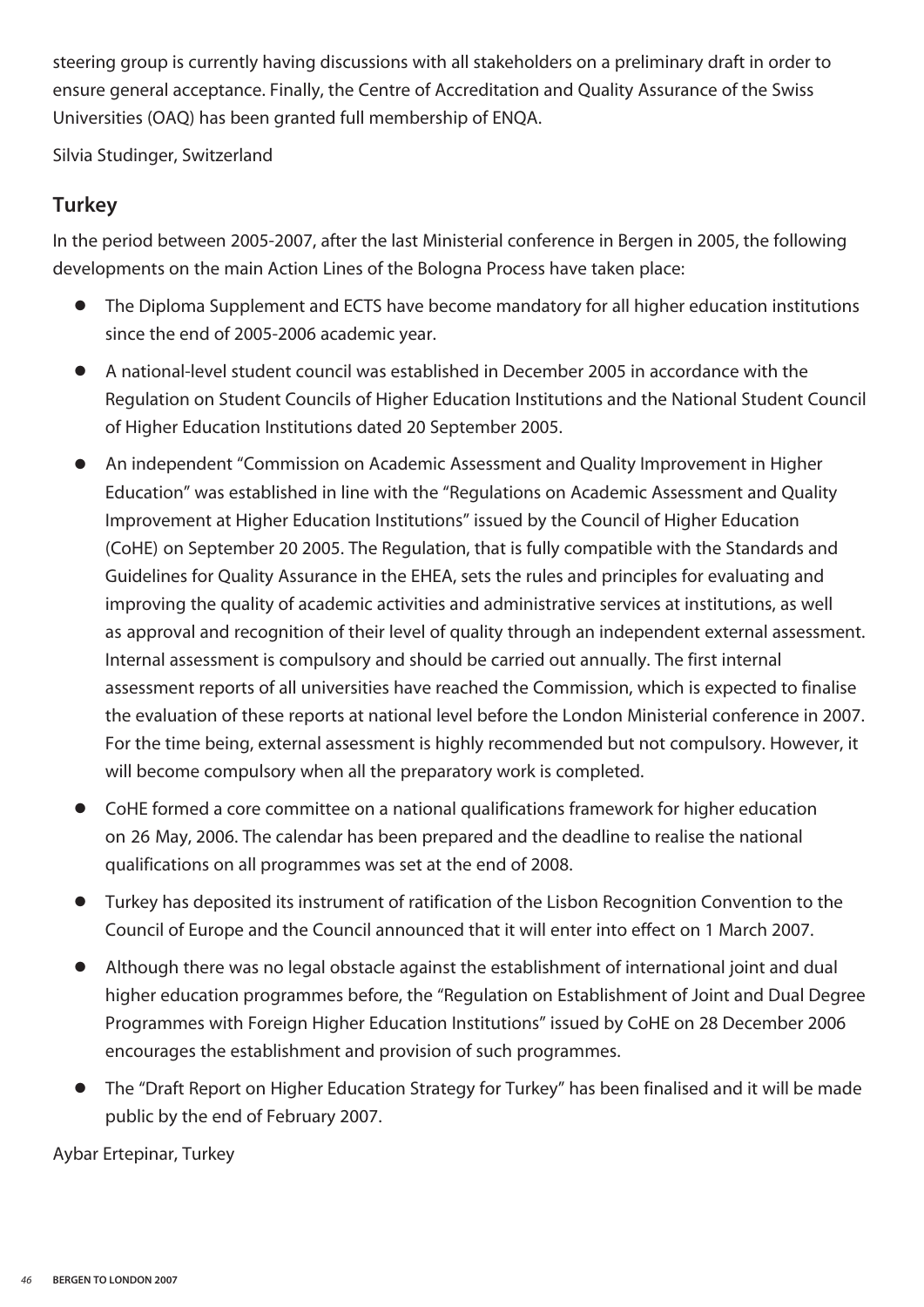steering group is currently having discussions with all stakeholders on a preliminary draft in order to ensure general acceptance. Finally, the Centre of Accreditation and Quality Assurance of the Swiss Universities (OAQ) has been granted full membership of ENQA.

Silvia Studinger, Switzerland

#### **Turkey**

In the period between 2005-2007, after the last Ministerial conference in Bergen in 2005, the following developments on the main Action Lines of the Bologna Process have taken place:

- The Diploma Supplement and ECTS have become mandatory for all higher education institutions since the end of 2005-2006 academic year.
- **●** A national-level student council was established in December 2005 in accordance with the Regulation on Student Councils of Higher Education Institutions and the National Student Council of Higher Education Institutions dated 20 September 2005.
- **●** An independent "Commission on Academic Assessment and Quality Improvement in Higher Education" was established in line with the "Regulations on Academic Assessment and Quality Improvement at Higher Education Institutions" issued by the Council of Higher Education (CoHE) on September 20 2005. The Regulation, that is fully compatible with the Standards and Guidelines for Quality Assurance in the EHEA, sets the rules and principles for evaluating and improving the quality of academic activities and administrative services at institutions, as well as approval and recognition of their level of quality through an independent external assessment. Internal assessment is compulsory and should be carried out annually. The first internal assessment reports of all universities have reached the Commission, which is expected to finalise the evaluation of these reports at national level before the London Ministerial conference in 2007. For the time being, external assessment is highly recommended but not compulsory. However, it will become compulsory when all the preparatory work is completed.
- **●** CoHE formed a core committee on a national qualifications framework for higher education on 26 May, 2006. The calendar has been prepared and the deadline to realise the national qualifications on all programmes was set at the end of 2008.
- Turkey has deposited its instrument of ratification of the Lisbon Recognition Convention to the Council of Europe and the Council announced that it will enter into effect on 1 March 2007.
- **●** Although there was no legal obstacle against the establishment of international joint and dual higher education programmes before, the "Regulation on Establishment of Joint and Dual Degree Programmes with Foreign Higher Education Institutions" issued by CoHE on 28 December 2006 encourages the establishment and provision of such programmes.
- **●** The "Draft Report on Higher Education Strategy for Turkey" has been finalised and it will be made public by the end of February 2007.

Aybar Ertepinar, Turkey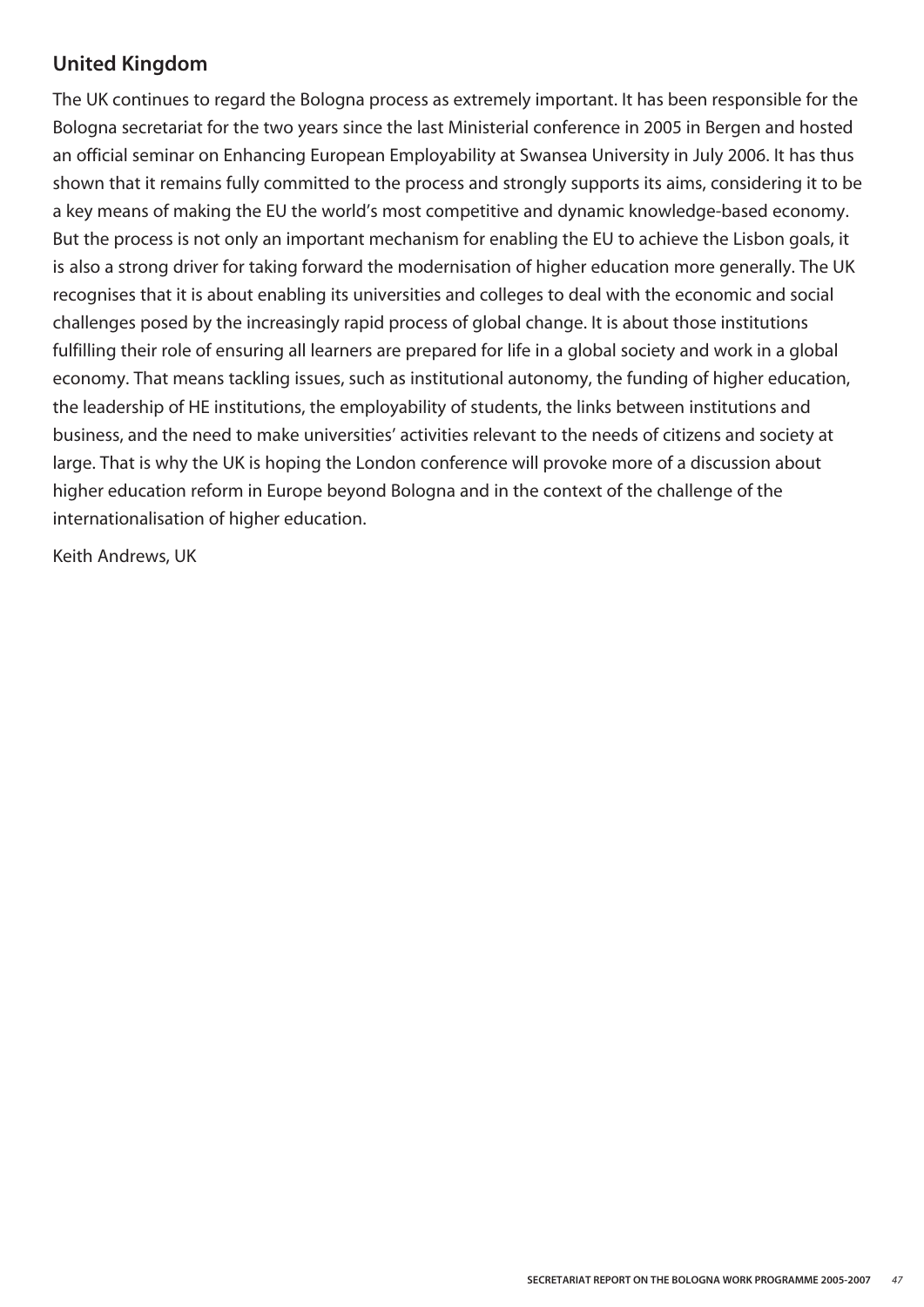#### **United Kingdom**

The UK continues to regard the Bologna process as extremely important. It has been responsible for the Bologna secretariat for the two years since the last Ministerial conference in 2005 in Bergen and hosted an official seminar on Enhancing European Employability at Swansea University in July 2006. It has thus shown that it remains fully committed to the process and strongly supports its aims, considering it to be a key means of making the EU the world's most competitive and dynamic knowledge-based economy. But the process is not only an important mechanism for enabling the EU to achieve the Lisbon goals, it is also a strong driver for taking forward the modernisation of higher education more generally. The UK recognises that it is about enabling its universities and colleges to deal with the economic and social challenges posed by the increasingly rapid process of global change. It is about those institutions fulfilling their role of ensuring all learners are prepared for life in a global society and work in a global economy. That means tackling issues, such as institutional autonomy, the funding of higher education, the leadership of HE institutions, the employability of students, the links between institutions and business, and the need to make universities' activities relevant to the needs of citizens and society at large. That is why the UK is hoping the London conference will provoke more of a discussion about higher education reform in Europe beyond Bologna and in the context of the challenge of the internationalisation of higher education.

Keith Andrews, UK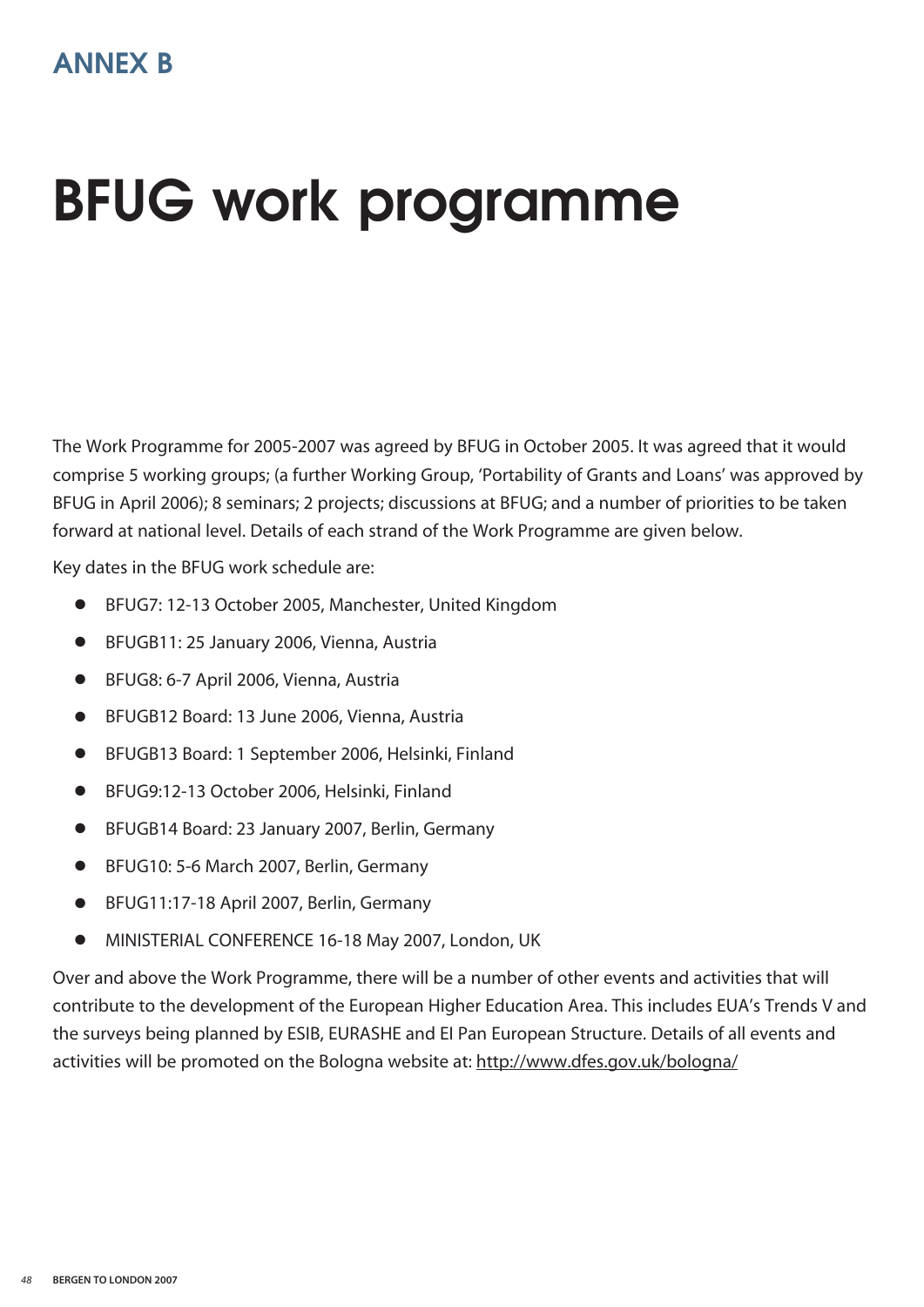### **BFUG work programme**

The Work Programme for 2005-2007 was agreed by BFUG in October 2005. It was agreed that it would comprise 5 working groups; (a further Working Group, 'Portability of Grants and Loans' was approved by BFUG in April 2006); 8 seminars; 2 projects; discussions at BFUG; and a number of priorities to be taken forward at national level. Details of each strand of the Work Programme are given below.

Key dates in the BFUG work schedule are:

- **●** BFUG7: 12-13 October 2005, Manchester, United Kingdom
- **●** BFUGB11: 25 January 2006, Vienna, Austria
- **●** BFUG8: 6-7 April 2006, Vienna, Austria
- **●** BFUGB12 Board: 13 June 2006, Vienna, Austria
- **●** BFUGB13 Board: 1 September 2006, Helsinki, Finland
- **●** BFUG9:12-13 October 2006, Helsinki, Finland
- **●** BFUGB14 Board: 23 January 2007, Berlin, Germany
- **●** BFUG10: 5-6 March 2007, Berlin, Germany
- **●** BFUG11:17-18 April 2007, Berlin, Germany
- **●** MINISTERIAL CONFERENCE 16-18 May 2007, London, UK

Over and above the Work Programme, there will be a number of other events and activities that will contribute to the development of the European Higher Education Area. This includes EUA's Trends V and the surveys being planned by ESIB, EURASHE and EI Pan European Structure. Details of all events and activities will be promoted on the Bologna website at: http://www.dfes.gov.uk/bologna/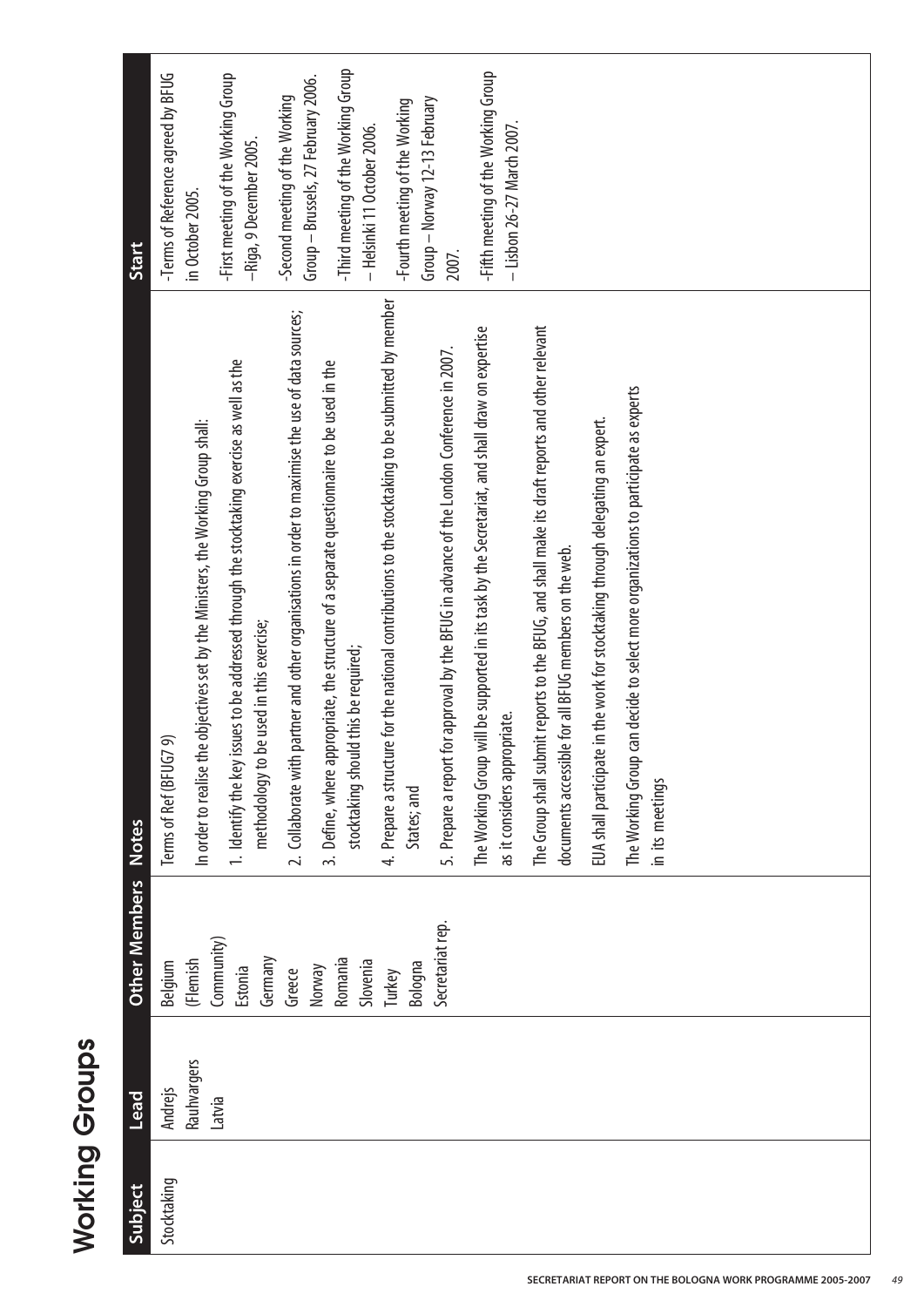| Start         | -Terms of Reference agreed by BFUG<br>in October 2005. | -First meeting of the Working Group<br>-Riga, 9 December 2005.                                                                                                                                                              | Group - Brussels, 27 February 2006.<br>-Second meeting of the Working                                | -Third meeting of the Working Group<br>- Helsinki 11 October 2006.                                                                | Group - Norway 12-13 February<br>-Fourth meeting of the Working                                                   | 2007.                                                                                     | -Fifth meeting of the Working Group<br>- Lisbon 26-27 March 2007.                                                               |                                                                                                                                                          |                                                                                 |                                                                                                        |  |
|---------------|--------------------------------------------------------|-----------------------------------------------------------------------------------------------------------------------------------------------------------------------------------------------------------------------------|------------------------------------------------------------------------------------------------------|-----------------------------------------------------------------------------------------------------------------------------------|-------------------------------------------------------------------------------------------------------------------|-------------------------------------------------------------------------------------------|---------------------------------------------------------------------------------------------------------------------------------|----------------------------------------------------------------------------------------------------------------------------------------------------------|---------------------------------------------------------------------------------|--------------------------------------------------------------------------------------------------------|--|
| <b>Notes</b>  | ெ<br>Terms of Ref (BFUG7                               | 1. Identify the key issues to be addressed through the stocktaking exercise as well as the<br>In order to realise the objectives set by the Ministers, the Working Group shall:<br>methodology to be used in this exercise; | partner and other organisations in order to maximise the use of data sources;<br>2. Collaborate with | 3. Define, where appropriate, the structure of a separate questionnaire to be used in the<br>stocktaking should this be required; | 4. Prepare a structure for the national contributions to the stocktaking to be submitted by member<br>States; and | 5. Prepare a report for approval by the BFUG in advance of the London Conference in 2007. | The Working Group will be supported in its task by the Secretariat, and shall draw on expertise<br>as it considers appropriate. | The Group shall submit reports to the BFUG, and shall make its draft reports and other relevant<br>documents accessible for all BFUG members on the web. | EUA shall participate in the work for stocktaking through delegating an expert. | The Working Group can decide to select more organizations to participate as experts<br>in its meetings |  |
| Other Members | (Flemish<br>Belgium                                    | Community)<br>Germany<br>Estonia                                                                                                                                                                                            | Norway<br>Greece                                                                                     | Romania<br>Slovenia                                                                                                               | Bologna<br>Turkey                                                                                                 | Secretariat rep.                                                                          |                                                                                                                                 |                                                                                                                                                          |                                                                                 |                                                                                                        |  |
| Lead          | Rauhvargers<br>Andrejs                                 | Latvia                                                                                                                                                                                                                      |                                                                                                      |                                                                                                                                   |                                                                                                                   |                                                                                           |                                                                                                                                 |                                                                                                                                                          |                                                                                 |                                                                                                        |  |
| Subject       | Stocktaking                                            |                                                                                                                                                                                                                             |                                                                                                      |                                                                                                                                   |                                                                                                                   |                                                                                           |                                                                                                                                 |                                                                                                                                                          |                                                                                 |                                                                                                        |  |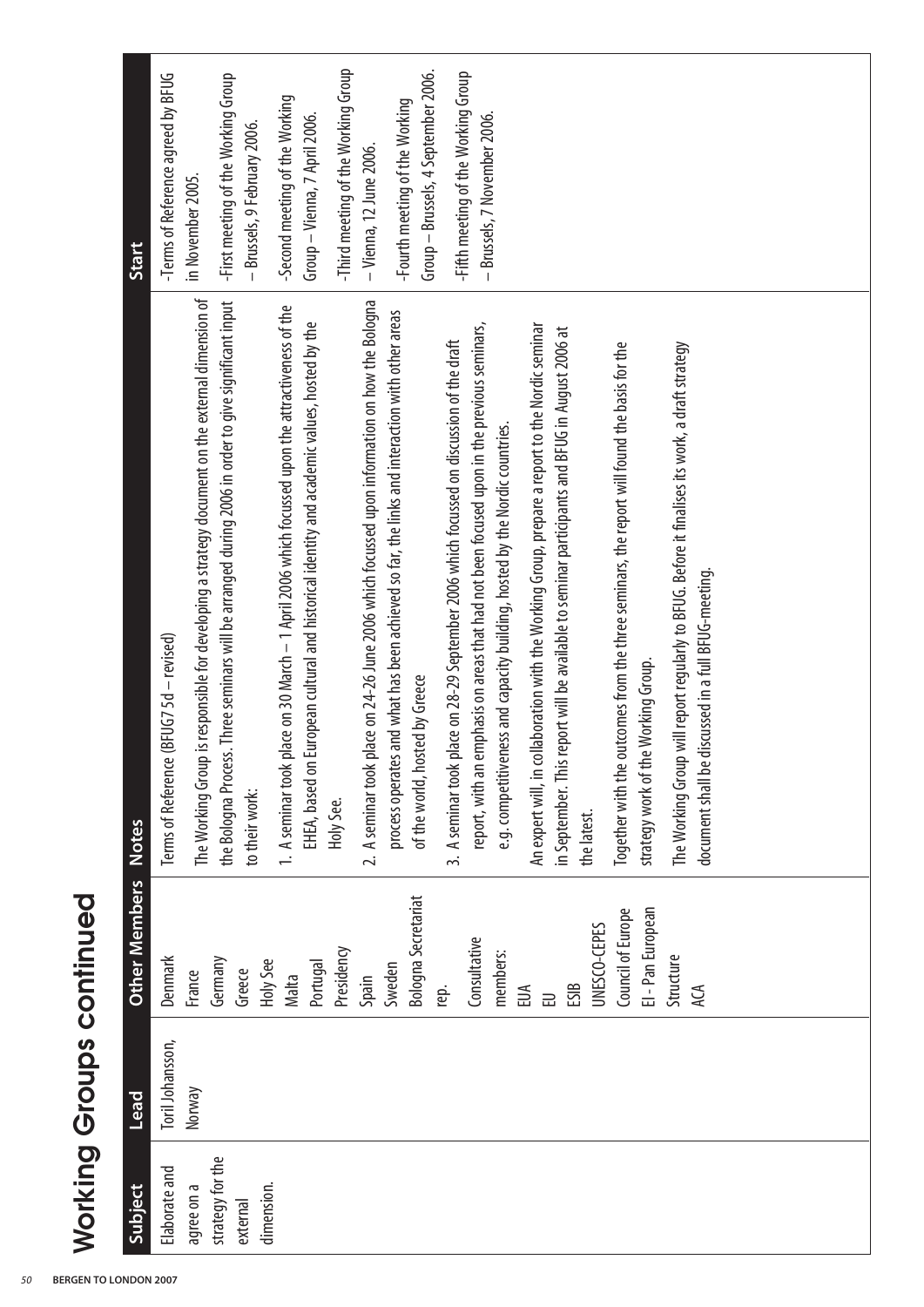| Subject                      | <b>Lead</b>      | Other Members Notes        |                                                                                                     | Start                               |
|------------------------------|------------------|----------------------------|-----------------------------------------------------------------------------------------------------|-------------------------------------|
| Elaborate and                | Toril Johansson, | Denmark                    | Terms of Reference (BFUG7 5d - revised)                                                             | -Terms of Reference agreed by BFUG  |
| agree on a                   | Norway           | France                     | The Working Group is responsible for developing a strategy document on the external dimension of    | in November 2005.                   |
| strategy for the<br>external |                  | Germany<br>Greece          | the Bologna Process. Three seminars will be arranged during 2006 in order to give significant input | -First meeting of the Working Group |
| dimension.                   |                  | Holy See                   | to their work:                                                                                      | — Brussels, 9 February 2006.        |
|                              |                  | Malta                      | 1. A seminar took place on 30 March - 1 April 2006 which focussed upon the attractiveness of the    | -Second meeting of the Working      |
|                              |                  | Portugal                   | EHEA, based on European cultural and historical identity and academic values, hosted by the         | Group – Vienna, 7 April 2006.       |
|                              |                  | Presidency                 | Holy See.                                                                                           | -Third meeting of the Working Group |
|                              |                  | Spain                      | 2. A seminar took place on 24-26 June 2006 which focussed upon information on how the Bologna       | - Vienna, 12 June 2006.             |
|                              |                  | Sweden                     | process operates and what has been achieved so far, the links and interaction with other areas      | -Fourth meeting of the Working      |
|                              |                  | <b>Bologna Secretariat</b> | of the world, hosted by Greece                                                                      | Group - Brussels, 4 September 2006. |
|                              |                  | rep.                       | 3. A seminar took place on 28-29 September 2006 which focussed on discussion of the draft           | -Fifth meeting of the Working Group |
|                              |                  | Consultative               | report, with an emphasis on areas that had not been focused upon in the previous seminars,          | - Brussels, 7 November 2006.        |
|                              |                  | members:                   | e.g. competitiveness and capacity building, hosted by the Nordic countries.                         |                                     |
|                              |                  | EUA                        | An expert will, in collaboration with the Working Group, prepare a report to the Nordic seminar     |                                     |
|                              |                  | ESIB<br>己                  | in September. This report will be available to seminar participants and BFUG in August 2006 at      |                                     |
|                              |                  | UNESCO-CEPES               | the latest.                                                                                         |                                     |
|                              |                  | Council of Europe          | Together with the outcomes from the three seminars, the report will found the basis for the         |                                     |
|                              |                  | El - Pan European          | Working Group.<br>strategy work of the                                                              |                                     |
|                              |                  | Structure                  | The Working Group will report regularly to BFUG. Before it finalises its work, a draft strategy     |                                     |
|                              |                  | ДQ                         | document shall be discussed in a full BFUG-meeting.                                                 |                                     |
|                              |                  |                            |                                                                                                     |                                     |
|                              |                  |                            |                                                                                                     |                                     |
|                              |                  |                            |                                                                                                     |                                     |
|                              |                  |                            |                                                                                                     |                                     |
|                              |                  |                            |                                                                                                     |                                     |

# **Working Groups continued Working Groups continued**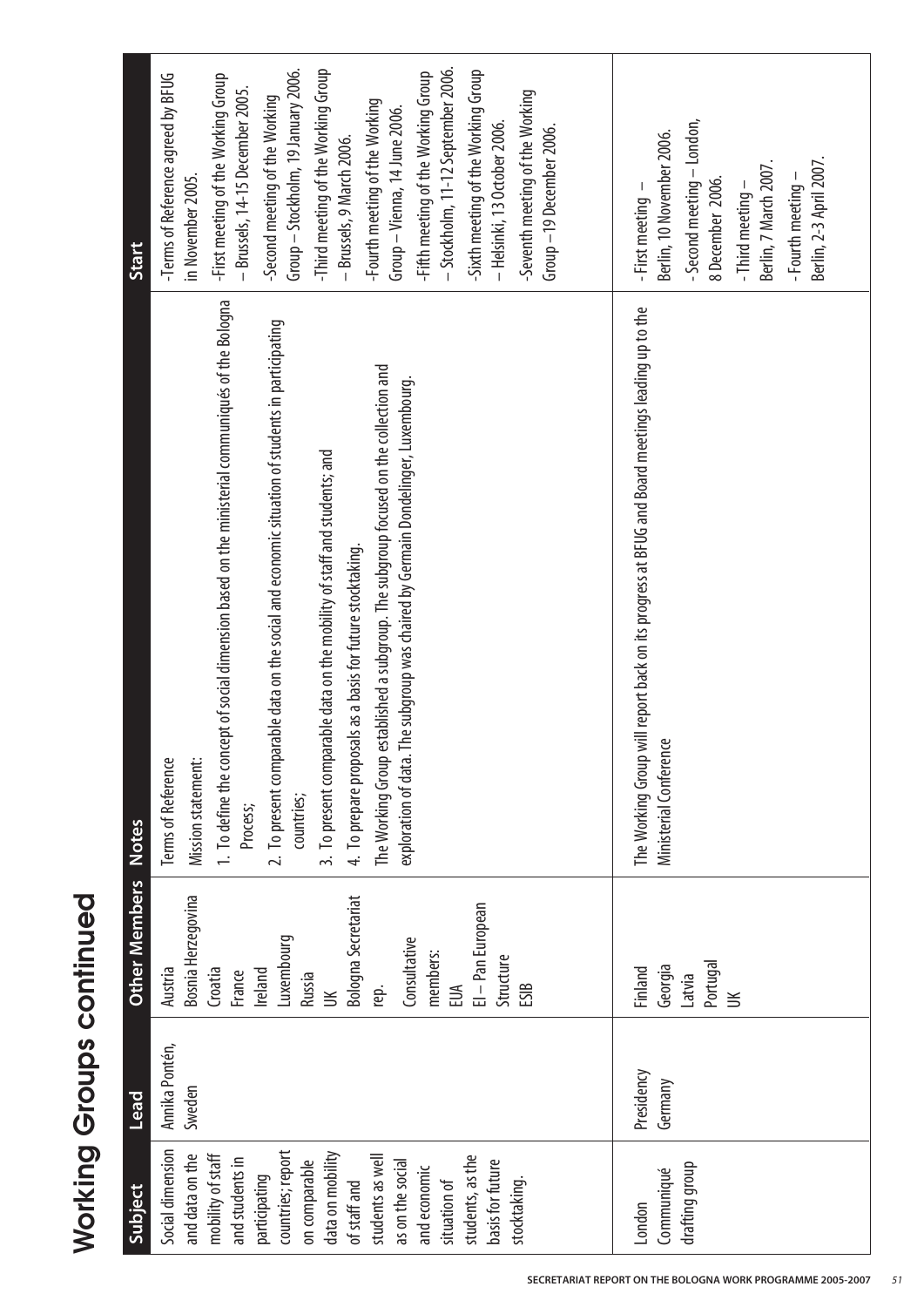| Subject                                                                                                                                                                                                                                                                                                | Lead                     | <b>Other Members</b>                                                                                                                                                                                               | <b>Notes</b>                                                                                                                                                                                                                                                                                                                                                                                                                                                                                                                                                                                        | Start                                                                                                                                                                                                                                                                                                                                                                                                                                                                                                                                                                |
|--------------------------------------------------------------------------------------------------------------------------------------------------------------------------------------------------------------------------------------------------------------------------------------------------------|--------------------------|--------------------------------------------------------------------------------------------------------------------------------------------------------------------------------------------------------------------|-----------------------------------------------------------------------------------------------------------------------------------------------------------------------------------------------------------------------------------------------------------------------------------------------------------------------------------------------------------------------------------------------------------------------------------------------------------------------------------------------------------------------------------------------------------------------------------------------------|----------------------------------------------------------------------------------------------------------------------------------------------------------------------------------------------------------------------------------------------------------------------------------------------------------------------------------------------------------------------------------------------------------------------------------------------------------------------------------------------------------------------------------------------------------------------|
| Social dimension<br>countries; report<br>data on mobility<br>mobility of staff<br>and data on the<br>students as well<br>students, as the<br>and students in<br>on comparable<br>basis for future<br>as on the social<br>and economic<br>participating<br>situation of<br>stocktaking.<br>of staff and | Annika Pontén,<br>Sweden | Bosnia Herzegovina<br><b>Bologna Secretariat</b><br>El - Pan European<br>Luxembourg<br>Consultative<br>members:<br>Structure<br>Croatia<br>Ireland<br>Austria<br>France<br>Russia<br>ESIB<br>rep.<br>EUA<br>$\leq$ | 1. To define the concept of social dimension based on the ministerial communiqués of the Bologna<br>2. To present comparable data on the social and economic situation of students in participating<br>The Working Group established a subgroup. The subgroup focused on the collection and<br>The subgroup was chaired by Germain Dondelinger, Luxembourg.<br>3. To present comparable data on the mobility of staff and students; and<br>4. To prepare proposals as a basis for future stocktaking.<br>exploration of data.<br>Terms of Reference<br>Mission statement:<br>countries;<br>Process; | - Stockholm, 11-12 September 2006.<br>-Third meeting of the Working Group<br>Group – Stockholm, 19 January 2006.<br>-Sixth meeting of the Working Group<br>-Fifth meeting of the Working Group<br>-Terms of Reference agreed by BFUG<br>-First meeting of the Working Group<br>- Brussels, 14-15 December 2005.<br>-Seventh meeting of the Working<br>-Second meeting of the Working<br>-Fourth meeting of the Working<br>Group – Vienna, 14 June 2006.<br>- Helsinki, 13 October 2006.<br>Group-19 December 2006.<br>– Brussels, 9 March 2006.<br>in November 2005. |
| drafting group<br>Communiqué<br>London                                                                                                                                                                                                                                                                 | Presidency<br>Germany    | Portugal<br>Georgia<br>Finland<br>Latvia<br>$\leq$                                                                                                                                                                 | The Working Group will report back on its progress at BFUG and Board meetings leading up to the<br>ಆ<br>Ministerial Conferen                                                                                                                                                                                                                                                                                                                                                                                                                                                                        | - Second meeting - London,<br>Berlin, 10 November 2006.<br>Berlin, 2-3 April 2007.<br>Berlin, 7 March 2007.<br>8 December 2006.<br>- Fourth meeting -<br>- First meeting -<br>- Third meeting -                                                                                                                                                                                                                                                                                                                                                                      |

**Working Groups continued**

**Working Groups continued**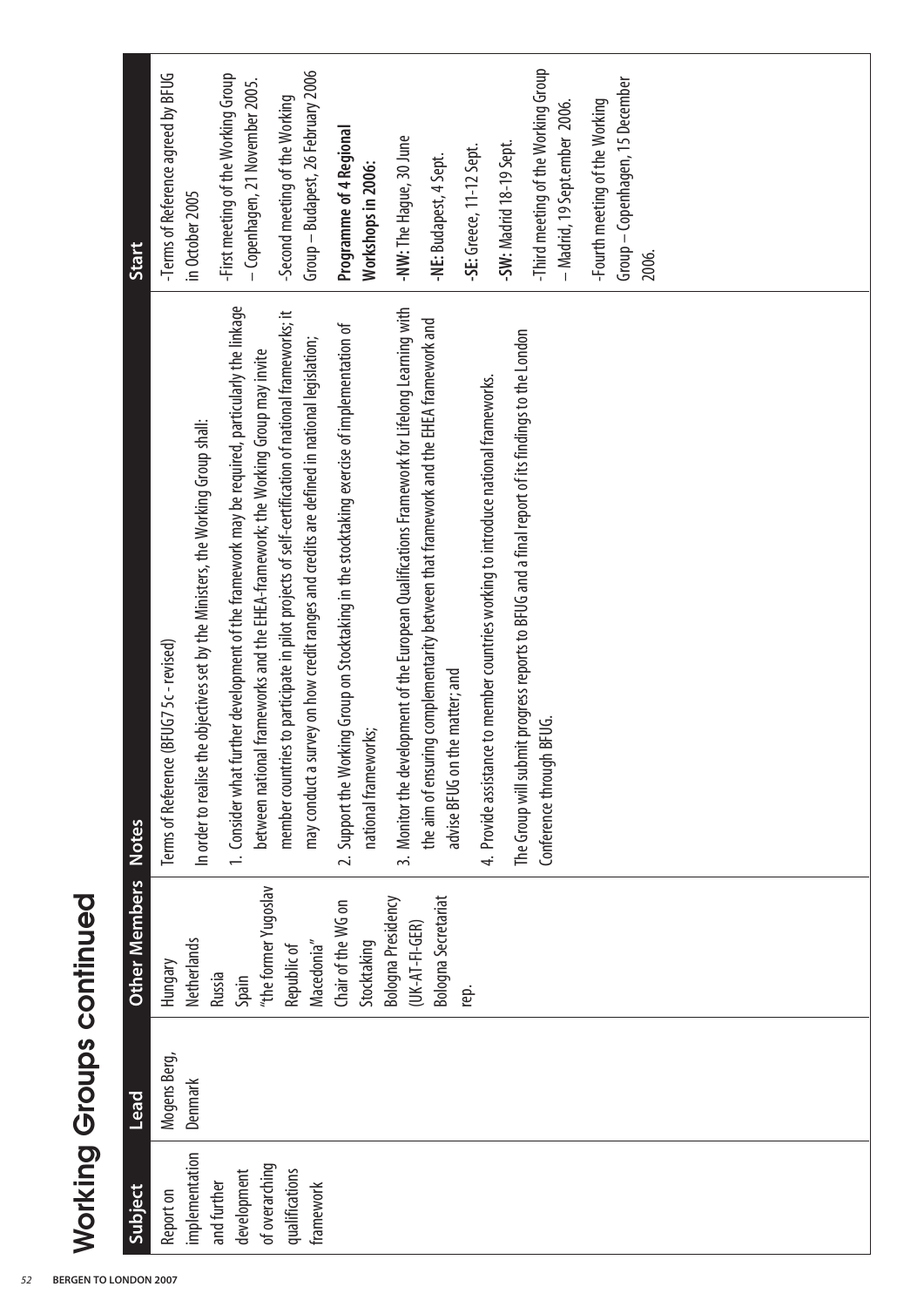| Subject                                      | <b>Lead</b>             | <b>Other Members</b>                       | <b>Notes</b>                                                                                                                                                                                     | <b>Start</b>                                                               |
|----------------------------------------------|-------------------------|--------------------------------------------|--------------------------------------------------------------------------------------------------------------------------------------------------------------------------------------------------|----------------------------------------------------------------------------|
| implementation<br>Report on                  | Mogens Berg,<br>Denmark | Netherlands<br>Hungary                     | In order to realise the objectives set by the Ministers, the Working Group shall:<br>Terms of Reference (BFUG7 5c - revised)                                                                     | -Terms of Reference agreed by BFUG<br>in October 2005                      |
| of overarching<br>development<br>and further |                         | "the former Yugoslav<br>Russia<br>Spain    | 1. Consider what further development of the framework may be required, particularly the linkage<br>I frameworks and the EHEA-framework; the Working Group may invite<br>between national         | -First meeting of the Working Group<br>- Copenhagen, 21 November 2005.     |
| qualifications<br>framework                  |                         | Macedonia"<br>Republic of                  | member countries to participate in pilot projects of self-certification of national frameworks; it<br>may conduct a survey on how credit ranges and credits are defined in national legislation; | Group - Budapest, 26 February 2006<br>-Second meeting of the Working       |
|                                              |                         | Chair of the WG on<br>Stocktaking          | 2. Support the Working Group on Stocktaking in the stocktaking exercise of implementation of<br>national frameworks;                                                                             | Programme of 4 Regional<br>Workshops in 2006:                              |
|                                              |                         | Bologna Presidency<br>$(UK-AI - FI - GER)$ | 3. Monitor the development of the European Qualifications Framework for Lifelong Learning with<br>the aim of ensuring complementarity between that framework and the EHEA framework and          | -NW: The Hague, 30 June<br>-NE: Budapest, 4 Sept.                          |
|                                              |                         | <b>Bologna Secretariat</b><br>rep.         | advise BFUG on the matter; and                                                                                                                                                                   | -SE: Greece, 11-12 Sept.                                                   |
|                                              |                         |                                            | The Group will submit progress reports to BFUG and a final report of its findings to the London<br>4. Provide assistance to member countries working to introduce national frameworks.           | -SW: Madrid 18-19 Sept.                                                    |
|                                              |                         |                                            | BFUG.<br>Conference through                                                                                                                                                                      | -Third meeting of the Working Group<br>– Madrid, 19 Sept.ember 2006.       |
|                                              |                         |                                            |                                                                                                                                                                                                  | Group - Copenhagen, 15 December<br>-Fourth meeting of the Working<br>2006. |
|                                              |                         |                                            |                                                                                                                                                                                                  |                                                                            |
|                                              |                         |                                            |                                                                                                                                                                                                  |                                                                            |
|                                              |                         |                                            |                                                                                                                                                                                                  |                                                                            |

# **Working Groups continued Working Groups continued**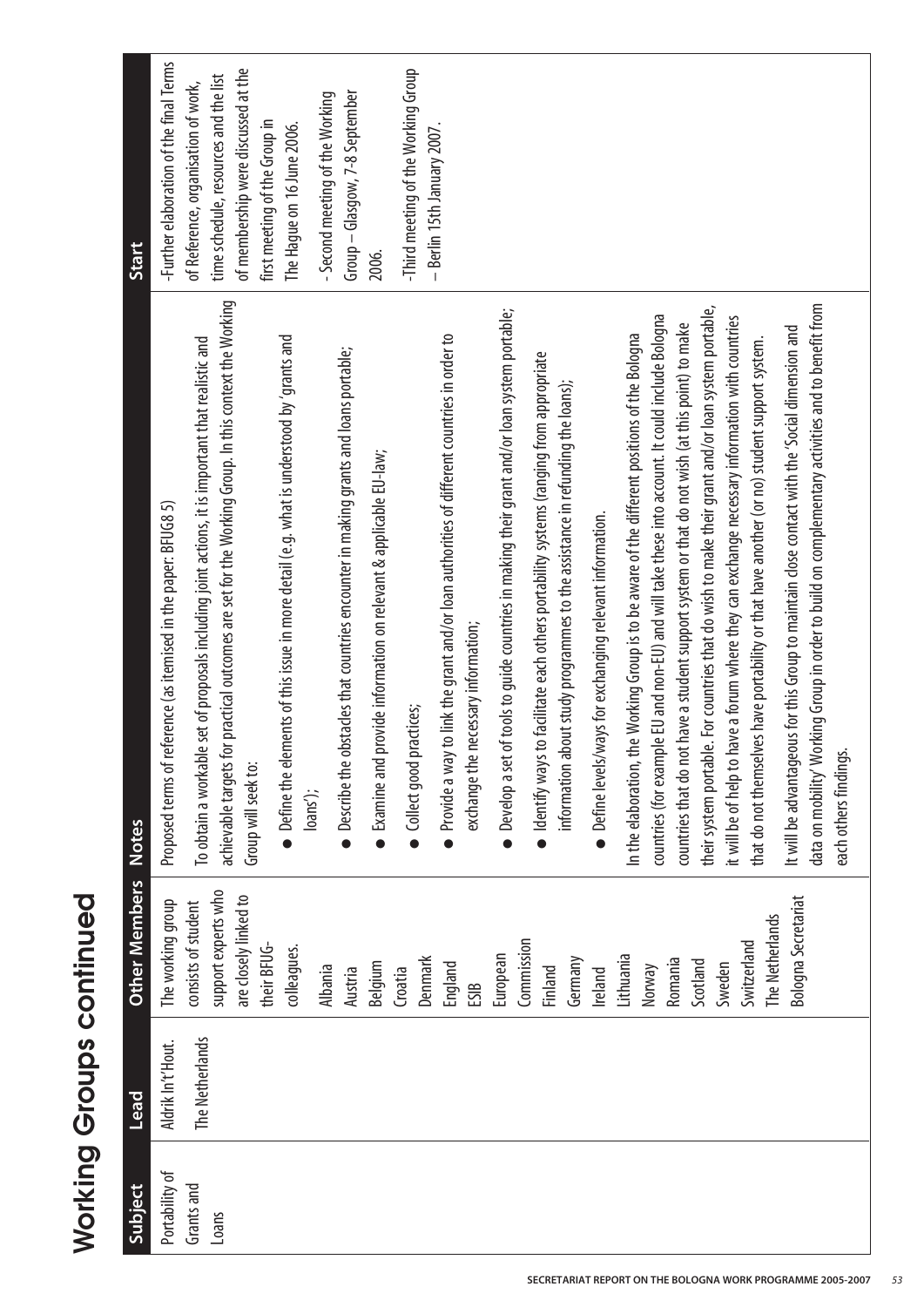| Start         | -Further elaboration of the final Terms<br>of membership were discussed at the<br>-Third meeting of the Working Group<br>time schedule, resources and the list<br>of Reference, organisation of work,<br>Group - Glasgow, 7-8 September<br>- Second meeting of the Working<br>first meeting of the Group in<br>The Hague on 16 June 2006.<br>- Berlin 15th January 2007.<br>2006.                                                                                                                                                                                                                                                                                                                                                                                                                                                                                                                                                                                                                                                                                                                                                                                                                                                                                                                                                                                                                                                                                                                                                                                                                                                                                                                                                                                                                                                                                                                                                                                               |
|---------------|---------------------------------------------------------------------------------------------------------------------------------------------------------------------------------------------------------------------------------------------------------------------------------------------------------------------------------------------------------------------------------------------------------------------------------------------------------------------------------------------------------------------------------------------------------------------------------------------------------------------------------------------------------------------------------------------------------------------------------------------------------------------------------------------------------------------------------------------------------------------------------------------------------------------------------------------------------------------------------------------------------------------------------------------------------------------------------------------------------------------------------------------------------------------------------------------------------------------------------------------------------------------------------------------------------------------------------------------------------------------------------------------------------------------------------------------------------------------------------------------------------------------------------------------------------------------------------------------------------------------------------------------------------------------------------------------------------------------------------------------------------------------------------------------------------------------------------------------------------------------------------------------------------------------------------------------------------------------------------|
| <b>Notes</b>  | achievable targets for practical outcomes are set for the Working Group. In this context the Working<br>data on mobility' Working Group in order to build on complementary activities and to benefit from<br>le. For countries that do wish to make their grant and/or loan system portable,<br>of tools to guide countries in making their grant and/or loan system portable;<br>countries (for example EU and non-EU) and will take these into account. It could include Bologna<br>it will be of help to have a forum where they can exchange necessary information with countries<br>countries that do not have a student support system or that do not wish (at this point) to make<br>It will be advantageous for this Group to maintain close contact with the 'Social dimension and<br>• Provide a way to link the grant and/or loan authorities of different countries in order to<br>In the elaboration, the Working Group is to be aware of the different positions of the Bologna<br>$\bullet$ Define the elements of this issue in more detail (e.g. what is understood by 'grants and<br>le set of proposals including joint actions, it is important that realistic and<br>that do not themselves have portability or that have another (or no) student support system.<br>$\bullet$ Describe the obstacles that countries encounter in making grants and loans portable;<br>to facilitate each others portability systems (ranging from appropriate<br>bout study programmes to the assistance in refunding the loans);<br>• Examine and provide information on relevant & applicable EU-law;<br>Proposed terms of reference (as itemised in the paper: BFUG8 5)<br>• Define levels/ways for exchanging relevant information.<br>exchange the necessary information;<br>Collect good practices;<br>each others findings<br>To obtain a workabl<br>• Develop a set<br>· Identify ways<br>information a<br>their system portab<br>Group will seek to:<br>loans'); |
| Other Members | support experts who<br>are closely linked to<br><b>Bologna Secretariat</b><br>The working group<br>consists of student<br>The Netherlands<br>Commission<br>Switzerland<br>their BFUG-<br>colleagues.<br>European<br>Lithuania<br>Denmark<br>Germany<br>Romania<br>Scotland<br>Belgium<br>England<br>Sweden<br>Norway<br>Albania<br>Finland<br>Croatia<br>Austria<br>Ireland<br>ESIB                                                                                                                                                                                                                                                                                                                                                                                                                                                                                                                                                                                                                                                                                                                                                                                                                                                                                                                                                                                                                                                                                                                                                                                                                                                                                                                                                                                                                                                                                                                                                                                             |
| <b>Lead</b>   | The Netherlands<br>Aldrik In't'Hout.                                                                                                                                                                                                                                                                                                                                                                                                                                                                                                                                                                                                                                                                                                                                                                                                                                                                                                                                                                                                                                                                                                                                                                                                                                                                                                                                                                                                                                                                                                                                                                                                                                                                                                                                                                                                                                                                                                                                            |
| Subject       | Portability of<br>Grants and<br>Loans                                                                                                                                                                                                                                                                                                                                                                                                                                                                                                                                                                                                                                                                                                                                                                                                                                                                                                                                                                                                                                                                                                                                                                                                                                                                                                                                                                                                                                                                                                                                                                                                                                                                                                                                                                                                                                                                                                                                           |

**Working Groups continued Working Groups continued**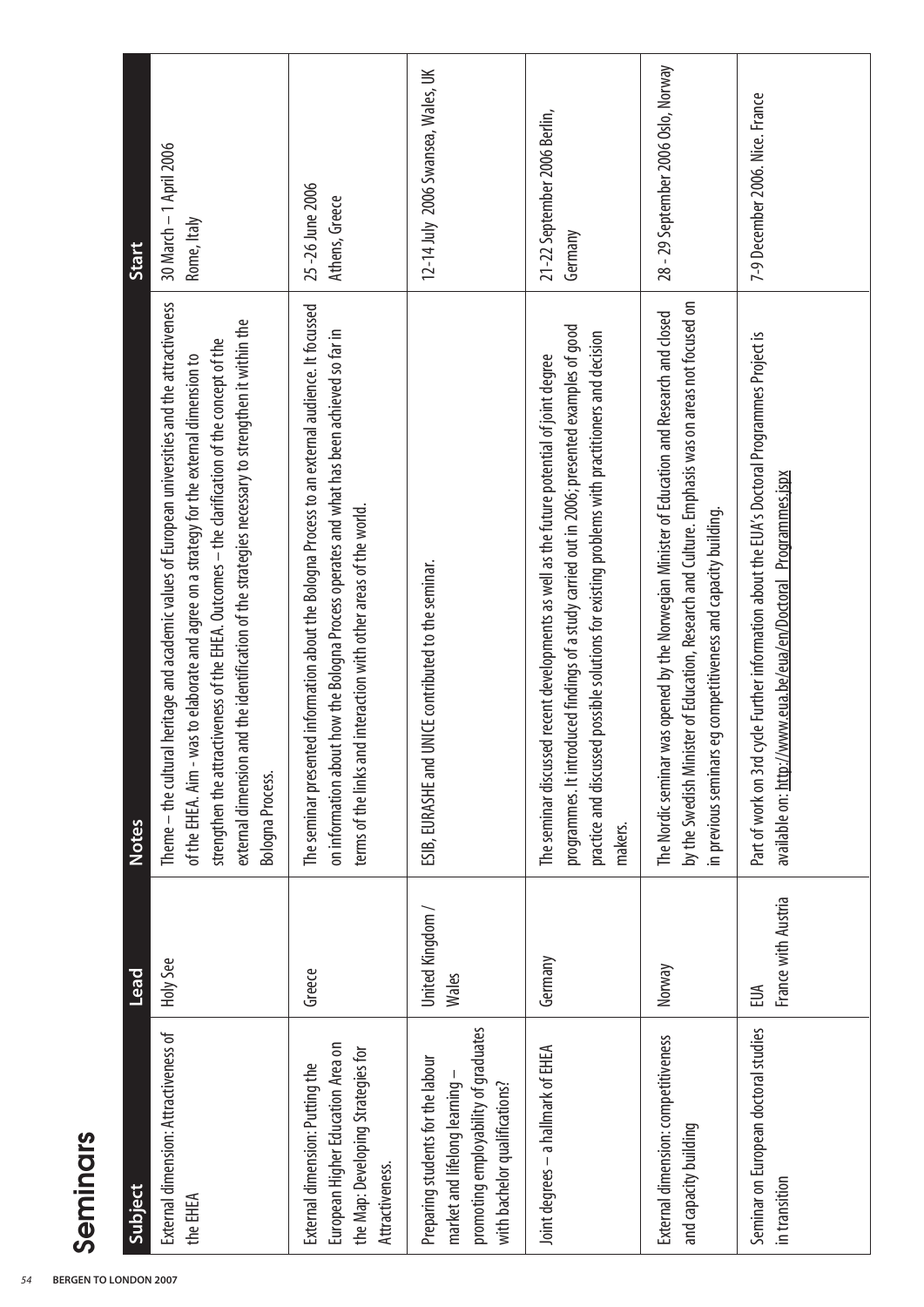| Start               | 30 March - 1 April 2006<br>Rome, Italy                                                                                                                                                                                                                                                                                                                                                                                      | 25 -26 June 2006<br>Athens, Greece                                                                                                                                                                                                                                      | 12-14 July 2006 Swansea, Wales, UK                                                                                                         | 21-22 September 2006 Berlin,<br>Germany                                                                                                                                                                                                                                                                  | 28 - 29 September 2006 Oslo, Norway                                                                                                                                                                                                                                   | 7-9 December 2006. Nice. France                                                                                                                                    |
|---------------------|-----------------------------------------------------------------------------------------------------------------------------------------------------------------------------------------------------------------------------------------------------------------------------------------------------------------------------------------------------------------------------------------------------------------------------|-------------------------------------------------------------------------------------------------------------------------------------------------------------------------------------------------------------------------------------------------------------------------|--------------------------------------------------------------------------------------------------------------------------------------------|----------------------------------------------------------------------------------------------------------------------------------------------------------------------------------------------------------------------------------------------------------------------------------------------------------|-----------------------------------------------------------------------------------------------------------------------------------------------------------------------------------------------------------------------------------------------------------------------|--------------------------------------------------------------------------------------------------------------------------------------------------------------------|
| <b>Notes</b>        | Theme - the cultural heritage and academic values of European universities and the attractiveness<br>and the identification of the strategies necessary to strengthen it within the<br>strengthen the attractiveness of the EHEA. Outcomes - the clarification of the concept of the<br>of the EHEA. Aim - was to elaborate and agree on a strategy for the external dimension to<br>external dimension<br>Bologna Process. | ed information about the Bologna Process to an external audience. It focussed<br>on information about how the Bologna Process operates and what has been achieved so far in<br>terms of the links and interaction with other areas of the world.<br>The seminar present | UNICE contributed to the seminar.<br>ESIB, EURASHE and                                                                                     | programmes. It introduced findings of a study carried out in 2006; presented examples of good<br>practice and discussed possible solutions for existing problems with practitioners and decision<br>The seminar discussed recent developments as well as the future potential of joint degree<br>makers. | by the Swedish Minister of Education, Research and Culture. Emphasis was on areas not focused on<br>was opened by the Norwegian Minister of Education and Research and closed<br>in previous seminars eg competitiveness and capacity building.<br>The Nordic seminar | cycle Further information about the EUA's Doctoral Programmes Project is<br>available on: http://www.eua.be/eua/en/Doctoral_Programmes.jspx<br>Part of work on 3rd |
| Lead                | Holy See                                                                                                                                                                                                                                                                                                                                                                                                                    | Greece                                                                                                                                                                                                                                                                  | United Kingdom /<br><b>Wales</b>                                                                                                           | Germany                                                                                                                                                                                                                                                                                                  | Norway                                                                                                                                                                                                                                                                | France with Austria<br>EUA                                                                                                                                         |
| Seminars<br>Subject | External dimension: Attractiveness of<br>the EHEA                                                                                                                                                                                                                                                                                                                                                                           | European Higher Education Area on<br>the Map: Developing Strategies for<br>External dimension: Putting the<br>Attractiveness.                                                                                                                                           | promoting employability of graduates<br>Preparing students for the labour<br>market and lifelong learning<br>with bachelor qualifications? | Joint degrees - a hallmark of EHEA                                                                                                                                                                                                                                                                       | External dimension: competitiveness<br>and capacity building                                                                                                                                                                                                          | Seminar on European doctoral studies<br>in transition                                                                                                              |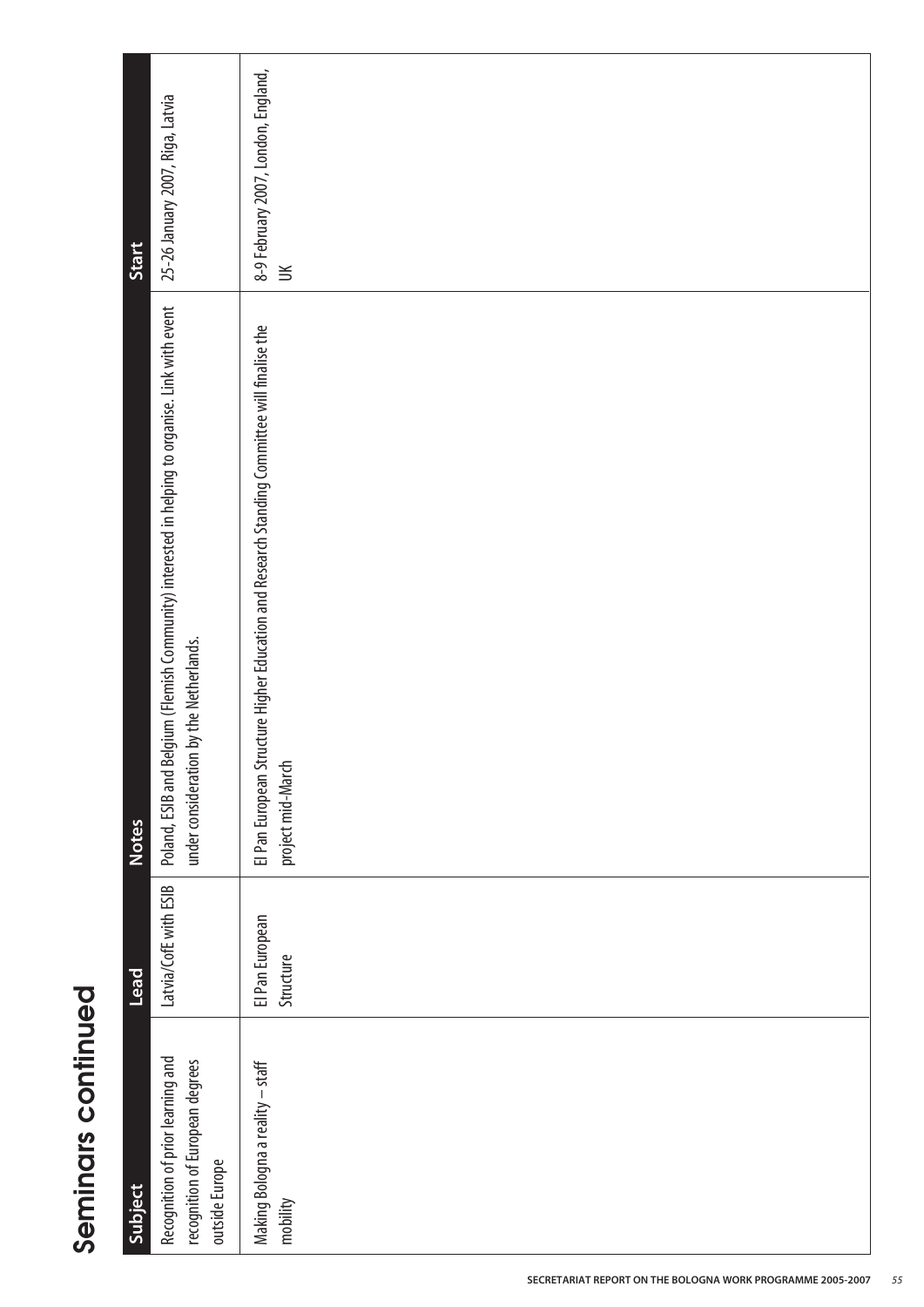| Subject                                                                                | $\overline{\text{lead}}$     | <b>Notes</b>                                                                                                                               | Start                                         |
|----------------------------------------------------------------------------------------|------------------------------|--------------------------------------------------------------------------------------------------------------------------------------------|-----------------------------------------------|
| Recognition of prior learning and<br>recognition of European degrees<br>outside Europe | Latvia/CofE with ESIB        | Poland, ESIB and Belgium (Flemish Community) interested in helping to organise. Link with event<br>under consideration by the Netherlands. | 25-26 January 2007, Riga, Latvia              |
| Making Bologna a reality – staff<br>mobility                                           | El Pan European<br>Structure | EI Pan European Structure Higher Education and Research Standing Committee will finalise the<br>project mid-March                          | 8-9 February 2007, London, England,<br>$\leq$ |

**Seminars continued**

Seminars continued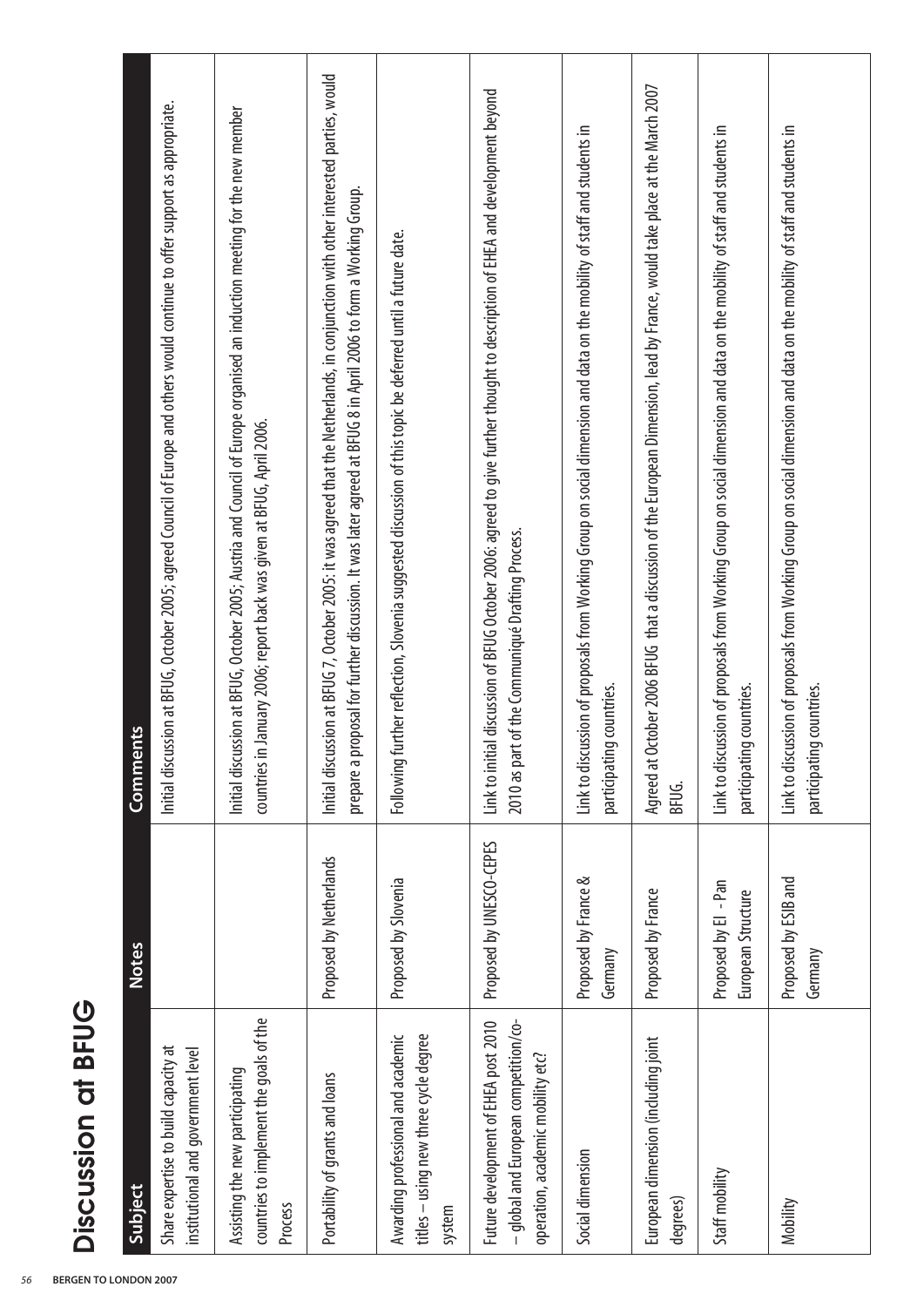| ī |
|---|
| ٣ |
|   |
|   |
|   |
|   |
|   |
|   |
|   |
|   |

|                    | ents<br>Comm | Initial discussion at BFUG, October 2005; agreed Council of Europe and others would continue to offer support as appropriate. | Initial discussion at BFUG, October 2005; Austria and Council of Europe organised an induction meeting for the new member<br>countries in January 2006; report back was given at BFUG, April 2006. | Initial discussion at BFUG 7, October 2005: it was agreed that the Netherlands, in conjunction with other interested parties, would<br>proposal for further discussion. It was later agreed at BFUG 8 in April 2006 to form a Working Group.<br>prepare a | further reflection, Slovenia suggested discussion of this topic be deferred until a future date.<br><b>Following</b> | Link to initial discussion of BFUG October 2006: agreed to give further thought to description of EHEA and development beyond<br>2010 as part of the Communiqué Drafting Process. | Link to discussion of proposals from Working Group on social dimension and data on the mobility of staff and students in<br>participating countries. | October 2006 BFUG that a discussion of the European Dimension, lead by France, would take place at the March 2007<br>Agreed at<br>BFUG. | Link to discussion of proposals from Working Group on social dimension and data on the mobility of staff and students in<br>participating countries. | Link to discussion of proposals from Working Group on social dimension and data on the mobility of staff and students in<br>participating countries. |
|--------------------|--------------|-------------------------------------------------------------------------------------------------------------------------------|----------------------------------------------------------------------------------------------------------------------------------------------------------------------------------------------------|-----------------------------------------------------------------------------------------------------------------------------------------------------------------------------------------------------------------------------------------------------------|----------------------------------------------------------------------------------------------------------------------|-----------------------------------------------------------------------------------------------------------------------------------------------------------------------------------|------------------------------------------------------------------------------------------------------------------------------------------------------|-----------------------------------------------------------------------------------------------------------------------------------------|------------------------------------------------------------------------------------------------------------------------------------------------------|------------------------------------------------------------------------------------------------------------------------------------------------------|
|                    | <b>Notes</b> |                                                                                                                               |                                                                                                                                                                                                    | Proposed by Netherlands                                                                                                                                                                                                                                   | Proposed by Slovenia                                                                                                 | Proposed by UNESCO-CEPES                                                                                                                                                          | Proposed by France &<br>Germany                                                                                                                      | Proposed by France                                                                                                                      | Proposed by El - Pan<br>European Structure                                                                                                           | Proposed by ESIB and<br>Germany                                                                                                                      |
| Discussion at BFUG | Subject      | Share expertise to build capacity at<br>institutional and government level                                                    | countries to implement the goals of the<br>Assisting the new participating<br>Process                                                                                                              | Portability of grants and loans                                                                                                                                                                                                                           | Awarding professional and academic<br>titles - using new three cycle degree<br>system                                | - qlobal and European competition/co-<br>Future development of EHEA post 2010<br>operation, academic mobility etc?                                                                | Social dimension                                                                                                                                     | European dimension (including joint<br>degrees)                                                                                         | Staff mobility                                                                                                                                       | Mobility                                                                                                                                             |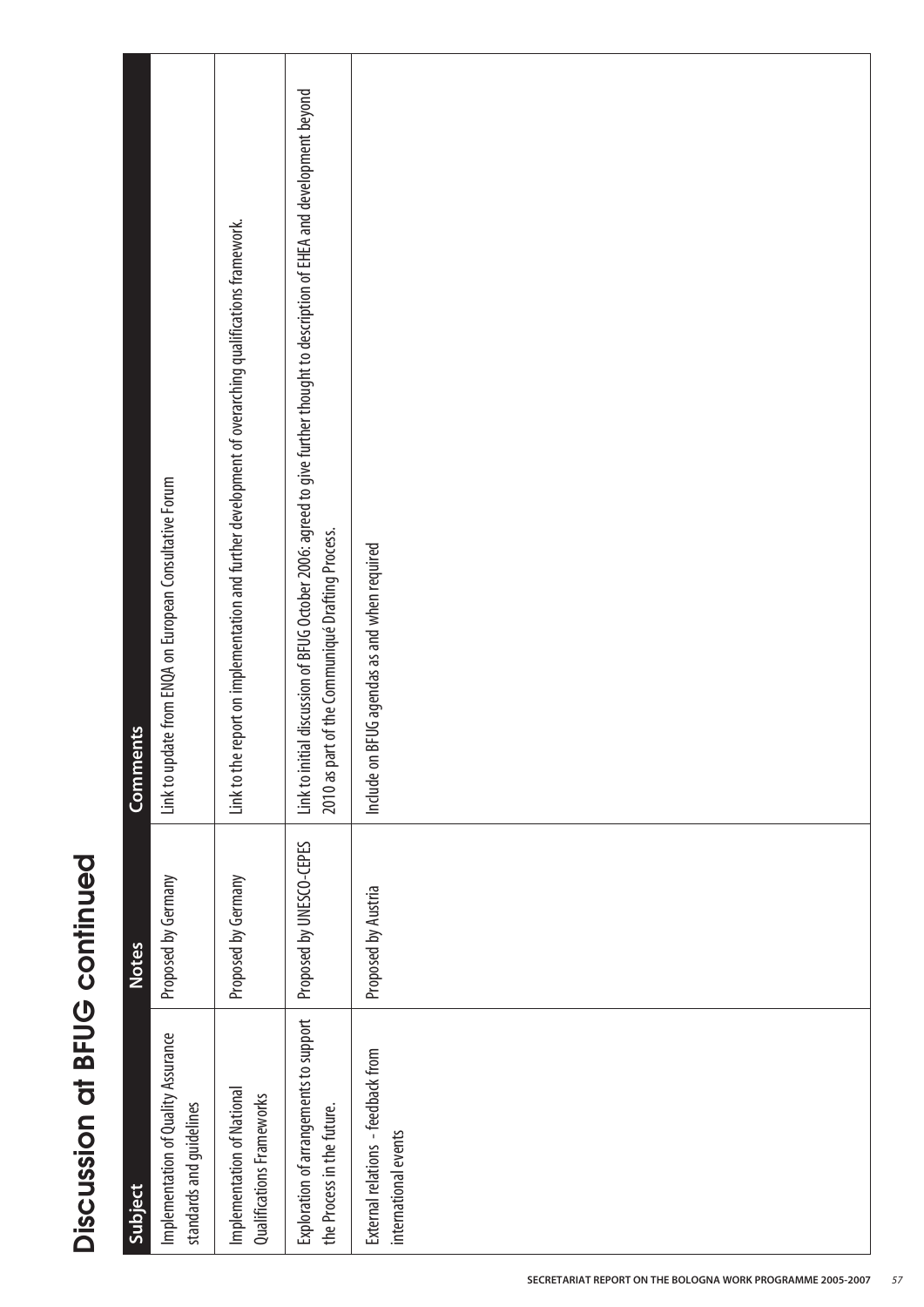| ш      |
|--------|
|        |
|        |
|        |
|        |
|        |
|        |
|        |
|        |
|        |
|        |
| I<br>I |
|        |
|        |
|        |
| i<br>l |
|        |
|        |
|        |
|        |
|        |
| г      |
|        |
|        |
|        |
| ĺ      |
|        |
|        |
|        |
|        |
|        |

| Implementation of Quality Assurance<br>Subject                       | Proposed by Germany<br><b>Notes</b> | Link to update from ENQA on European Consultative Forum<br>Comments                                                                                                               |
|----------------------------------------------------------------------|-------------------------------------|-----------------------------------------------------------------------------------------------------------------------------------------------------------------------------------|
| standards and guidelines                                             |                                     |                                                                                                                                                                                   |
| Implementation of National<br>Qualifications Frameworks              | Proposed by Germany                 | Link to the report on implementation and further development of overarching qualifications framework.                                                                             |
| Exploration of arrangements to support<br>the Process in the future. | Proposed by UNESCO-CEPES            | Link to initial discussion of BFUG October 2006: agreed to give further thought to description of EHEA and development beyond<br>2010 as part of the Communiqué Drafting Process. |
| External relations - feedback from<br>international events           | Proposed by Austria                 | BFUG agendas as and when required<br>Include on                                                                                                                                   |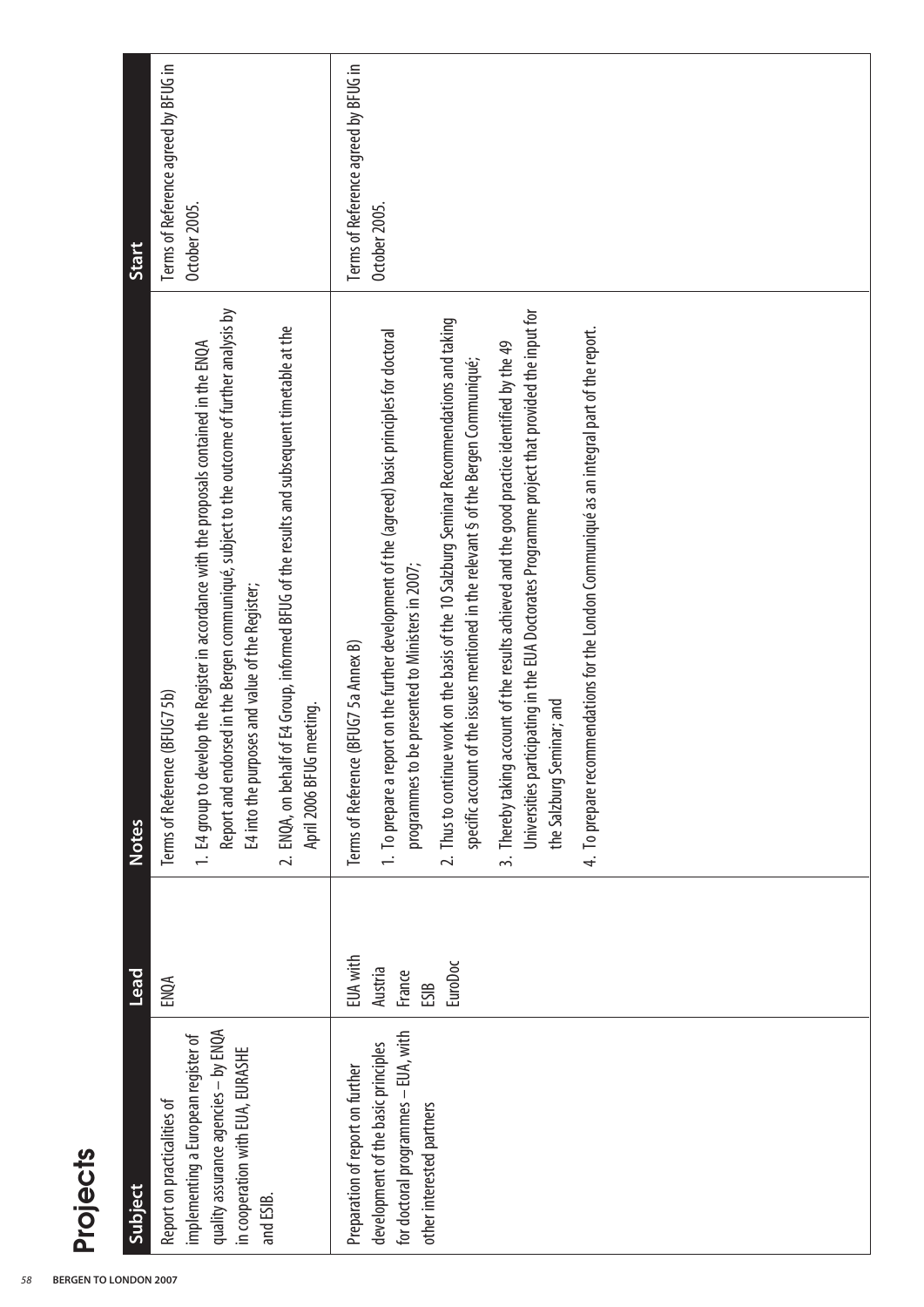| Start                      | Terms of Reference agreed by BFUG in<br>October 2005.                                                                                                                                                                                                                                                                                                                                                        | Terms of Reference agreed by BFUG in<br>October 2005.                                                                                                                                                                                                                                                                                                                                                                                                                                                                                                                                                                                                                                                               |
|----------------------------|--------------------------------------------------------------------------------------------------------------------------------------------------------------------------------------------------------------------------------------------------------------------------------------------------------------------------------------------------------------------------------------------------------------|---------------------------------------------------------------------------------------------------------------------------------------------------------------------------------------------------------------------------------------------------------------------------------------------------------------------------------------------------------------------------------------------------------------------------------------------------------------------------------------------------------------------------------------------------------------------------------------------------------------------------------------------------------------------------------------------------------------------|
| <b>Notes</b>               | Report and endorsed in the Bergen communiqué, subject to the outcome of further analysis by<br>2. ENQA, on behalf of E4 Group, informed BFUG of the results and subsequent timetable at the<br>1. E4 group to develop the Register in accordance with the proposals contained in the ENQA<br>E4 into the purposes and value of the Register;<br>Terms of Reference (BFUG7 5b)<br>meeting.<br>April 2006 BFUG | Universities participating in the EUA Doctorates Programme project that provided the input for<br>2. Thus to continue work on the basis of the 10 Salzburg Seminar Recommendations and taking<br>4. To prepare recommendations for the London Communiqué as an integral part of the report.<br>1. To prepare a report on the further development of the (agreed) basic principles for doctoral<br>3. Thereby taking account of the results achieved and the good practice identified by the 49<br>specific account of the issues mentioned in the relevant § of the Bergen Communiqué;<br>programmes to be presented to Ministers in 2007;<br>(BFUG7 5a Annex B)<br>the Salzburg Seminar; and<br>Terms of Reference |
| Lead                       | ENQA                                                                                                                                                                                                                                                                                                                                                                                                         | <b>EUA with</b><br>EuroDoc<br>Austria<br>France<br>ESIB                                                                                                                                                                                                                                                                                                                                                                                                                                                                                                                                                                                                                                                             |
| <b>Projects</b><br>Subject | quality assurance agencies - by ENQA<br>implementing a European register of<br>in cooperation with EUA, EURASHE<br>Report on practicalities of<br>and ESIB.                                                                                                                                                                                                                                                  | for doctoral programmes - EUA, with<br>development of the basic principles<br>Preparation of report on further<br>other interested partners                                                                                                                                                                                                                                                                                                                                                                                                                                                                                                                                                                         |

## Projects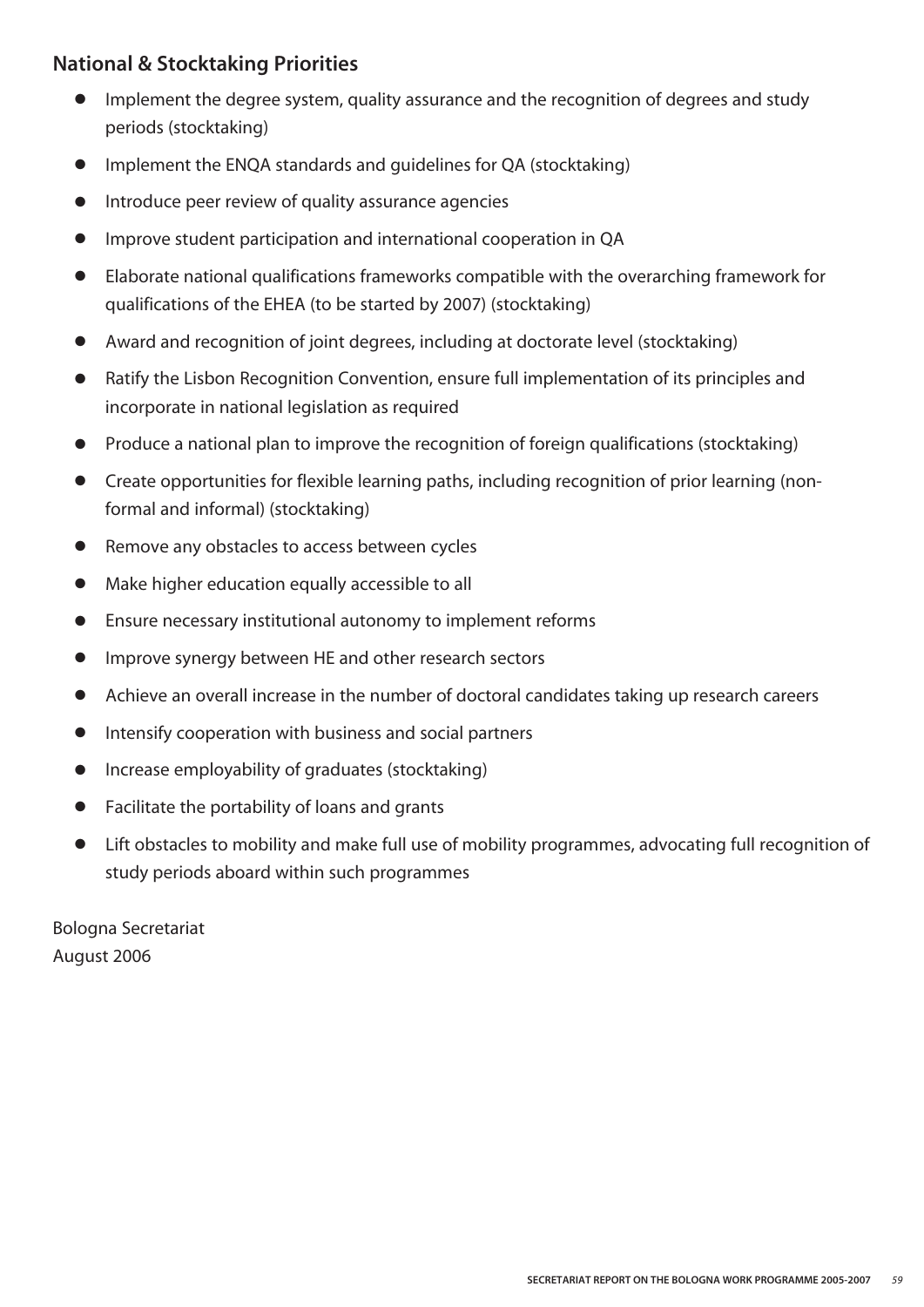#### **National & Stocktaking Priorities**

- **●** Implement the degree system, quality assurance and the recognition of degrees and study periods (stocktaking)
- **●** Implement the ENQA standards and guidelines for QA (stocktaking)
- **●** Introduce peer review of quality assurance agencies
- **●** Improve student participation and international cooperation in QA
- **●** Elaborate national qualifications frameworks compatible with the overarching framework for qualifications of the EHEA (to be started by 2007) (stocktaking)
- **●** Award and recognition of joint degrees, including at doctorate level (stocktaking)
- **●** Ratify the Lisbon Recognition Convention, ensure full implementation of its principles and incorporate in national legislation as required
- **●** Produce a national plan to improve the recognition of foreign qualifications (stocktaking)
- **●** Create opportunities for flexible learning paths, including recognition of prior learning (nonformal and informal) (stocktaking)
- **●** Remove any obstacles to access between cycles
- **●** Make higher education equally accessible to all
- **●** Ensure necessary institutional autonomy to implement reforms
- **●** Improve synergy between HE and other research sectors
- **●** Achieve an overall increase in the number of doctoral candidates taking up research careers
- **●** Intensify cooperation with business and social partners
- **●** Increase employability of graduates (stocktaking)
- **●** Facilitate the portability of loans and grants
- **●** Lift obstacles to mobility and make full use of mobility programmes, advocating full recognition of study periods aboard within such programmes

Bologna Secretariat August 2006